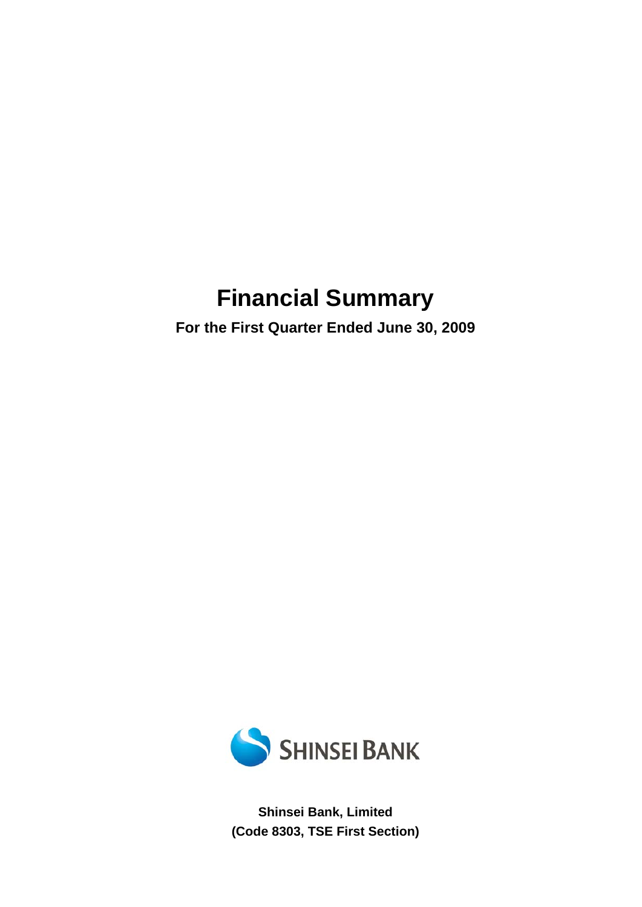# **Financial Summary**

**For the First Quarter Ended June 30, 2009** 



**Shinsei Bank, Limited (Code 8303, TSE First Section)**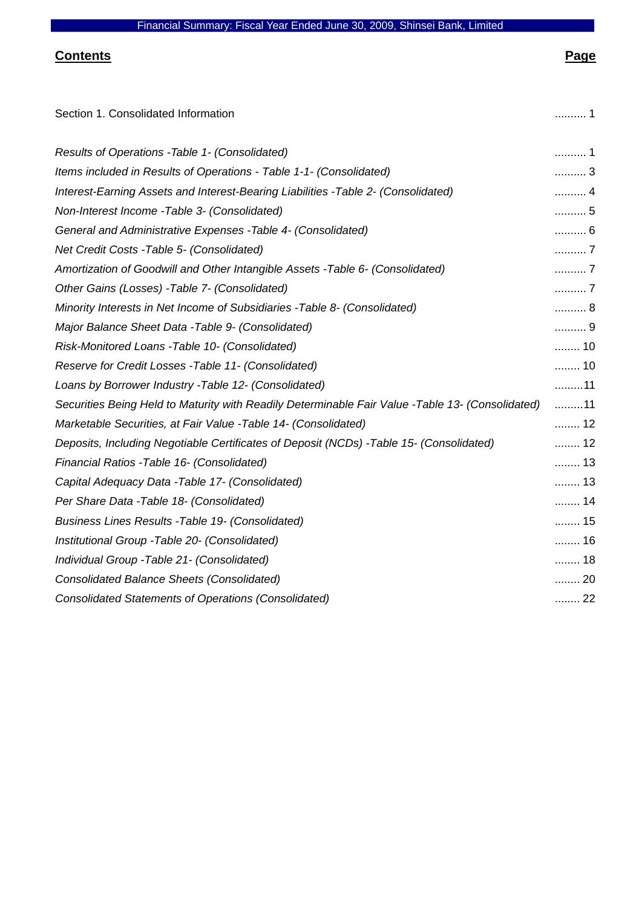# **Contents Page**

| Section 1. Consolidated Information                                                              | . 1                      |
|--------------------------------------------------------------------------------------------------|--------------------------|
| Results of Operations - Table 1- (Consolidated)                                                  | 1                        |
| Items included in Results of Operations - Table 1-1- (Consolidated)                              | 3                        |
| Interest-Earning Assets and Interest-Bearing Liabilities -Table 2- (Consolidated)                |                          |
| Non-Interest Income - Table 3- (Consolidated)                                                    | 5                        |
| General and Administrative Expenses - Table 4- (Consolidated)                                    | $\ldots \ldots \ldots 6$ |
| Net Credit Costs - Table 5- (Consolidated)                                                       | 7                        |
| Amortization of Goodwill and Other Intangible Assets - Table 6- (Consolidated)                   | 7                        |
| Other Gains (Losses) - Table 7- (Consolidated)                                                   | 7                        |
| Minority Interests in Net Income of Subsidiaries - Table 8- (Consolidated)                       | 8                        |
| Major Balance Sheet Data - Table 9- (Consolidated)                                               | 9                        |
| Risk-Monitored Loans - Table 10- (Consolidated)                                                  | 10                       |
| Reserve for Credit Losses - Table 11- (Consolidated)                                             | 10                       |
| Loans by Borrower Industry - Table 12- (Consolidated)                                            | 11                       |
| Securities Being Held to Maturity with Readily Determinable Fair Value -Table 13- (Consolidated) | 11                       |
| Marketable Securities, at Fair Value - Table 14- (Consolidated)                                  | 12                       |
| Deposits, Including Negotiable Certificates of Deposit (NCDs) -Table 15- (Consolidated)          | 12                       |
| Financial Ratios - Table 16- (Consolidated)                                                      | 13                       |
| Capital Adequacy Data - Table 17- (Consolidated)                                                 | 13                       |
| Per Share Data - Table 18- (Consolidated)                                                        | 14                       |
| <b>Business Lines Results -Table 19- (Consolidated)</b>                                          | 15                       |
| Institutional Group - Table 20- (Consolidated)                                                   | 16                       |
| Individual Group - Table 21- (Consolidated)                                                      | 18                       |
| <b>Consolidated Balance Sheets (Consolidated)</b>                                                | 20                       |
| <b>Consolidated Statements of Operations (Consolidated)</b>                                      | 22                       |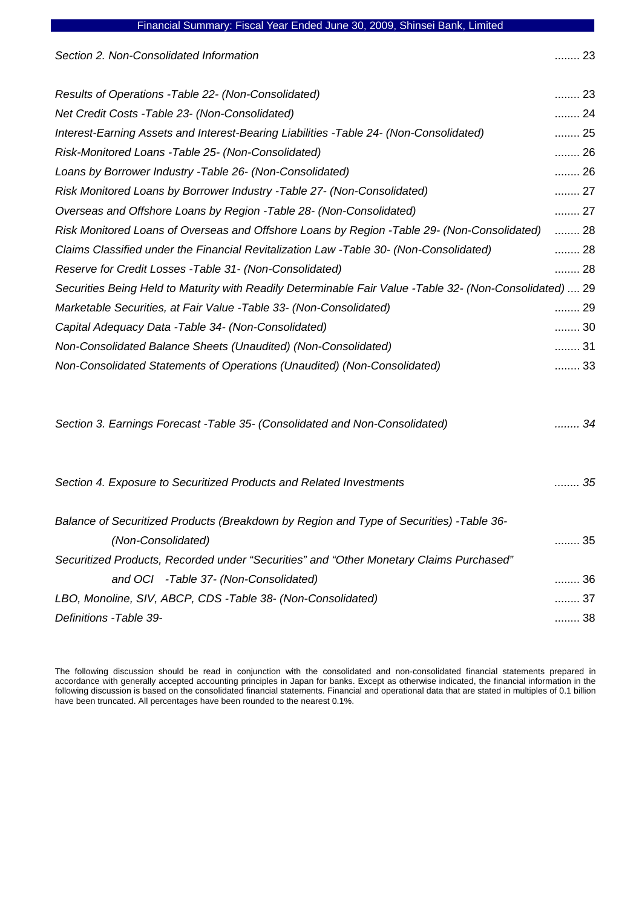|  |  | Financial Summary: Fiscal Year Ended June 30, 2009, Shinsei Bank, Limited |
|--|--|---------------------------------------------------------------------------|
|--|--|---------------------------------------------------------------------------|

| Section 2. Non-Consolidated Information                                                                  | 23   |
|----------------------------------------------------------------------------------------------------------|------|
| Results of Operations - Table 22- (Non-Consolidated)                                                     | 23   |
| Net Credit Costs - Table 23- (Non-Consolidated)                                                          | 24   |
| Interest-Earning Assets and Interest-Bearing Liabilities -Table 24- (Non-Consolidated)                   | 25   |
| Risk-Monitored Loans - Table 25- (Non-Consolidated)                                                      | 26   |
| Loans by Borrower Industry - Table 26- (Non-Consolidated)                                                | 26   |
| Risk Monitored Loans by Borrower Industry - Table 27- (Non-Consolidated)                                 | 27   |
| Overseas and Offshore Loans by Region - Table 28- (Non-Consolidated)                                     | 27   |
| Risk Monitored Loans of Overseas and Offshore Loans by Region -Table 29- (Non-Consolidated)              | 28   |
| Claims Classified under the Financial Revitalization Law -Table 30- (Non-Consolidated)                   | 28   |
| Reserve for Credit Losses - Table 31 - (Non-Consolidated)                                                | 28   |
| Securities Being Held to Maturity with Readily Determinable Fair Value -Table 32- (Non-Consolidated)  29 |      |
| Marketable Securities, at Fair Value - Table 33- (Non-Consolidated)                                      | 29   |
| Capital Adequacy Data - Table 34- (Non-Consolidated)                                                     | 30   |
| Non-Consolidated Balance Sheets (Unaudited) (Non-Consolidated)                                           | 31   |
| Non-Consolidated Statements of Operations (Unaudited) (Non-Consolidated)                                 | 33   |
|                                                                                                          |      |
| Section 3. Earnings Forecast - Table 35- (Consolidated and Non-Consolidated)                             | 34   |
| Section 4. Exposure to Securitized Products and Related Investments                                      | . 35 |
| Balance of Securitized Products (Breakdown by Region and Type of Securities) -Table 36-                  |      |
| (Non-Consolidated)                                                                                       | 35   |
| Securitized Products, Recorded under "Securities" and "Other Monetary Claims Purchased"                  |      |
| and OCI -Table 37- (Non-Consolidated)                                                                    | 36   |
| LBO, Monoline, SIV, ABCP, CDS -Table 38- (Non-Consolidated)                                              | 37   |
| Definitions - Table 39-                                                                                  | 38   |

The following discussion should be read in conjunction with the consolidated and non-consolidated financial statements prepared in accordance with generally accepted accounting principles in Japan for banks. Except as otherwise indicated, the financial information in the following discussion is based on the consolidated financial statements. Financial and operational data that are stated in multiples of 0.1 billion have been truncated. All percentages have been rounded to the nearest 0.1%.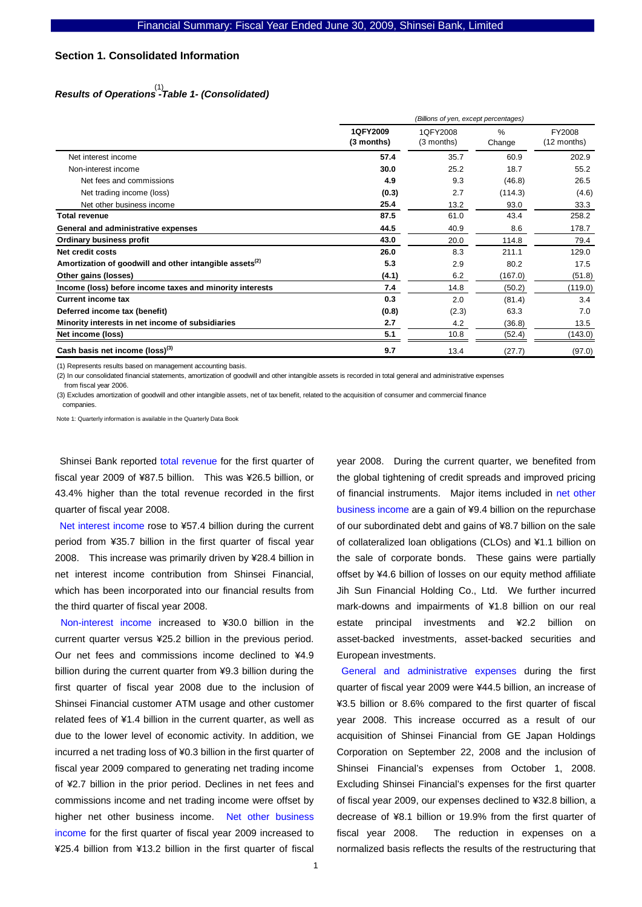#### **Section 1. Consolidated Information**

# *Results of Operations -Table 1- (Consolidated)*  (1)

|                                                                     | (Billions of yen, except percentages) |                        |                |                       |
|---------------------------------------------------------------------|---------------------------------------|------------------------|----------------|-----------------------|
|                                                                     | 1QFY2009<br>(3 months)                | 1QFY2008<br>(3 months) | $\%$<br>Change | FY2008<br>(12 months) |
| Net interest income                                                 | 57.4                                  | 35.7                   | 60.9           | 202.9                 |
| Non-interest income                                                 | 30.0                                  | 25.2                   | 18.7           | 55.2                  |
| Net fees and commissions                                            | 4.9                                   | 9.3                    | (46.8)         | 26.5                  |
| Net trading income (loss)                                           | (0.3)                                 | 2.7                    | (114.3)        | (4.6)                 |
| Net other business income                                           | 25.4                                  | 13.2                   | 93.0           | 33.3                  |
| <b>Total revenue</b>                                                | 87.5                                  | 61.0                   | 43.4           | 258.2                 |
| General and administrative expenses                                 | 44.5                                  | 40.9                   | 8.6            | 178.7                 |
| <b>Ordinary business profit</b>                                     | 43.0                                  | 20.0                   | 114.8          | 79.4                  |
| Net credit costs                                                    | 26.0                                  | 8.3                    | 211.1          | 129.0                 |
| Amortization of goodwill and other intangible assets <sup>(2)</sup> | 5.3                                   | 2.9                    | 80.2           | 17.5                  |
| Other gains (losses)                                                | (4.1)                                 | 6.2                    | (167.0)        | (51.8)                |
| Income (loss) before income taxes and minority interests            | 7.4                                   | 14.8                   | (50.2)         | (119.0)               |
| <b>Current income tax</b>                                           | 0.3                                   | 2.0                    | (81.4)         | 3.4                   |
| Deferred income tax (benefit)                                       | (0.8)                                 | (2.3)                  | 63.3           | 7.0                   |
| Minority interests in net income of subsidiaries                    | 2.7                                   | 4.2                    | (36.8)         | 13.5                  |
| Net income (loss)                                                   | 5.1                                   | 10.8                   | (52.4)         | (143.0)               |
| Cash basis net income (loss) <sup>(3)</sup>                         | 9.7                                   | 13.4                   | (27.7)         | (97.0)                |

(1) Represents results based on management accounting basis.

(2) In our consolidated financial statements, amortization of goodwill and other intangible assets is recorded in total general and administrative expenses

from fiscal year 2006.

(3) Excludes amortization of goodwill and other intangible assets, net of tax benefit, related to the acquisition of consumer and commercial finance companies

Note 1: Quarterly information is available in the Quarterly Data Book

Shinsei Bank reported total revenue for the first quarter of fiscal year 2009 of ¥87.5 billion. This was ¥26.5 billion, or 43.4% higher than the total revenue recorded in the first quarter of fiscal year 2008.

Net interest income rose to ¥57.4 billion during the current period from ¥35.7 billion in the first quarter of fiscal year 2008. This increase was primarily driven by ¥28.4 billion in net interest income contribution from Shinsei Financial, which has been incorporated into our financial results from the third quarter of fiscal year 2008.

Non-interest income increased to ¥30.0 billion in the current quarter versus ¥25.2 billion in the previous period. Our net fees and commissions income declined to ¥4.9 billion during the current quarter from ¥9.3 billion during the first quarter of fiscal year 2008 due to the inclusion of Shinsei Financial customer ATM usage and other customer related fees of ¥1.4 billion in the current quarter, as well as due to the lower level of economic activity. In addition, we incurred a net trading loss of ¥0.3 billion in the first quarter of fiscal year 2009 compared to generating net trading income of ¥2.7 billion in the prior period. Declines in net fees and commissions income and net trading income were offset by higher net other business income. Net other business income for the first quarter of fiscal year 2009 increased to ¥25.4 billion from ¥13.2 billion in the first quarter of fiscal

year 2008. During the current quarter, we benefited from the global tightening of credit spreads and improved pricing of financial instruments. Major items included in net other business income are a gain of ¥9.4 billion on the repurchase of our subordinated debt and gains of ¥8.7 billion on the sale of collateralized loan obligations (CLOs) and ¥1.1 billion on the sale of corporate bonds. These gains were partially offset by ¥4.6 billion of losses on our equity method affiliate Jih Sun Financial Holding Co., Ltd. We further incurred mark-downs and impairments of ¥1.8 billion on our real estate principal investments and ¥2.2 billion on asset-backed investments, asset-backed securities and European investments.

General and administrative expenses during the first quarter of fiscal year 2009 were ¥44.5 billion, an increase of ¥3.5 billion or 8.6% compared to the first quarter of fiscal year 2008. This increase occurred as a result of our acquisition of Shinsei Financial from GE Japan Holdings Corporation on September 22, 2008 and the inclusion of Shinsei Financial's expenses from October 1, 2008. Excluding Shinsei Financial's expenses for the first quarter of fiscal year 2009, our expenses declined to ¥32.8 billion, a decrease of ¥8.1 billion or 19.9% from the first quarter of fiscal year 2008. The reduction in expenses on a normalized basis reflects the results of the restructuring that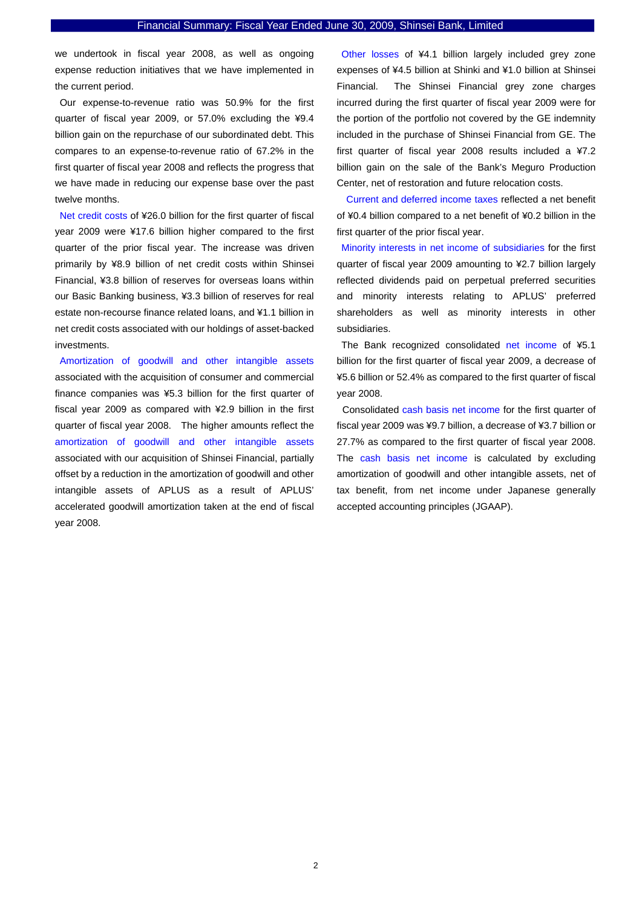we undertook in fiscal year 2008, as well as ongoing expense reduction initiatives that we have implemented in the current period.

Our expense-to-revenue ratio was 50.9% for the first quarter of fiscal year 2009, or 57.0% excluding the ¥9.4 billion gain on the repurchase of our subordinated debt. This compares to an expense-to-revenue ratio of 67.2% in the first quarter of fiscal year 2008 and reflects the progress that we have made in reducing our expense base over the past twelve months.

Net credit costs of ¥26.0 billion for the first quarter of fiscal year 2009 were ¥17.6 billion higher compared to the first quarter of the prior fiscal year. The increase was driven primarily by ¥8.9 billion of net credit costs within Shinsei Financial, ¥3.8 billion of reserves for overseas loans within our Basic Banking business, ¥3.3 billion of reserves for real estate non-recourse finance related loans, and ¥1.1 billion in net credit costs associated with our holdings of asset-backed investments.

Amortization of goodwill and other intangible assets associated with the acquisition of consumer and commercial finance companies was ¥5.3 billion for the first quarter of fiscal year 2009 as compared with ¥2.9 billion in the first quarter of fiscal year 2008. The higher amounts reflect the amortization of goodwill and other intangible assets associated with our acquisition of Shinsei Financial, partially offset by a reduction in the amortization of goodwill and other intangible assets of APLUS as a result of APLUS' accelerated goodwill amortization taken at the end of fiscal year 2008.

Other losses of ¥4.1 billion largely included grey zone expenses of ¥4.5 billion at Shinki and ¥1.0 billion at Shinsei Financial. The Shinsei Financial grey zone charges incurred during the first quarter of fiscal year 2009 were for the portion of the portfolio not covered by the GE indemnity included in the purchase of Shinsei Financial from GE. The first quarter of fiscal year 2008 results included a ¥7.2 billion gain on the sale of the Bank's Meguro Production Center, net of restoration and future relocation costs.

 Current and deferred income taxes reflected a net benefit of ¥0.4 billion compared to a net benefit of ¥0.2 billion in the first quarter of the prior fiscal year.

Minority interests in net income of subsidiaries for the first quarter of fiscal year 2009 amounting to ¥2.7 billion largely reflected dividends paid on perpetual preferred securities and minority interests relating to APLUS' preferred shareholders as well as minority interests in other subsidiaries.

The Bank recognized consolidated net income of ¥5.1 billion for the first quarter of fiscal year 2009, a decrease of ¥5.6 billion or 52.4% as compared to the first quarter of fiscal year 2008.

Consolidated cash basis net income for the first quarter of fiscal year 2009 was ¥9.7 billion, a decrease of ¥3.7 billion or 27.7% as compared to the first quarter of fiscal year 2008. The cash basis net income is calculated by excluding amortization of goodwill and other intangible assets, net of tax benefit, from net income under Japanese generally accepted accounting principles (JGAAP).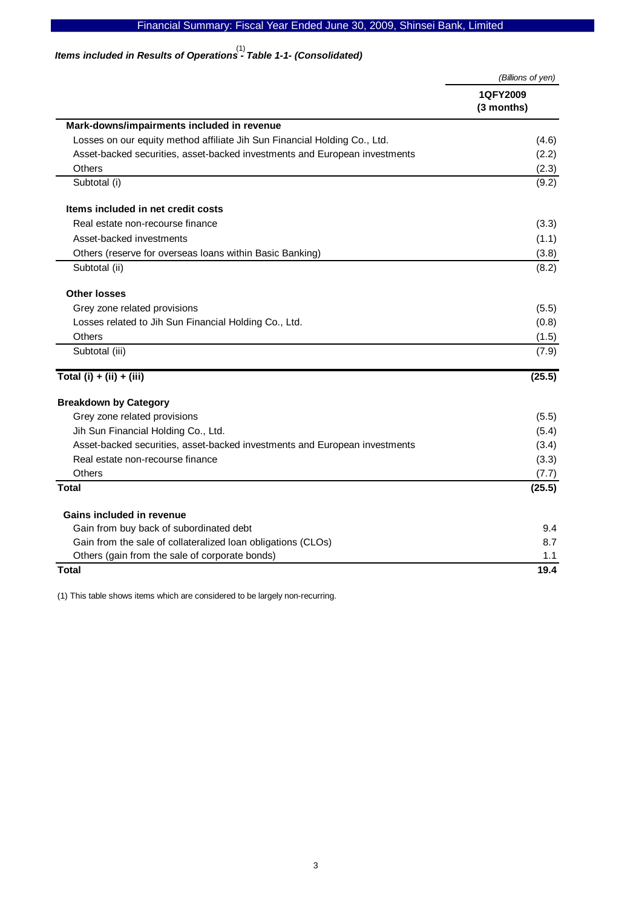# Financial Summary: Fiscal Year Ended June 30, 2009, Shinsei Bank, Limited

# *Items included in Results of Operations - Table 1-1- (Consolidated)*  (1)

|                                                                            | (Billions of yen) |
|----------------------------------------------------------------------------|-------------------|
|                                                                            | 1QFY2009          |
|                                                                            | (3 months)        |
| Mark-downs/impairments included in revenue                                 |                   |
| Losses on our equity method affiliate Jih Sun Financial Holding Co., Ltd.  | (4.6)             |
| Asset-backed securities, asset-backed investments and European investments | (2.2)             |
| Others                                                                     | (2.3)             |
| Subtotal (i)                                                               | (9.2)             |
| Items included in net credit costs                                         |                   |
| Real estate non-recourse finance                                           | (3.3)             |
| Asset-backed investments                                                   | (1.1)             |
| Others (reserve for overseas loans within Basic Banking)                   | (3.8)             |
| Subtotal (ii)                                                              | (8.2)             |
| <b>Other losses</b>                                                        |                   |
| Grey zone related provisions                                               | (5.5)             |
| Losses related to Jih Sun Financial Holding Co., Ltd.                      | (0.8)             |
| <b>Others</b>                                                              | (1.5)             |
| Subtotal (iii)                                                             | (7.9)             |
| Total $(i) + (ii) + (iii)$                                                 | (25.5)            |
| <b>Breakdown by Category</b>                                               |                   |
| Grey zone related provisions                                               | (5.5)             |
| Jih Sun Financial Holding Co., Ltd.                                        | (5.4)             |
| Asset-backed securities, asset-backed investments and European investments | (3.4)             |
| Real estate non-recourse finance                                           | (3.3)             |
| Others                                                                     | (7.7)             |
| <b>Total</b>                                                               | (25.5)            |
| Gains included in revenue                                                  |                   |
| Gain from buy back of subordinated debt                                    | 9.4               |
| Gain from the sale of collateralized loan obligations (CLOs)               | 8.7               |
| Others (gain from the sale of corporate bonds)                             | 1.1               |
| Total                                                                      | 19.4              |

(1) This table shows items which are considered to be largely non-recurring.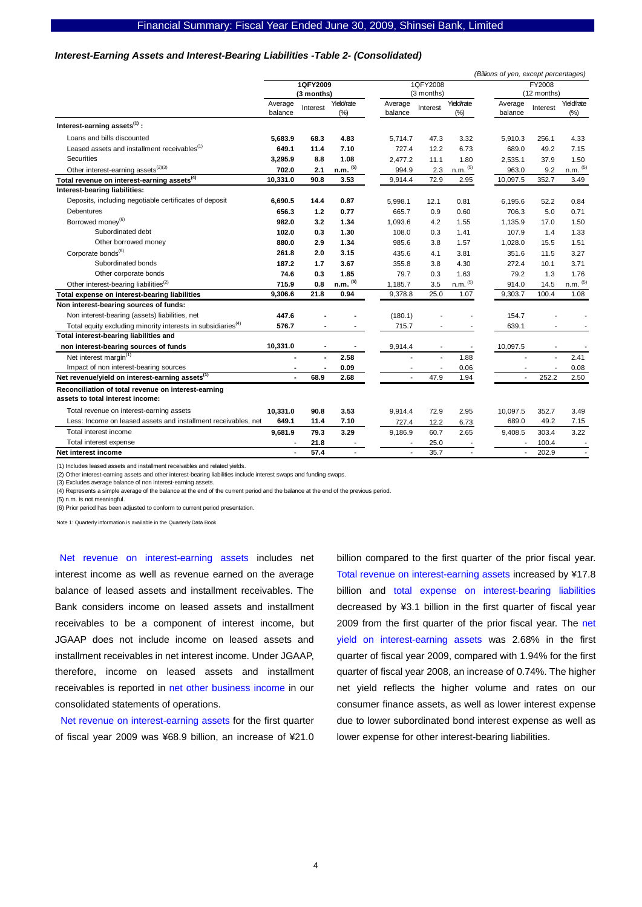#### *Interest-Earning Assets and Interest-Bearing Liabilities -Table 2- (Consolidated)*

|                                                                                         |                    |                |                       |                    |                |                       | (Billions of yen, except percentages) |               |                       |
|-----------------------------------------------------------------------------------------|--------------------|----------------|-----------------------|--------------------|----------------|-----------------------|---------------------------------------|---------------|-----------------------|
|                                                                                         |                    | 1QFY2009       |                       |                    | 1QFY2008       |                       |                                       | <b>FY2008</b> |                       |
|                                                                                         |                    | (3 months)     |                       |                    | (3 months)     |                       |                                       | (12 months)   |                       |
|                                                                                         | Average<br>balance | Interest       | Yield/rate<br>(% )    | Average<br>balance | Interest       | Yield/rate<br>(% )    | Average<br>balance                    | Interest      | Yield/rate<br>$(\%)$  |
| Interest-earning assets <sup>(1)</sup> :                                                |                    |                |                       |                    |                |                       |                                       |               |                       |
| Loans and bills discounted                                                              | 5.683.9            | 68.3           | 4.83                  | 5.714.7            | 47.3           | 3.32                  | 5,910.3                               | 256.1         | 4.33                  |
| Leased assets and installment receivables <sup>(1)</sup>                                | 649.1              | 11.4           | 7.10                  | 727.4              | 12.2           | 6.73                  | 689.0                                 | 49.2          | 7.15                  |
| <b>Securities</b>                                                                       | 3,295.9            | 8.8            | 1.08                  | 2,477.2            | 11.1           | 1.80                  | 2,535.1                               | 37.9          | 1.50                  |
| Other interest-earning assets <sup>(2)(3)</sup>                                         | 702.0              | 2.1            | $n.m.$ (5)            | 994.9              | 2.3            | $n.m.$ $(5)$          | 963.0                                 | 9.2           | $n.m.$ <sup>(5)</sup> |
| Total revenue on interest-earning assets <sup>(4)</sup>                                 | 10,331.0           | 90.8           | 3.53                  | 9,914.4            | 72.9           | 2.95                  | 10,097.5                              | 352.7         | 3.49                  |
| Interest-bearing liabilities:                                                           |                    |                |                       |                    |                |                       |                                       |               |                       |
| Deposits, including negotiable certificates of deposit                                  | 6.690.5            | 14.4           | 0.87                  | 5,998.1            | 12.1           | 0.81                  | 6,195.6                               | 52.2          | 0.84                  |
| Debentures                                                                              | 656.3              | 1.2            | 0.77                  | 665.7              | 0.9            | 0.60                  | 706.3                                 | 5.0           | 0.71                  |
| Borrowed money <sup>(6)</sup>                                                           | 982.0              | 3.2            | 1.34                  | 1,093.6            | 4.2            | 1.55                  | 1,135.9                               | 17.0          | 1.50                  |
| Subordinated debt                                                                       | 102.0              | 0.3            | 1.30                  | 108.0              | 0.3            | 1.41                  | 107.9                                 | 1.4           | 1.33                  |
| Other borrowed money                                                                    | 880.0              | 2.9            | 1.34                  | 985.6              | 3.8            | 1.57                  | 1,028.0                               | 15.5          | 1.51                  |
| Corporate bonds <sup>(6)</sup>                                                          | 261.8              | 2.0            | 3.15                  | 435.6              | 4.1            | 3.81                  | 351.6                                 | 11.5          | 3.27                  |
| Subordinated bonds                                                                      | 187.2              | 1.7            | 3.67                  | 355.8              | 3.8            | 4.30                  | 272.4                                 | 10.1          | 3.71                  |
| Other corporate bonds                                                                   | 74.6               | 0.3            | 1.85                  | 79.7               | 0.3            | 1.63                  | 79.2                                  | 1.3           | 1.76                  |
| Other interest-bearing liabilities <sup>(2)</sup>                                       | 715.9              | 0.8            | $n.m.$ <sup>(5)</sup> | 1,185.7            | 3.5            | $n.m.$ <sup>(5)</sup> | 914.0                                 | 14.5          | $n.m.$ <sup>(5)</sup> |
| Total expense on interest-bearing liabilities                                           | 9,306.6            | 21.8           | 0.94                  | 9,378.8            | 25.0           | 1.07                  | 9,303.7                               | 100.4         | 1.08                  |
| Non interest-bearing sources of funds:                                                  |                    |                |                       |                    |                |                       |                                       |               |                       |
| Non interest-bearing (assets) liabilities, net                                          | 447.6              |                |                       | (180.1)            |                |                       | 154.7                                 |               |                       |
| Total equity excluding minority interests in subsidiaries <sup>(4)</sup>                | 576.7              |                |                       | 715.7              |                |                       | 639.1                                 |               |                       |
| Total interest-bearing liabilities and                                                  |                    |                |                       |                    |                |                       |                                       |               |                       |
| non interest-bearing sources of funds                                                   | 10,331.0           | $\blacksquare$ |                       | 9,914.4            |                | ٠                     | 10,097.5                              |               |                       |
| Net interest margin <sup>(1)</sup>                                                      |                    |                | 2.58                  |                    | $\overline{a}$ | 1.88                  |                                       | ÷.            | 2.41                  |
| Impact of non interest-bearing sources                                                  |                    |                | 0.09                  |                    |                | 0.06                  |                                       |               | 0.08                  |
| Net revenue/yield on interest-earning assets <sup>(1)</sup>                             |                    | 68.9           | 2.68                  |                    | 47.9           | 1.94                  |                                       | 252.2         | 2.50                  |
| Reconciliation of total revenue on interest-earning<br>assets to total interest income: |                    |                |                       |                    |                |                       |                                       |               |                       |
| Total revenue on interest-earning assets                                                | 10,331.0           | 90.8           | 3.53                  | 9,914.4            | 72.9           | 2.95                  | 10,097.5                              | 352.7         | 3.49                  |
| Less: Income on leased assets and installment receivables, net                          | 649.1              | 11.4           | 7.10                  | 727.4              | 12.2           | 6.73                  | 689.0                                 | 49.2          | 7.15                  |
| Total interest income                                                                   | 9,681.9            | 79.3           | 3.29                  | 9,186.9            | 60.7           | 2.65                  | 9,408.5                               | 303.4         | 3.22                  |
| Total interest expense                                                                  |                    | 21.8           |                       |                    | 25.0           |                       |                                       | 100.4         |                       |
| Net interest income                                                                     |                    | 57.4           |                       |                    | 35.7           |                       |                                       | 202.9         |                       |

(1) Includes leased assets and installment receivables and related yields.

(2) Other interest-earning assets and other interest-bearing liabilities include interest swaps and funding swaps.

(3) Excludes average balance of non interest-earning assets.

(4) Represents a simple average of the balance at the end of the current period and the balance at the end of the previous period.

(5) n.m. is not meaningful.

(6) Prior period has been adjusted to conform to current period presentation.

Note 1: Quarterly information is available in the Quarterly Data Book

Net revenue on interest-earning assets includes net interest income as well as revenue earned on the average balance of leased assets and installment receivables. The Bank considers income on leased assets and installment receivables to be a component of interest income, but JGAAP does not include income on leased assets and installment receivables in net interest income. Under JGAAP, therefore, income on leased assets and installment receivables is reported in net other business income in our consolidated statements of operations.

Net revenue on interest-earning assets for the first quarter of fiscal year 2009 was ¥68.9 billion, an increase of ¥21.0

billion compared to the first quarter of the prior fiscal year. Total revenue on interest-earning assets increased by ¥17.8 billion and total expense on interest-bearing liabilities decreased by ¥3.1 billion in the first quarter of fiscal year 2009 from the first quarter of the prior fiscal year. The net yield on interest-earning assets was 2.68% in the first quarter of fiscal year 2009, compared with 1.94% for the first quarter of fiscal year 2008, an increase of 0.74%. The higher net yield reflects the higher volume and rates on our consumer finance assets, as well as lower interest expense due to lower subordinated bond interest expense as well as lower expense for other interest-bearing liabilities.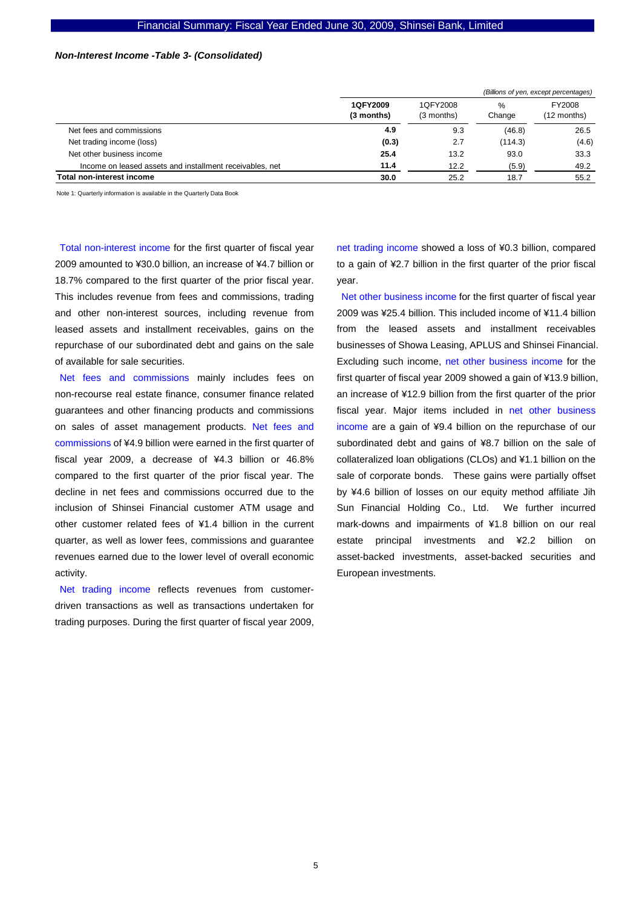#### *Non-Interest Income -Table 3- (Consolidated)*

|                                                          |                        |                        |             | (Billions of yen, except percentages) |
|----------------------------------------------------------|------------------------|------------------------|-------------|---------------------------------------|
|                                                          | 1QFY2009<br>(3 months) | 1QFY2008<br>(3 months) | %<br>Change | FY2008<br>(12 months)                 |
| Net fees and commissions                                 | 4.9                    | 9.3                    | (46.8)      | 26.5                                  |
| Net trading income (loss)                                | (0.3)                  | 2.7                    | (114.3)     | (4.6)                                 |
| Net other business income                                | 25.4                   | 13.2                   | 93.0        | 33.3                                  |
| Income on leased assets and installment receivables, net | 11.4                   | 12.2                   | (5.9)       | 49.2                                  |
| Total non-interest income                                | 30.0                   | 25.2                   | 18.7        | 55.2                                  |

Note 1: Quarterly information is available in the Quarterly Data Book

Total non-interest income for the first quarter of fiscal year 2009 amounted to ¥30.0 billion, an increase of ¥4.7 billion or 18.7% compared to the first quarter of the prior fiscal year. This includes revenue from fees and commissions, trading and other non-interest sources, including revenue from leased assets and installment receivables, gains on the repurchase of our subordinated debt and gains on the sale of available for sale securities.

Net fees and commissions mainly includes fees on non-recourse real estate finance, consumer finance related guarantees and other financing products and commissions on sales of asset management products. Net fees and commissions of ¥4.9 billion were earned in the first quarter of fiscal year 2009, a decrease of ¥4.3 billion or 46.8% compared to the first quarter of the prior fiscal year. The decline in net fees and commissions occurred due to the inclusion of Shinsei Financial customer ATM usage and other customer related fees of ¥1.4 billion in the current quarter, as well as lower fees, commissions and guarantee revenues earned due to the lower level of overall economic activity.

Net trading income reflects revenues from customerdriven transactions as well as transactions undertaken for trading purposes. During the first quarter of fiscal year 2009, net trading income showed a loss of ¥0.3 billion, compared to a gain of ¥2.7 billion in the first quarter of the prior fiscal year.

Net other business income for the first quarter of fiscal year 2009 was ¥25.4 billion. This included income of ¥11.4 billion from the leased assets and installment receivables businesses of Showa Leasing, APLUS and Shinsei Financial. Excluding such income, net other business income for the first quarter of fiscal year 2009 showed a gain of ¥13.9 billion, an increase of ¥12.9 billion from the first quarter of the prior fiscal year. Major items included in net other business income are a gain of ¥9.4 billion on the repurchase of our subordinated debt and gains of ¥8.7 billion on the sale of collateralized loan obligations (CLOs) and ¥1.1 billion on the sale of corporate bonds. These gains were partially offset by ¥4.6 billion of losses on our equity method affiliate Jih Sun Financial Holding Co., Ltd. We further incurred mark-downs and impairments of ¥1.8 billion on our real estate principal investments and ¥2.2 billion on asset-backed investments, asset-backed securities and European investments.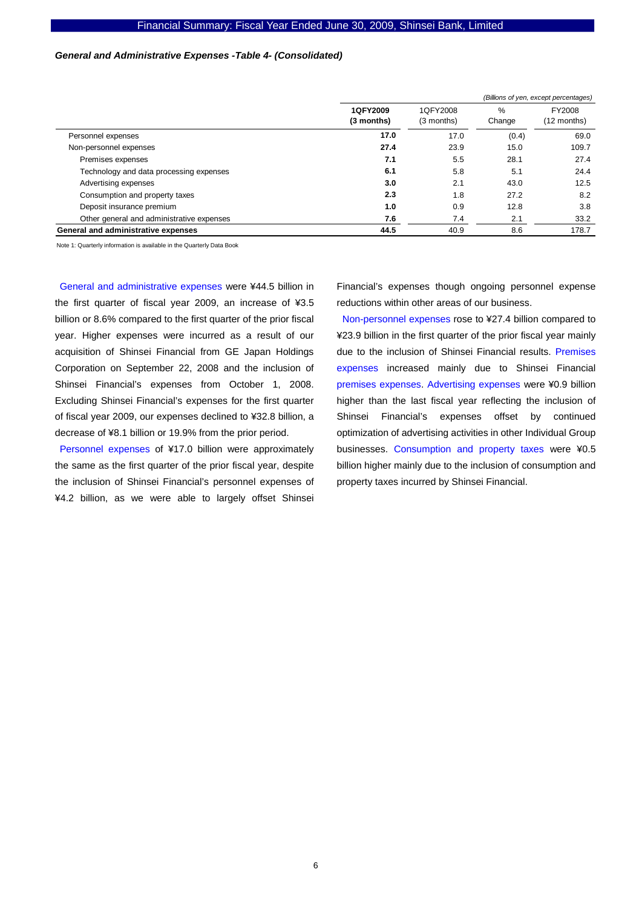#### *General and Administrative Expenses -Table 4- (Consolidated)*

|                                           |                        | (Billions of yen, except percentages) |             |                       |  |
|-------------------------------------------|------------------------|---------------------------------------|-------------|-----------------------|--|
|                                           | 1QFY2009<br>(3 months) | 1QFY2008<br>$(3$ months)              | %<br>Change | FY2008<br>(12 months) |  |
| Personnel expenses                        | 17.0                   | 17.0                                  | (0.4)       | 69.0                  |  |
| Non-personnel expenses                    | 27.4                   | 23.9                                  | 15.0        | 109.7                 |  |
| Premises expenses                         | 7.1                    | 5.5                                   | 28.1        | 27.4                  |  |
| Technology and data processing expenses   | 6.1                    | 5.8                                   | 5.1         | 24.4                  |  |
| Advertising expenses                      | 3.0                    | 2.1                                   | 43.0        | 12.5                  |  |
| Consumption and property taxes            | 2.3                    | 1.8                                   | 27.2        | 8.2                   |  |
| Deposit insurance premium                 | 1.0                    | 0.9                                   | 12.8        | 3.8                   |  |
| Other general and administrative expenses | 7.6                    | 7.4                                   | 2.1         | 33.2                  |  |
| General and administrative expenses       | 44.5                   | 40.9                                  | 8.6         | 178.7                 |  |

Note 1: Quarterly information is available in the Quarterly Data Book

General and administrative expenses were ¥44.5 billion in the first quarter of fiscal year 2009, an increase of ¥3.5 billion or 8.6% compared to the first quarter of the prior fiscal year. Higher expenses were incurred as a result of our acquisition of Shinsei Financial from GE Japan Holdings Corporation on September 22, 2008 and the inclusion of Shinsei Financial's expenses from October 1, 2008. Excluding Shinsei Financial's expenses for the first quarter of fiscal year 2009, our expenses declined to ¥32.8 billion, a decrease of ¥8.1 billion or 19.9% from the prior period.

Personnel expenses of ¥17.0 billion were approximately the same as the first quarter of the prior fiscal year, despite the inclusion of Shinsei Financial's personnel expenses of ¥4.2 billion, as we were able to largely offset Shinsei

Financial's expenses though ongoing personnel expense reductions within other areas of our business.

Non-personnel expenses rose to ¥27.4 billion compared to ¥23.9 billion in the first quarter of the prior fiscal year mainly due to the inclusion of Shinsei Financial results. Premises expenses increased mainly due to Shinsei Financial premises expenses. Advertising expenses were ¥0.9 billion higher than the last fiscal year reflecting the inclusion of Shinsei Financial's expenses offset by continued optimization of advertising activities in other Individual Group businesses. Consumption and property taxes were ¥0.5 billion higher mainly due to the inclusion of consumption and property taxes incurred by Shinsei Financial.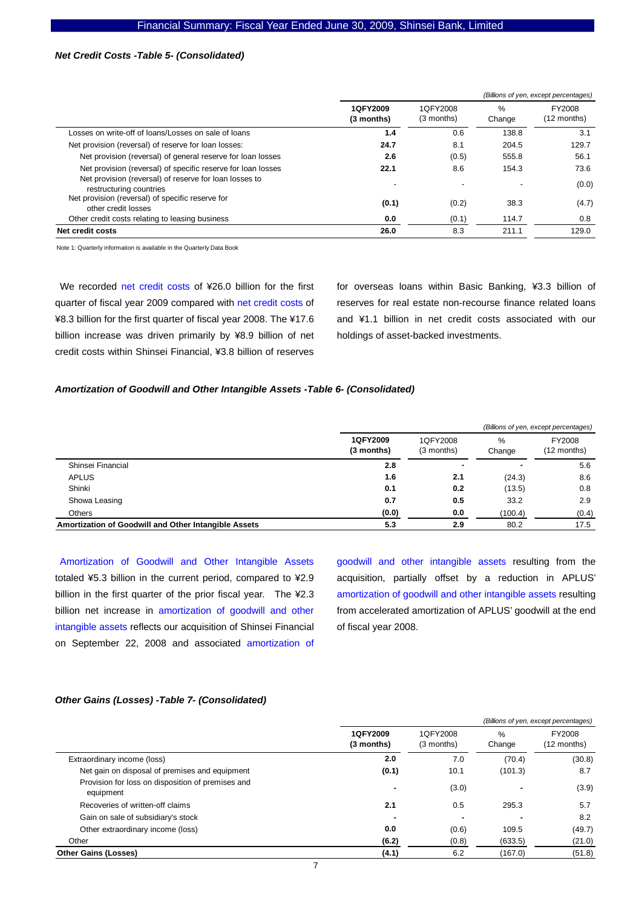#### *Net Credit Costs -Table 5- (Consolidated)*

|                                                                                   |                        |                          |                          | (Billions of yen, except percentages) |
|-----------------------------------------------------------------------------------|------------------------|--------------------------|--------------------------|---------------------------------------|
|                                                                                   | 1QFY2009<br>(3 months) | 1QFY2008<br>(3 months)   | $\%$<br>Change           | FY2008<br>(12 months)                 |
| Losses on write-off of loans/Losses on sale of loans                              | 1.4                    | 0.6                      | 138.8                    | 3.1                                   |
| Net provision (reversal) of reserve for loan losses:                              | 24.7                   | 8.1                      | 204.5                    | 129.7                                 |
| Net provision (reversal) of general reserve for loan losses                       | 2.6                    | (0.5)                    | 555.8                    | 56.1                                  |
| Net provision (reversal) of specific reserve for loan losses                      | 22.1                   | 8.6                      | 154.3                    | 73.6                                  |
| Net provision (reversal) of reserve for loan losses to<br>restructuring countries |                        | $\overline{\phantom{a}}$ | $\overline{\phantom{0}}$ | (0.0)                                 |
| Net provision (reversal) of specific reserve for<br>other credit losses           | (0.1)                  | (0.2)                    | 38.3                     | (4.7)                                 |
| Other credit costs relating to leasing business                                   | 0.0                    | (0.1)                    | 114.7                    | 0.8                                   |
| Net credit costs                                                                  | 26.0                   | 8.3                      | 211.1                    | 129.0                                 |

Note 1: Quarterly information is available in the Quarterly Data Book

We recorded net credit costs of ¥26.0 billion for the first quarter of fiscal year 2009 compared with net credit costs of ¥8.3 billion for the first quarter of fiscal year 2008. The ¥17.6 billion increase was driven primarily by ¥8.9 billion of net credit costs within Shinsei Financial, ¥3.8 billion of reserves

for overseas loans within Basic Banking, ¥3.3 billion of reserves for real estate non-recourse finance related loans and ¥1.1 billion in net credit costs associated with our holdings of asset-backed investments.

#### *Amortization of Goodwill and Other Intangible Assets -Table 6- (Consolidated)*

|                                                      |                        |                        |                | (Billions of yen, except percentages) |
|------------------------------------------------------|------------------------|------------------------|----------------|---------------------------------------|
|                                                      | 1QFY2009<br>(3 months) | 1QFY2008<br>(3 months) | $\%$<br>Change | FY2008<br>(12 months)                 |
| Shinsei Financial                                    | 2.8                    | ٠                      |                | 5.6                                   |
| <b>APLUS</b>                                         | 1.6                    | 2.1                    | (24.3)         | 8.6                                   |
| Shinki                                               | 0.1                    | 0.2                    | (13.5)         | 0.8                                   |
| Showa Leasing                                        | 0.7                    | 0.5                    | 33.2           | 2.9                                   |
| Others                                               | (0.0)                  | 0.0                    | (100.4)        | (0.4)                                 |
| Amortization of Goodwill and Other Intangible Assets | 5.3                    | 2.9                    | 80.2           | 17.5                                  |

Amortization of Goodwill and Other Intangible Assets totaled ¥5.3 billion in the current period, compared to ¥2.9 billion in the first quarter of the prior fiscal year. The ¥2.3 billion net increase in amortization of goodwill and other intangible assets reflects our acquisition of Shinsei Financial on September 22, 2008 and associated amortization of

goodwill and other intangible assets resulting from the acquisition, partially offset by a reduction in APLUS' amortization of goodwill and other intangible assets resulting from accelerated amortization of APLUS' goodwill at the end of fiscal year 2008.

#### *Other Gains (Losses) -Table 7- (Consolidated)*

|                                                                |                        |                          |                | (Billions of yen, except percentages) |
|----------------------------------------------------------------|------------------------|--------------------------|----------------|---------------------------------------|
|                                                                | 1QFY2009<br>(3 months) | 1QFY2008<br>(3 months)   | $\%$<br>Change | FY2008<br>(12 months)                 |
| Extraordinary income (loss)                                    | 2.0                    | 7.0                      | (70.4)         | (30.8)                                |
| Net gain on disposal of premises and equipment                 | (0.1)                  | 10.1                     | (101.3)        | 8.7                                   |
| Provision for loss on disposition of premises and<br>equipment |                        | (3.0)                    | ۰              | (3.9)                                 |
| Recoveries of written-off claims                               | 2.1                    | 0.5                      | 295.3          | 5.7                                   |
| Gain on sale of subsidiary's stock                             |                        | $\overline{\phantom{a}}$ |                | 8.2                                   |
| Other extraordinary income (loss)                              | 0.0                    | (0.6)                    | 109.5          | (49.7)                                |
| Other                                                          | (6.2)                  | (0.8)                    | (633.5)        | (21.0)                                |
| <b>Other Gains (Losses)</b>                                    | (4.1)                  | 6.2                      | (167.0)        | (51.8)                                |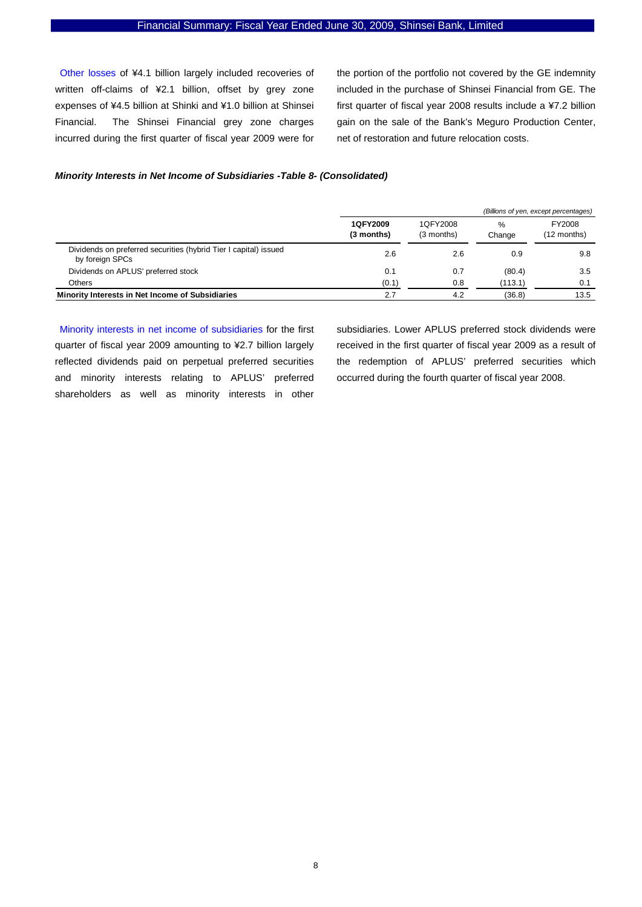Other losses of ¥4.1 billion largely included recoveries of written off-claims of ¥2.1 billion, offset by grey zone expenses of ¥4.5 billion at Shinki and ¥1.0 billion at Shinsei Financial. The Shinsei Financial grey zone charges incurred during the first quarter of fiscal year 2009 were for the portion of the portfolio not covered by the GE indemnity included in the purchase of Shinsei Financial from GE. The first quarter of fiscal year 2008 results include a ¥7.2 billion gain on the sale of the Bank's Meguro Production Center, net of restoration and future relocation costs.

#### *Minority Interests in Net Income of Subsidiaries -Table 8- (Consolidated)*

|                                                                                     |                        |                        |                         | (Billions of yen, except percentages) |
|-------------------------------------------------------------------------------------|------------------------|------------------------|-------------------------|---------------------------------------|
|                                                                                     | 1QFY2009<br>(3 months) | 1QFY2008<br>(3 months) | $\frac{9}{6}$<br>Change | FY2008<br>(12 months)                 |
| Dividends on preferred securities (hybrid Tier I capital) issued<br>by foreign SPCs | 2.6                    | 2.6                    | 0.9                     | 9.8                                   |
| Dividends on APLUS' preferred stock                                                 | 0.1                    | 0.7                    | (80.4)                  | 3.5                                   |
| Others                                                                              | (0.1)                  | 0.8                    | (113.1)                 | 0.1                                   |
| Minority Interests in Net Income of Subsidiaries                                    | 2.7                    | 4.2                    | (36.8)                  | 13.5                                  |

Minority interests in net income of subsidiaries for the first quarter of fiscal year 2009 amounting to ¥2.7 billion largely reflected dividends paid on perpetual preferred securities and minority interests relating to APLUS' preferred shareholders as well as minority interests in other subsidiaries. Lower APLUS preferred stock dividends were received in the first quarter of fiscal year 2009 as a result of the redemption of APLUS' preferred securities which occurred during the fourth quarter of fiscal year 2008.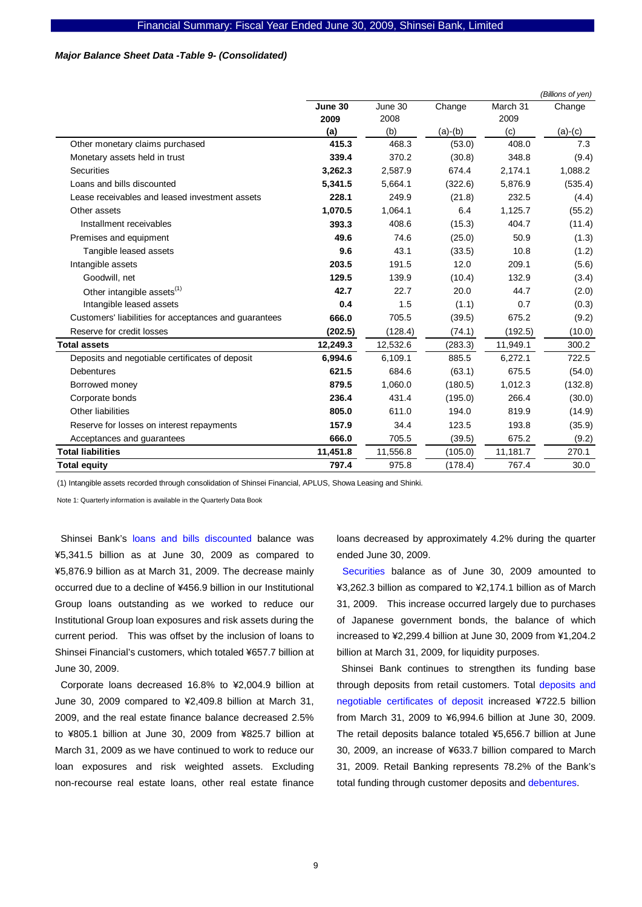#### *Major Balance Sheet Data -Table 9- (Consolidated)*

|                                                       |          |          |           |          | (Billions of yen) |
|-------------------------------------------------------|----------|----------|-----------|----------|-------------------|
|                                                       | June 30  | June 30  | Change    | March 31 | Change            |
|                                                       | 2009     | 2008     |           | 2009     |                   |
|                                                       | (a)      | (b)      | $(a)-(b)$ | (c)      | $(a)-(c)$         |
| Other monetary claims purchased                       | 415.3    | 468.3    | (53.0)    | 408.0    | 7.3               |
| Monetary assets held in trust                         | 339.4    | 370.2    | (30.8)    | 348.8    | (9.4)             |
| <b>Securities</b>                                     | 3,262.3  | 2,587.9  | 674.4     | 2,174.1  | 1,088.2           |
| Loans and bills discounted                            | 5,341.5  | 5.664.1  | (322.6)   | 5,876.9  | (535.4)           |
| Lease receivables and leased investment assets        | 228.1    | 249.9    | (21.8)    | 232.5    | (4.4)             |
| Other assets                                          | 1,070.5  | 1,064.1  | 6.4       | 1,125.7  | (55.2)            |
| Installment receivables                               | 393.3    | 408.6    | (15.3)    | 404.7    | (11.4)            |
| Premises and equipment                                | 49.6     | 74.6     | (25.0)    | 50.9     | (1.3)             |
| Tangible leased assets                                | 9.6      | 43.1     | (33.5)    | 10.8     | (1.2)             |
| Intangible assets                                     | 203.5    | 191.5    | 12.0      | 209.1    | (5.6)             |
| Goodwill, net                                         | 129.5    | 139.9    | (10.4)    | 132.9    | (3.4)             |
| Other intangible assets <sup>(1)</sup>                | 42.7     | 22.7     | 20.0      | 44.7     | (2.0)             |
| Intangible leased assets                              | 0.4      | 1.5      | (1.1)     | 0.7      | (0.3)             |
| Customers' liabilities for acceptances and guarantees | 666.0    | 705.5    | (39.5)    | 675.2    | (9.2)             |
| Reserve for credit losses                             | (202.5)  | (128.4)  | (74.1)    | (192.5)  | (10.0)            |
| <b>Total assets</b>                                   | 12,249.3 | 12,532.6 | (283.3)   | 11,949.1 | 300.2             |
| Deposits and negotiable certificates of deposit       | 6,994.6  | 6,109.1  | 885.5     | 6,272.1  | 722.5             |
| <b>Debentures</b>                                     | 621.5    | 684.6    | (63.1)    | 675.5    | (54.0)            |
| Borrowed money                                        | 879.5    | 1,060.0  | (180.5)   | 1,012.3  | (132.8)           |
| Corporate bonds                                       | 236.4    | 431.4    | (195.0)   | 266.4    | (30.0)            |
| Other liabilities                                     | 805.0    | 611.0    | 194.0     | 819.9    | (14.9)            |
| Reserve for losses on interest repayments             | 157.9    | 34.4     | 123.5     | 193.8    | (35.9)            |
| Acceptances and guarantees                            | 666.0    | 705.5    | (39.5)    | 675.2    | (9.2)             |
| <b>Total liabilities</b>                              | 11,451.8 | 11,556.8 | (105.0)   | 11,181.7 | 270.1             |
| <b>Total equity</b>                                   | 797.4    | 975.8    | (178.4)   | 767.4    | 30.0              |

(1) Intangible assets recorded through consolidation of Shinsei Financial, APLUS, Showa Leasing and Shinki.

Note 1: Quarterly information is available in the Quarterly Data Book

Shinsei Bank's loans and bills discounted balance was ¥5,341.5 billion as at June 30, 2009 as compared to ¥5,876.9 billion as at March 31, 2009. The decrease mainly occurred due to a decline of ¥456.9 billion in our Institutional Group loans outstanding as we worked to reduce our Institutional Group loan exposures and risk assets during the current period. This was offset by the inclusion of loans to Shinsei Financial's customers, which totaled ¥657.7 billion at June 30, 2009.

Corporate loans decreased 16.8% to ¥2,004.9 billion at June 30, 2009 compared to ¥2,409.8 billion at March 31, 2009, and the real estate finance balance decreased 2.5% to ¥805.1 billion at June 30, 2009 from ¥825.7 billion at March 31, 2009 as we have continued to work to reduce our loan exposures and risk weighted assets. Excluding non-recourse real estate loans, other real estate finance

loans decreased by approximately 4.2% during the quarter ended June 30, 2009.

Securities balance as of June 30, 2009 amounted to ¥3,262.3 billion as compared to ¥2,174.1 billion as of March 31, 2009. This increase occurred largely due to purchases of Japanese government bonds, the balance of which increased to ¥2,299.4 billion at June 30, 2009 from ¥1,204.2 billion at March 31, 2009, for liquidity purposes.

Shinsei Bank continues to strengthen its funding base through deposits from retail customers. Total deposits and negotiable certificates of deposit increased ¥722.5 billion from March 31, 2009 to ¥6,994.6 billion at June 30, 2009. The retail deposits balance totaled ¥5,656.7 billion at June 30, 2009, an increase of ¥633.7 billion compared to March 31, 2009. Retail Banking represents 78.2% of the Bank's total funding through customer deposits and debentures.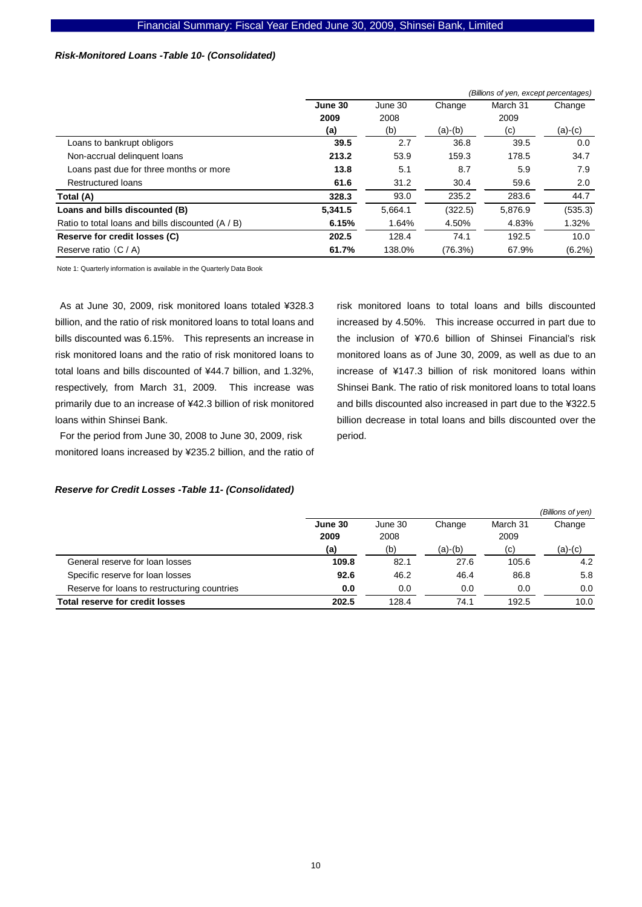#### *Risk-Monitored Loans -Table 10- (Consolidated)*

|                                                   |         |         |           | (Billions of yen, except percentages) |           |  |
|---------------------------------------------------|---------|---------|-----------|---------------------------------------|-----------|--|
|                                                   | June 30 | June 30 | Change    | March 31                              | Change    |  |
|                                                   | 2009    | 2008    |           | 2009                                  |           |  |
|                                                   | (a)     | (b)     | $(a)-(b)$ | (c)                                   | $(a)-(c)$ |  |
| Loans to bankrupt obligors                        | 39.5    | 2.7     | 36.8      | 39.5                                  | 0.0       |  |
| Non-accrual delinguent loans                      | 213.2   | 53.9    | 159.3     | 178.5                                 | 34.7      |  |
| Loans past due for three months or more           | 13.8    | 5.1     | 8.7       | 5.9                                   | 7.9       |  |
| <b>Restructured loans</b>                         | 61.6    | 31.2    | 30.4      | 59.6                                  | 2.0       |  |
| Total (A)                                         | 328.3   | 93.0    | 235.2     | 283.6                                 | 44.7      |  |
| Loans and bills discounted (B)                    | 5,341.5 | 5,664.1 | (322.5)   | 5,876.9                               | (535.3)   |  |
| Ratio to total loans and bills discounted (A / B) | 6.15%   | 1.64%   | 4.50%     | 4.83%                                 | 1.32%     |  |
| Reserve for credit losses (C)                     | 202.5   | 128.4   | 74.1      | 192.5                                 | 10.0      |  |
| Reserve ratio $(C / A)$                           | 61.7%   | 138.0%  | (76.3%)   | 67.9%                                 | $(6.2\%)$ |  |

Note 1: Quarterly information is available in the Quarterly Data Book

As at June 30, 2009, risk monitored loans totaled ¥328.3 billion, and the ratio of risk monitored loans to total loans and bills discounted was 6.15%. This represents an increase in risk monitored loans and the ratio of risk monitored loans to total loans and bills discounted of ¥44.7 billion, and 1.32%, respectively, from March 31, 2009. This increase was primarily due to an increase of ¥42.3 billion of risk monitored loans within Shinsei Bank.

For the period from June 30, 2008 to June 30, 2009, risk monitored loans increased by ¥235.2 billion, and the ratio of risk monitored loans to total loans and bills discounted increased by 4.50%. This increase occurred in part due to the inclusion of ¥70.6 billion of Shinsei Financial's risk monitored loans as of June 30, 2009, as well as due to an increase of ¥147.3 billion of risk monitored loans within Shinsei Bank. The ratio of risk monitored loans to total loans and bills discounted also increased in part due to the ¥322.5 billion decrease in total loans and bills discounted over the period.

# *Reserve for Credit Losses -Table 11- (Consolidated)*

|                                              |         |         |           |          | (Billions of yen) |
|----------------------------------------------|---------|---------|-----------|----------|-------------------|
|                                              | June 30 | June 30 | Change    | March 31 | Change            |
|                                              | 2009    | 2008    |           | 2009     |                   |
|                                              | (a)     | (b)     | $(a)-(b)$ | (c)      | (a)-(c)           |
| General reserve for loan losses              | 109.8   | 82.1    | 27.6      | 105.6    | 4.2               |
| Specific reserve for loan losses             | 92.6    | 46.2    | 46.4      | 86.8     | 5.8               |
| Reserve for loans to restructuring countries | 0.0     | 0.0     | 0.0       | 0.0      | 0.0               |
| Total reserve for credit losses              | 202.5   | 128.4   | 74.1      | 192.5    | 10.0              |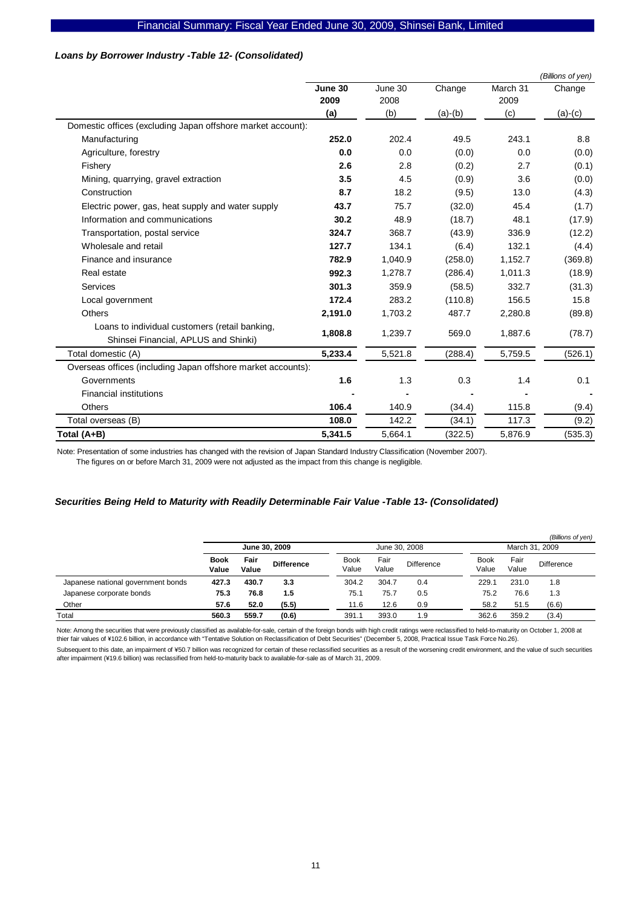## *Loans by Borrower Industry -Table 12- (Consolidated)*

|                                                                                        |         |         |           |          | (Billions of yen) |
|----------------------------------------------------------------------------------------|---------|---------|-----------|----------|-------------------|
|                                                                                        | June 30 | June 30 | Change    | March 31 | Change            |
|                                                                                        | 2009    | 2008    |           | 2009     |                   |
|                                                                                        | (a)     | (b)     | $(a)-(b)$ | (c)      | $(a)-(c)$         |
| Domestic offices (excluding Japan offshore market account):                            |         |         |           |          |                   |
| Manufacturing                                                                          | 252.0   | 202.4   | 49.5      | 243.1    | 8.8               |
| Agriculture, forestry                                                                  | 0.0     | 0.0     | (0.0)     | 0.0      | (0.0)             |
| Fishery                                                                                | 2.6     | 2.8     | (0.2)     | 2.7      | (0.1)             |
| Mining, quarrying, gravel extraction                                                   | 3.5     | 4.5     | (0.9)     | 3.6      | (0.0)             |
| Construction                                                                           | 8.7     | 18.2    | (9.5)     | 13.0     | (4.3)             |
| Electric power, gas, heat supply and water supply                                      | 43.7    | 75.7    | (32.0)    | 45.4     | (1.7)             |
| Information and communications                                                         | 30.2    | 48.9    | (18.7)    | 48.1     | (17.9)            |
| Transportation, postal service                                                         | 324.7   | 368.7   | (43.9)    | 336.9    | (12.2)            |
| Wholesale and retail                                                                   | 127.7   | 134.1   | (6.4)     | 132.1    | (4.4)             |
| Finance and insurance                                                                  | 782.9   | 1,040.9 | (258.0)   | 1,152.7  | (369.8)           |
| Real estate                                                                            | 992.3   | 1,278.7 | (286.4)   | 1,011.3  | (18.9)            |
| Services                                                                               | 301.3   | 359.9   | (58.5)    | 332.7    | (31.3)            |
| Local government                                                                       | 172.4   | 283.2   | (110.8)   | 156.5    | 15.8              |
| Others                                                                                 | 2,191.0 | 1,703.2 | 487.7     | 2,280.8  | (89.8)            |
| Loans to individual customers (retail banking,<br>Shinsei Financial, APLUS and Shinki) | 1,808.8 | 1,239.7 | 569.0     | 1,887.6  | (78.7)            |
| Total domestic (A)                                                                     | 5,233.4 | 5,521.8 | (288.4)   | 5,759.5  | (526.1)           |
| Overseas offices (including Japan offshore market accounts):                           |         |         |           |          |                   |
| Governments                                                                            | 1.6     | 1.3     | 0.3       | 1.4      | 0.1               |
| <b>Financial institutions</b>                                                          |         |         |           |          |                   |
| <b>Others</b>                                                                          | 106.4   | 140.9   | (34.4)    | 115.8    | (9.4)             |
| Total overseas (B)                                                                     | 108.0   | 142.2   | (34.1)    | 117.3    | (9.2)             |
| Total (A+B)                                                                            | 5,341.5 | 5,664.1 | (322.5)   | 5,876.9  | (535.3)           |

Note: Presentation of some industries has changed with the revision of Japan Standard Industry Classification (November 2007).

The figures on or before March 31, 2009 were not adjusted as the impact from this change is negligible.

#### *Securities Being Held to Maturity with Readily Determinable Fair Value -Table 13- (Consolidated)*

|                                    |                      |               |                   |                      |               |                   |                      |               | (Billions of yen) |  |
|------------------------------------|----------------------|---------------|-------------------|----------------------|---------------|-------------------|----------------------|---------------|-------------------|--|
|                                    | June 30, 2009        |               |                   | June 30, 2008        |               |                   | March 31, 2009       |               |                   |  |
|                                    | <b>Book</b><br>Value | Fair<br>Value | <b>Difference</b> | <b>Book</b><br>Value | Fair<br>Value | <b>Difference</b> | <b>Book</b><br>Value | Fair<br>Value | <b>Difference</b> |  |
| Japanese national government bonds | 427.3                | 430.7         | 3.3               | 304.2                | 304.7         | 0.4               | 229.1                | 231.0         | 1.8               |  |
| Japanese corporate bonds           | 75.3                 | 76.8          | 1.5               | 75.1                 | 75.7          | 0.5               | 75.2                 | 76.6          | 1.3               |  |
| Other                              | 57.6                 | 52.0          | (5.5)             | 11.6                 | 12.6          | 0.9               | 58.2                 | 51.5          | (6.6)             |  |
| Total                              | 560.3                | 559.7         | (0.6)             | 391.1                | 393.0         | 1.9               | 362.6                | 359.2         | (3.4)             |  |

Note: Among the securities that were previously classified as available-for-sale, certain of the foreign bonds with high credit ratings were reclassified to held-to-maturity on October 1, 2008 at thier fair values of ¥102.6 billion, in accordance with "Tentative Solution on Reclassification of Debt Securities" (December 5, 2008, Practical Issue Task Force No.26).

Subsequent to this date, an impairment of ¥50.7 billion was recognized for certain of these reclassified securities as a result of the worsening credit environment, and the value of such securities after impairment (¥19.6 billion) was reclassified from held-to-maturity back to available-for-sale as of March 31, 2009.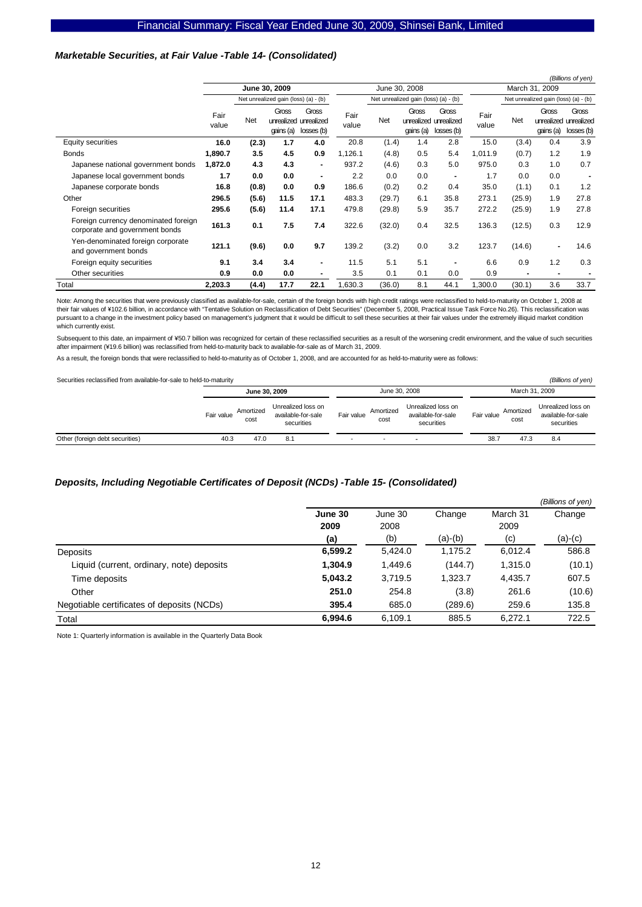#### *Marketable Securities, at Fair Value -Table 14- (Consolidated)*

|                                                                        |               |            |                                      |                                              |               |               |                    |                                              |                |                |                    | (Billions of yen)                            |
|------------------------------------------------------------------------|---------------|------------|--------------------------------------|----------------------------------------------|---------------|---------------|--------------------|----------------------------------------------|----------------|----------------|--------------------|----------------------------------------------|
|                                                                        |               |            | June 30, 2009                        |                                              |               | June 30, 2008 |                    |                                              | March 31, 2009 |                |                    |                                              |
|                                                                        |               |            | Net unrealized gain (loss) (a) - (b) |                                              |               |               |                    | Net unrealized gain (loss) (a) - (b)         |                |                |                    | Net unrealized gain (loss) (a) - (b)         |
|                                                                        | Fair<br>value | <b>Net</b> | Gross<br>qains (a)                   | Gross<br>unrealized unrealized<br>losses (b) | Fair<br>value | <b>Net</b>    | Gross<br>qains (a) | Gross<br>unrealized unrealized<br>losses (b) | Fair<br>value  | <b>Net</b>     | Gross<br>qains (a) | Gross<br>unrealized unrealized<br>losses (b) |
| Equity securities                                                      | 16.0          | (2.3)      | 1.7                                  | 4.0                                          | 20.8          | (1.4)         | 1.4                | 2.8                                          | 15.0           | (3.4)          | 0.4                | 3.9                                          |
| <b>Bonds</b>                                                           | 1,890.7       | 3.5        | 4.5                                  | 0.9                                          | 1,126.1       | (4.8)         | 0.5                | 5.4                                          | 1,011.9        | (0.7)          | 1.2                | 1.9                                          |
| Japanese national government bonds                                     | 1,872.0       | 4.3        | 4.3                                  | $\blacksquare$                               | 937.2         | (4.6)         | 0.3                | 5.0                                          | 975.0          | 0.3            | 1.0                | 0.7                                          |
| Japanese local government bonds                                        | 1.7           | 0.0        | 0.0                                  | $\blacksquare$                               | 2.2           | 0.0           | 0.0                | $\blacksquare$                               | 1.7            | 0.0            | 0.0                | $\blacksquare$                               |
| Japanese corporate bonds                                               | 16.8          | (0.8)      | 0.0                                  | 0.9                                          | 186.6         | (0.2)         | 0.2                | 0.4                                          | 35.0           | (1.1)          | 0.1                | 1.2                                          |
| Other                                                                  | 296.5         | (5.6)      | 11.5                                 | 17.1                                         | 483.3         | (29.7)        | 6.1                | 35.8                                         | 273.1          | (25.9)         | 1.9                | 27.8                                         |
| Foreign securities                                                     | 295.6         | (5.6)      | 11.4                                 | 17.1                                         | 479.8         | (29.8)        | 5.9                | 35.7                                         | 272.2          | (25.9)         | 1.9                | 27.8                                         |
| Foreign currency denominated foreign<br>corporate and government bonds | 161.3         | 0.1        | 7.5                                  | 7.4                                          | 322.6         | (32.0)        | 0.4                | 32.5                                         | 136.3          | (12.5)         | 0.3                | 12.9                                         |
| Yen-denominated foreign corporate<br>and government bonds              | 121.1         | (9.6)      | 0.0                                  | 9.7                                          | 139.2         | (3.2)         | 0.0                | 3.2                                          | 123.7          | (14.6)         |                    | 14.6                                         |
| Foreign equity securities                                              | 9.1           | 3.4        | 3.4                                  | $\blacksquare$                               | 11.5          | 5.1           | 5.1                | $\blacksquare$                               | 6.6            | 0.9            | 1.2                | 0.3                                          |
| Other securities                                                       | 0.9           | 0.0        | 0.0                                  |                                              | 3.5           | 0.1           | 0.1                | 0.0                                          | 0.9            | $\blacksquare$ |                    |                                              |
| Total                                                                  | 2,203.3       | (4.4)      | 17.7                                 | 22.1                                         | 1,630.3       | (36.0)        | 8.1                | 44.1                                         | 1,300.0        | (30.1)         | 3.6                | 33.7                                         |

Note: Among the securities that were previously classified as available-for-sale, certain of the foreign bonds with high credit ratings were reclassified to held-to-maturity on October 1, 2008 at Their fair values of ¥102.6 billion, in accordance with "Tentative Solution on Reclassification of Debt Securities" (December 5, 2008, Practical Issue Task Force No.26). This reclassification was their fair values of ¥102. pursuant to a change in the investment policy based on management's judgment that it would be difficult to sell these securities at their fair values under the extremely illiquid market condition which currently exist.

Subsequent to this date, an impairment of ¥50.7 billion was recognized for certain of these reclassified securities as a result of the worsening credit environment, and the value of such securities after impairment (¥19.6 billion) was reclassified from held-to-maturity back to available-for-sale as of March 31, 2009.

As a result, the foreign bonds that were reclassified to held-to-maturity as of October 1, 2008, and are accounted for as held-to-maturity were as follows:

Securities reclassified from available-for-sale to held-to-maturity *(Billions of yen) (Billions of yen)* 

|                                 |               |                   |                                                        |               |                   |                                                        |                |                   | _ _ _ _ _ _ _ _ _ _ _ _ _ _                            |
|---------------------------------|---------------|-------------------|--------------------------------------------------------|---------------|-------------------|--------------------------------------------------------|----------------|-------------------|--------------------------------------------------------|
|                                 | June 30, 2009 |                   |                                                        | June 30, 2008 |                   |                                                        | March 31, 2009 |                   |                                                        |
|                                 | Fair value    | Amortized<br>cost | Unrealized loss on<br>available-for-sale<br>securities | Fair value    | Amortized<br>cost | Unrealized loss on<br>available-for-sale<br>securities | Fair value     | Amortized<br>cost | Unrealized loss on<br>available-for-sale<br>securities |
| Other (foreign debt securities) | 40.3          | 47.0              | 8.1                                                    |               | -                 |                                                        | 38.7           | 47.3              | 8.4                                                    |

#### *Deposits, Including Negotiable Certificates of Deposit (NCDs) -Table 15- (Consolidated)*

|                                            |         |         |           |          | (Billions of yen) |
|--------------------------------------------|---------|---------|-----------|----------|-------------------|
|                                            | June 30 | June 30 | Change    | March 31 | Change            |
|                                            | 2009    | 2008    |           | 2009     |                   |
|                                            | (a)     | (b)     | $(a)-(b)$ | (c)      | (a)-(c)           |
| Deposits                                   | 6,599.2 | 5,424.0 | 1,175.2   | 6,012.4  | 586.8             |
| Liquid (current, ordinary, note) deposits  | 1,304.9 | 1,449.6 | (144.7)   | 1,315.0  | (10.1)            |
| Time deposits                              | 5,043.2 | 3,719.5 | 1,323.7   | 4,435.7  | 607.5             |
| Other                                      | 251.0   | 254.8   | (3.8)     | 261.6    | (10.6)            |
| Negotiable certificates of deposits (NCDs) | 395.4   | 685.0   | (289.6)   | 259.6    | 135.8             |
| Total                                      | 6.994.6 | 6.109.1 | 885.5     | 6.272.1  | 722.5             |

Note 1: Quarterly information is available in the Quarterly Data Book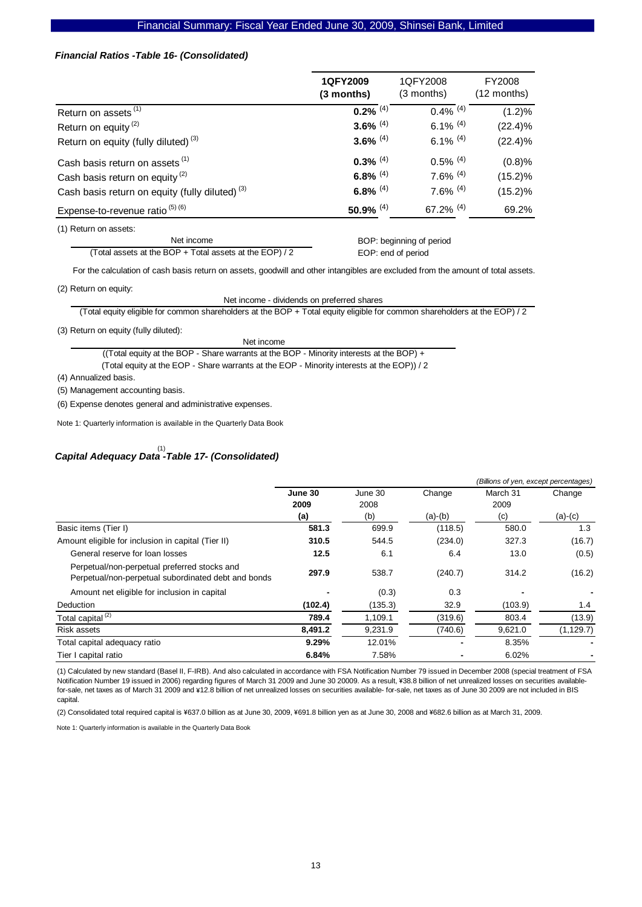#### *Financial Ratios -Table 16- (Consolidated)*

|                                                            | 1QFY2009<br>$(3$ months) | 1QFY2008<br>$(3$ months) | FY2008<br>(12 months) |
|------------------------------------------------------------|--------------------------|--------------------------|-----------------------|
| Return on assets <sup>(1)</sup>                            | $0.2\%$ <sup>(4)</sup>   | $0.4\%$ <sup>(4)</sup>   | (1.2)%                |
| Return on equity <sup>(2)</sup>                            | 3.6% $(4)$               | 6.1% $(4)$               | $(22.4)\%$            |
| Return on equity (fully diluted) <sup>(3)</sup>            | 3.6% $(4)$               | 6.1% $(4)$               | $(22.4)\%$            |
| Cash basis return on assets <sup>(1)</sup>                 | $0.3\%$ <sup>(4)</sup>   | $0.5\%$ <sup>(4)</sup>   | (0.8)%                |
| Cash basis return on equity <sup>(2)</sup>                 | 6.8% $(4)$               | $7.6\%$ (4)              | $(15.2)\%$            |
| Cash basis return on equity (fully diluted) <sup>(3)</sup> | 6.8% $(4)$               | $7.6\%$ (4)              | $(15.2)\%$            |
| Expense-to-revenue ratio $(5)$ $(6)$                       | 50.9% $(4)$              | 67.2% $(4)$              | 69.2%                 |

(1) Return on assets:

Net income (Total assets at the BOP + Total assets at the EOP) / 2

 BOP: beginning of period EOP: end of period

For the calculation of cash basis return on assets, goodwill and other intangibles are excluded from the amount of total assets.

(2) Return on equity:

Net income - dividends on preferred shares

(Total equity eligible for common shareholders at the BOP + Total equity eligible for common shareholders at the EOP) / 2

(3) Return on equity (fully diluted):

Net income

 (Total equity at the EOP - Share warrants at the EOP - Minority interests at the EOP)) / 2 ((Total equity at the BOP - Share warrants at the BOP - Minority interests at the BOP) +

(4) Annualized basis.

(5) Management accounting basis.

(6) Expense denotes general and administrative expenses.

Note 1: Quarterly information is available in the Quarterly Data Book

# *Capital Adequacy Data -Table 17- (Consolidated)*  (1)

|                                                                                                     |                 |                 |           | (Billions of yen, except percentages) |            |
|-----------------------------------------------------------------------------------------------------|-----------------|-----------------|-----------|---------------------------------------|------------|
|                                                                                                     | June 30<br>2009 | June 30<br>2008 | Change    | March 31<br>2009                      | Change     |
|                                                                                                     | (a)             | (b)             | $(a)-(b)$ | (c)                                   | $(a)-(c)$  |
| Basic items (Tier I)                                                                                | 581.3           | 699.9           | (118.5)   | 580.0                                 | 1.3        |
| Amount eligible for inclusion in capital (Tier II)                                                  | 310.5           | 544.5           | (234.0)   | 327.3                                 | (16.7)     |
| General reserve for loan losses                                                                     | 12.5            | 6.1             | 6.4       | 13.0                                  | (0.5)      |
| Perpetual/non-perpetual preferred stocks and<br>Perpetual/non-perpetual subordinated debt and bonds | 297.9           | 538.7           | (240.7)   | 314.2                                 | (16.2)     |
| Amount net eligible for inclusion in capital                                                        |                 | (0.3)           | 0.3       |                                       |            |
| <b>Deduction</b>                                                                                    | (102.4)         | (135.3)         | 32.9      | (103.9)                               | 1.4        |
| Total capital <sup>(2)</sup>                                                                        | 789.4           | 1,109.1         | (319.6)   | 803.4                                 | (13.9)     |
| Risk assets                                                                                         | 8,491.2         | 9,231.9         | (740.6)   | 9,621.0                               | (1, 129.7) |
| Total capital adequacy ratio                                                                        | 9.29%           | 12.01%          |           | 8.35%                                 |            |
| Tier I capital ratio                                                                                | 6.84%           | 7.58%           |           | 6.02%                                 |            |

(1) Calculated by new standard (Basel II, F-IRB). And also calculated in accordance with FSA Notification Number 79 issued in December 2008 (special treatment of FSA Notification Number 19 issued in 2006) regarding figures of March 31 2009 and June 30 20009. As a result, ¥38.8 billion of net unrealized losses on securities availablefor-sale, net taxes as of March 31 2009 and ¥12.8 billion of net unrealized losses on securities available- for-sale, net taxes as of June 30 2009 are not included in BIS capital.

(2) Consolidated total required capital is ¥637.0 billion as at June 30, 2009, ¥691.8 billion yen as at June 30, 2008 and ¥682.6 billion as at March 31, 2009.

Note 1: Quarterly information is available in the Quarterly Data Book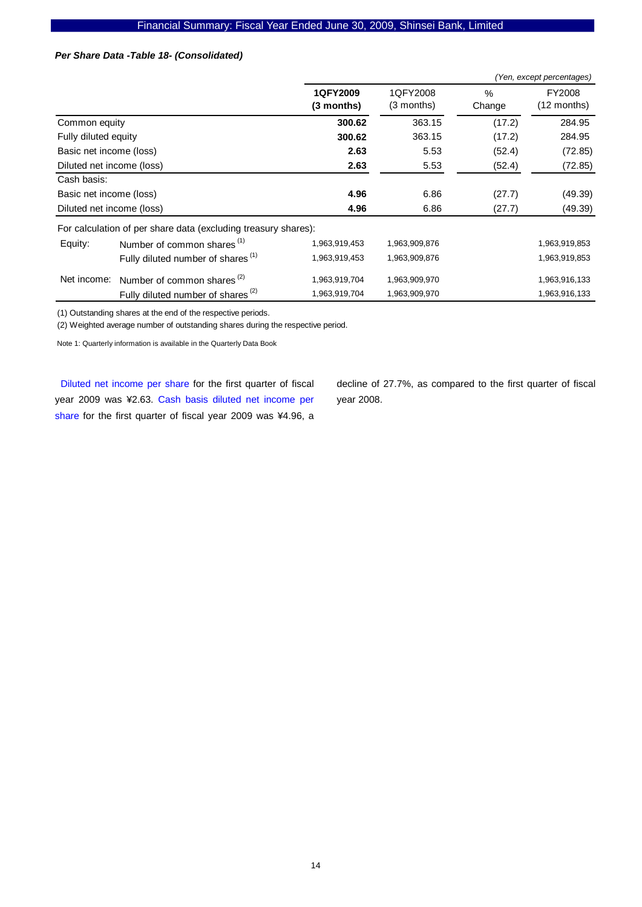## *Per Share Data -Table 18- (Consolidated)*

|                           |                                                                |                        |                        |                | (Yen, except percentages) |
|---------------------------|----------------------------------------------------------------|------------------------|------------------------|----------------|---------------------------|
|                           |                                                                | 1QFY2009<br>(3 months) | 1QFY2008<br>(3 months) | $\%$<br>Change | FY2008<br>(12 months)     |
| Common equity             |                                                                | 300.62                 | 363.15                 | (17.2)         | 284.95                    |
| Fully diluted equity      |                                                                | 300.62                 | 363.15                 | (17.2)         | 284.95                    |
| Basic net income (loss)   |                                                                | 2.63                   | 5.53                   | (52.4)         | (72.85)                   |
| Diluted net income (loss) |                                                                | 2.63                   | 5.53                   | (52.4)         | (72.85)                   |
| Cash basis:               |                                                                |                        |                        |                |                           |
| Basic net income (loss)   |                                                                | 4.96                   | 6.86                   | (27.7)         | (49.39)                   |
| Diluted net income (loss) |                                                                | 4.96                   | 6.86                   | (27.7)         | (49.39)                   |
|                           | For calculation of per share data (excluding treasury shares): |                        |                        |                |                           |
| Equity:                   | Number of common shares <sup>(1)</sup>                         | 1,963,919,453          | 1,963,909,876          |                | 1,963,919,853             |
|                           | Fully diluted number of shares <sup>(1)</sup>                  | 1,963,919,453          | 1,963,909,876          |                | 1,963,919,853             |
| Net income:               | Number of common shares <sup>(2)</sup>                         | 1,963,919,704          | 1,963,909,970          |                | 1,963,916,133             |
|                           | Fully diluted number of shares <sup>(2)</sup>                  | 1,963,919,704          | 1,963,909,970          |                | 1,963,916,133             |

(1) Outstanding shares at the end of the respective periods.

(2) Weighted average number of outstanding shares during the respective period.

Note 1: Quarterly information is available in the Quarterly Data Book

Diluted net income per share for the first quarter of fiscal year 2009 was ¥2.63. Cash basis diluted net income per share for the first quarter of fiscal year 2009 was ¥4.96, a

decline of 27.7%, as compared to the first quarter of fiscal year 2008.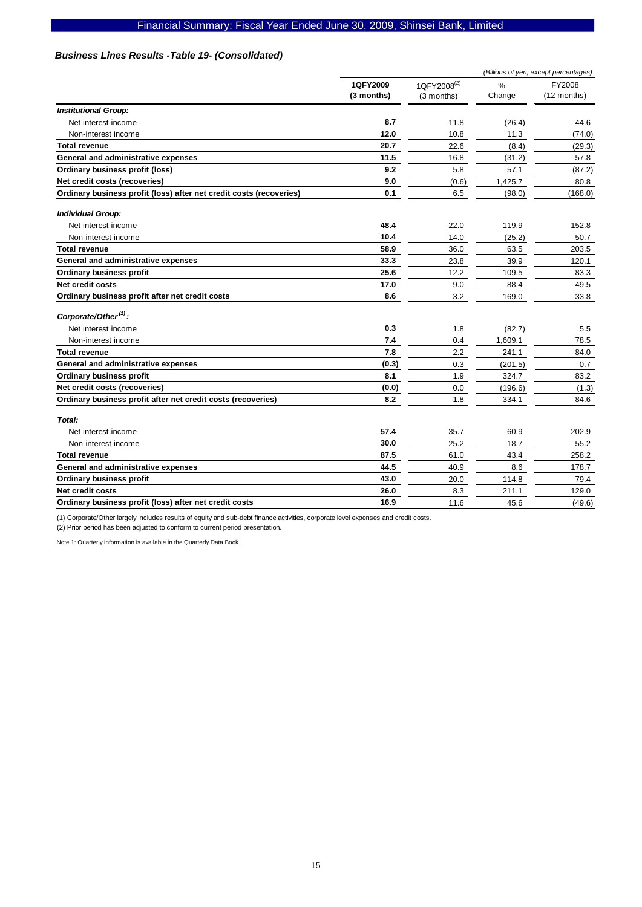# Financial Summary: Fiscal Year Ended June 30, 2009, Shinsei Bank, Limited

### *Business Lines Results -Table 19- (Consolidated)*

|                                                                     |                        |                                       | (Billions of yen, except percentages) |                       |  |
|---------------------------------------------------------------------|------------------------|---------------------------------------|---------------------------------------|-----------------------|--|
|                                                                     | 1QFY2009<br>(3 months) | 1QFY2008 <sup>(2)</sup><br>(3 months) | $\frac{0}{0}$<br>Change               | FY2008<br>(12 months) |  |
| <b>Institutional Group:</b>                                         |                        |                                       |                                       |                       |  |
| Net interest income                                                 | 8.7                    | 11.8                                  | (26.4)                                | 44.6                  |  |
| Non-interest income                                                 | 12.0                   | 10.8                                  | 11.3                                  | (74.0)                |  |
| <b>Total revenue</b>                                                | 20.7                   | 22.6                                  | (8.4)                                 | (29.3)                |  |
| General and administrative expenses                                 | 11.5                   | 16.8                                  | (31.2)                                | 57.8                  |  |
| Ordinary business profit (loss)                                     | 9.2                    | 5.8                                   | 57.1                                  | (87.2)                |  |
| Net credit costs (recoveries)                                       | 9.0                    | (0.6)                                 | 1,425.7                               | 80.8                  |  |
| Ordinary business profit (loss) after net credit costs (recoveries) | 0.1                    | 6.5                                   | (98.0)                                | (168.0)               |  |
| <b>Individual Group:</b>                                            |                        |                                       |                                       |                       |  |
| Net interest income                                                 | 48.4                   | 22.0                                  | 119.9                                 | 152.8                 |  |
| Non-interest income                                                 | 10.4                   | 14.0                                  | (25.2)                                | 50.7                  |  |
| <b>Total revenue</b>                                                | 58.9                   | 36.0                                  | 63.5                                  | 203.5                 |  |
| General and administrative expenses                                 | 33.3                   | 23.8                                  | 39.9                                  | 120.1                 |  |
| <b>Ordinary business profit</b>                                     | 25.6                   | 12.2                                  | 109.5                                 | 83.3                  |  |
| Net credit costs                                                    | 17.0                   | 9.0                                   | 88.4                                  | 49.5                  |  |
| Ordinary business profit after net credit costs                     | 8.6                    | 3.2                                   | 169.0                                 | 33.8                  |  |
| Corporate/Other <sup>(1)</sup> :                                    |                        |                                       |                                       |                       |  |
| Net interest income                                                 | 0.3                    | 1.8                                   | (82.7)                                | 5.5                   |  |
| Non-interest income                                                 | 7.4                    | 0.4                                   | 1,609.1                               | 78.5                  |  |
| <b>Total revenue</b>                                                | 7.8                    | 2.2                                   | 241.1                                 | 84.0                  |  |
| General and administrative expenses                                 | (0.3)                  | 0.3                                   | (201.5)                               | 0.7                   |  |
| <b>Ordinary business profit</b>                                     | 8.1                    | 1.9                                   | 324.7                                 | 83.2                  |  |
| Net credit costs (recoveries)                                       | (0.0)                  | 0.0                                   | (196.6)                               | (1.3)                 |  |
| Ordinary business profit after net credit costs (recoveries)        | 8.2                    | 1.8                                   | 334.1                                 | 84.6                  |  |
| Total:                                                              |                        |                                       |                                       |                       |  |
| Net interest income                                                 | 57.4                   | 35.7                                  | 60.9                                  | 202.9                 |  |
| Non-interest income                                                 | 30.0                   | 25.2                                  | 18.7                                  | 55.2                  |  |
| <b>Total revenue</b>                                                | 87.5                   | 61.0                                  | 43.4                                  | 258.2                 |  |
| General and administrative expenses                                 | 44.5                   | 40.9                                  | 8.6                                   | 178.7                 |  |
| <b>Ordinary business profit</b>                                     | 43.0                   | 20.0                                  | 114.8                                 | 79.4                  |  |
| Net credit costs                                                    | 26.0                   | 8.3                                   | 211.1                                 | 129.0                 |  |
| Ordinary business profit (loss) after net credit costs              | 16.9                   | 11.6                                  | 45.6                                  | (49.6)                |  |

(1) Corporate/Other largely includes results of equity and sub-debt finance activities, corporate level expenses and credit costs.

(2) Prior period has been adjusted to conform to current period presentation.

Note 1: Quarterly information is available in the Quarterly Data Book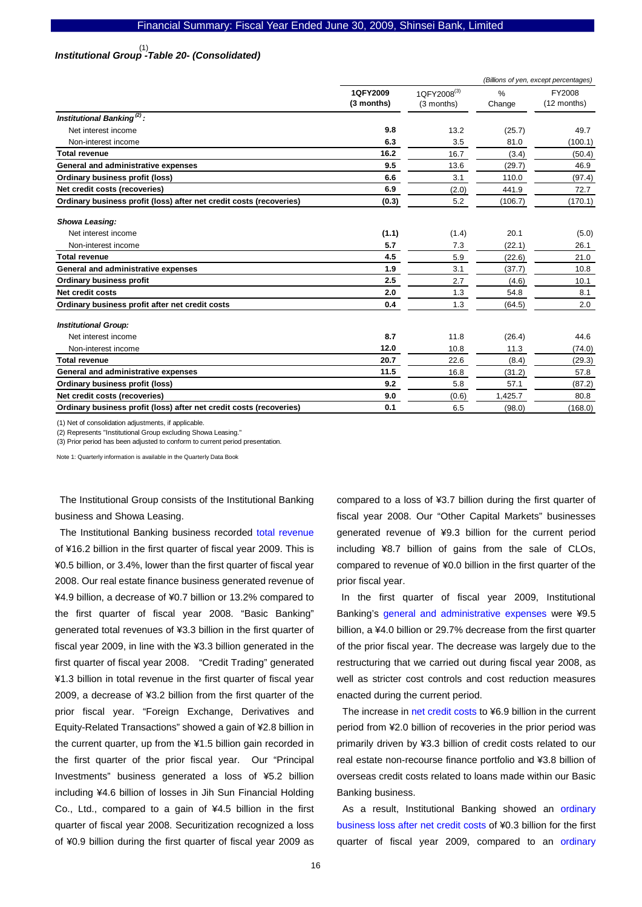# *Institutional Group -Table 20- (Consolidated)*  (1)

|                                                                     |                        | (Billions of yen, except percentages) |             |                       |
|---------------------------------------------------------------------|------------------------|---------------------------------------|-------------|-----------------------|
|                                                                     | 1QFY2009<br>(3 months) | 1QFY2008 <sup>(3)</sup><br>(3 months) | %<br>Change | FY2008<br>(12 months) |
| Institutional Banking <sup>(2)</sup> :                              |                        |                                       |             |                       |
| Net interest income                                                 | 9.8                    | 13.2                                  | (25.7)      | 49.7                  |
| Non-interest income                                                 | 6.3                    | 3.5                                   | 81.0        | (100.1)               |
| <b>Total revenue</b>                                                | 16.2                   | 16.7                                  | (3.4)       | (50.4)                |
| General and administrative expenses                                 | 9.5                    | 13.6                                  | (29.7)      | 46.9                  |
| Ordinary business profit (loss)                                     | 6.6                    | 3.1                                   | 110.0       | (97.4)                |
| Net credit costs (recoveries)                                       | 6.9                    | (2.0)                                 | 441.9       | 72.7                  |
| Ordinary business profit (loss) after net credit costs (recoveries) | (0.3)                  | 5.2                                   | (106.7)     | (170.1)               |
| <b>Showa Leasing:</b>                                               |                        |                                       |             |                       |
| Net interest income                                                 | (1.1)                  | (1.4)                                 | 20.1        | (5.0)                 |
| Non-interest income                                                 | 5.7                    | 7.3                                   | (22.1)      | 26.1                  |
| <b>Total revenue</b>                                                | 4.5                    | 5.9                                   | (22.6)      | 21.0                  |
| General and administrative expenses                                 | 1.9                    | 3.1                                   | (37.7)      | 10.8                  |
| <b>Ordinary business profit</b>                                     | 2.5                    | 2.7                                   | (4.6)       | 10.1                  |
| Net credit costs                                                    | 2.0                    | 1.3                                   | 54.8        | 8.1                   |
| Ordinary business profit after net credit costs                     | 0.4                    | 1.3                                   | (64.5)      | 2.0                   |
| <b>Institutional Group:</b>                                         |                        |                                       |             |                       |
| Net interest income                                                 | 8.7                    | 11.8                                  | (26.4)      | 44.6                  |
| Non-interest income                                                 | 12.0                   | 10.8                                  | 11.3        | (74.0)                |
| <b>Total revenue</b>                                                | 20.7                   | 22.6                                  | (8.4)       | (29.3)                |
| General and administrative expenses                                 | 11.5                   | 16.8                                  | (31.2)      | 57.8                  |
| Ordinary business profit (loss)                                     | 9.2                    | 5.8                                   | 57.1        | (87.2)                |
| Net credit costs (recoveries)                                       | 9.0                    | (0.6)                                 | 1.425.7     | 80.8                  |
| Ordinary business profit (loss) after net credit costs (recoveries) | 0.1                    | 6.5                                   | (98.0)      | (168.0)               |

(1) Net of consolidation adjustments, if applicable.

(2) Represents "Institutional Group excluding Showa Leasing."

(3) Prior period has been adjusted to conform to current period presentation.

Note 1: Quarterly information is available in the Quarterly Data Book

The Institutional Group consists of the Institutional Banking business and Showa Leasing.

The Institutional Banking business recorded total revenue of ¥16.2 billion in the first quarter of fiscal year 2009. This is ¥0.5 billion, or 3.4%, lower than the first quarter of fiscal year 2008. Our real estate finance business generated revenue of ¥4.9 billion, a decrease of ¥0.7 billion or 13.2% compared to the first quarter of fiscal year 2008. "Basic Banking" generated total revenues of ¥3.3 billion in the first quarter of fiscal year 2009, in line with the ¥3.3 billion generated in the first quarter of fiscal year 2008. "Credit Trading" generated ¥1.3 billion in total revenue in the first quarter of fiscal year 2009, a decrease of ¥3.2 billion from the first quarter of the prior fiscal year. "Foreign Exchange, Derivatives and Equity-Related Transactions" showed a gain of ¥2.8 billion in the current quarter, up from the ¥1.5 billion gain recorded in the first quarter of the prior fiscal year. Our "Principal Investments" business generated a loss of ¥5.2 billion including ¥4.6 billion of losses in Jih Sun Financial Holding Co., Ltd., compared to a gain of ¥4.5 billion in the first quarter of fiscal year 2008. Securitization recognized a loss of ¥0.9 billion during the first quarter of fiscal year 2009 as

compared to a loss of ¥3.7 billion during the first quarter of fiscal year 2008. Our "Other Capital Markets" businesses generated revenue of ¥9.3 billion for the current period including ¥8.7 billion of gains from the sale of CLOs, compared to revenue of ¥0.0 billion in the first quarter of the prior fiscal year.

In the first quarter of fiscal year 2009, Institutional Banking's general and administrative expenses were ¥9.5 billion, a ¥4.0 billion or 29.7% decrease from the first quarter of the prior fiscal year. The decrease was largely due to the restructuring that we carried out during fiscal year 2008, as well as stricter cost controls and cost reduction measures enacted during the current period.

The increase in net credit costs to ¥6.9 billion in the current period from ¥2.0 billion of recoveries in the prior period was primarily driven by ¥3.3 billion of credit costs related to our real estate non-recourse finance portfolio and ¥3.8 billion of overseas credit costs related to loans made within our Basic Banking business.

As a result, Institutional Banking showed an ordinary business loss after net credit costs of ¥0.3 billion for the first quarter of fiscal year 2009, compared to an ordinary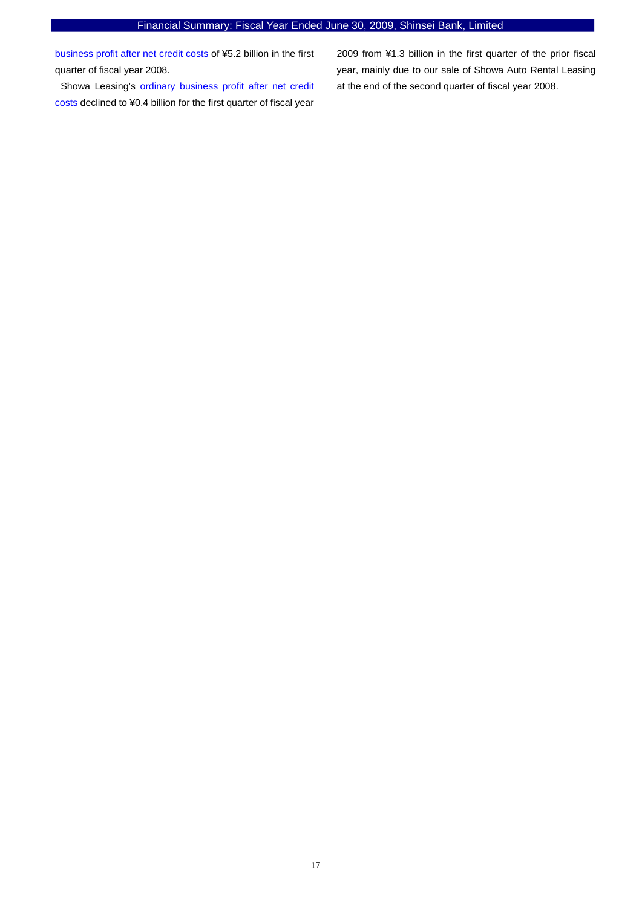business profit after net credit costs of ¥5.2 billion in the first quarter of fiscal year 2008.

Showa Leasing's ordinary business profit after net credit costs declined to ¥0.4 billion for the first quarter of fiscal year

2009 from ¥1.3 billion in the first quarter of the prior fiscal year, mainly due to our sale of Showa Auto Rental Leasing at the end of the second quarter of fiscal year 2008.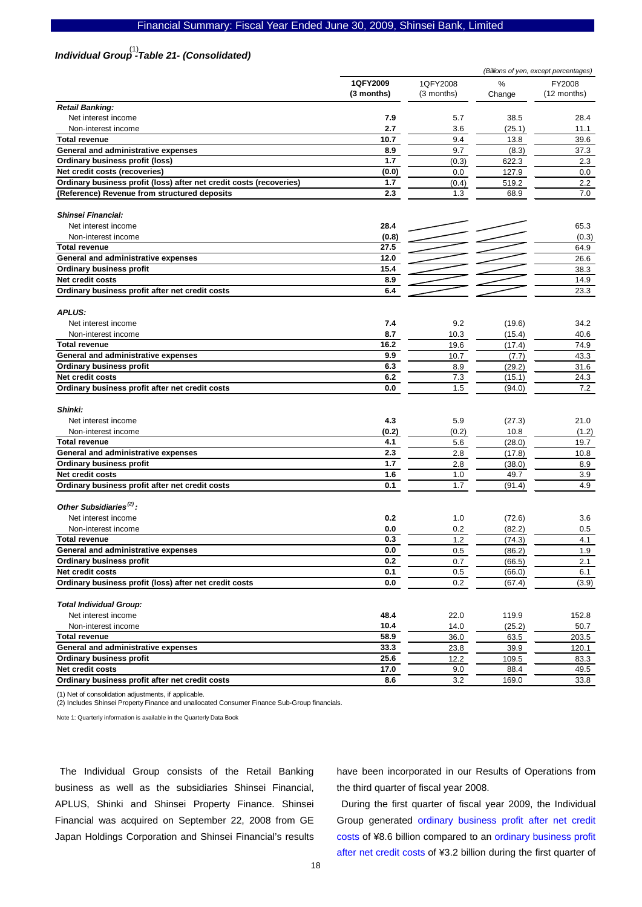#### Financial Summary: Fiscal Year Ended June 30, 2009, Shinsei Bank, Limited

# *Individual Group -Table 21- (Consolidated)*  (1)

|                                                                     |            |            | (Billions of yen, except percentages) |               |  |  |  |
|---------------------------------------------------------------------|------------|------------|---------------------------------------|---------------|--|--|--|
|                                                                     | 1QFY2009   | 1QFY2008   | %                                     | FY2008        |  |  |  |
|                                                                     | (3 months) | (3 months) | Change                                | $(12$ months) |  |  |  |
| <b>Retail Banking:</b>                                              |            |            |                                       |               |  |  |  |
| Net interest income                                                 | 7.9        | 5.7        | 38.5                                  | 28.4          |  |  |  |
| Non-interest income                                                 | 2.7        | 3.6        | (25.1)                                | 11.1          |  |  |  |
| <b>Total revenue</b>                                                | 10.7       | 9.4        | 13.8                                  | 39.6          |  |  |  |
| General and administrative expenses                                 | 8.9        | 9.7        | (8.3)                                 | 37.3          |  |  |  |
| <b>Ordinary business profit (loss)</b>                              | 1.7        | (0.3)      | 622.3                                 | 2.3           |  |  |  |
| Net credit costs (recoveries)                                       | (0.0)      | 0.0        | 127.9                                 | 0.0           |  |  |  |
| Ordinary business profit (loss) after net credit costs (recoveries) | 1.7        | (0.4)      | 519.2                                 | 2.2           |  |  |  |
| (Reference) Revenue from structured deposits                        | 2.3        | 1.3        | 68.9                                  | 7.0           |  |  |  |
| <b>Shinsei Financial:</b>                                           |            |            |                                       |               |  |  |  |
| Net interest income                                                 | 28.4       |            |                                       | 65.3          |  |  |  |
| Non-interest income                                                 | (0.8)      |            |                                       | (0.3)         |  |  |  |
| <b>Total revenue</b>                                                | 27.5       |            |                                       | 64.9          |  |  |  |
| General and administrative expenses                                 | 12.0       |            |                                       | 26.6          |  |  |  |
| <b>Ordinary business profit</b>                                     | 15.4       |            |                                       | 38.3          |  |  |  |
| Net credit costs                                                    | 8.9        |            |                                       | 14.9          |  |  |  |
| Ordinary business profit after net credit costs                     | 6.4        |            |                                       | 23.3          |  |  |  |
|                                                                     |            |            |                                       |               |  |  |  |
| <b>APLUS:</b>                                                       | 7.4        | 9.2        |                                       |               |  |  |  |
| Net interest income                                                 | 8.7        |            | (19.6)                                | 34.2          |  |  |  |
| Non-interest income                                                 |            | 10.3       | (15.4)                                | 40.6          |  |  |  |
| <b>Total revenue</b>                                                | 16.2       | 19.6       | (17.4)                                | 74.9          |  |  |  |
| General and administrative expenses                                 | 9.9        | 10.7       | (7.7)                                 | 43.3          |  |  |  |
| <b>Ordinary business profit</b>                                     | 6.3        | 8.9        | (29.2)                                | 31.6          |  |  |  |
| Net credit costs                                                    | 6.2        | 7.3        | (15.1)                                | 24.3          |  |  |  |
| Ordinary business profit after net credit costs                     | 0.0        | 1.5        | (94.0)                                | 7.2           |  |  |  |
| Shinki:                                                             |            |            |                                       |               |  |  |  |
| Net interest income                                                 | 4.3        | 5.9        | (27.3)                                | 21.0          |  |  |  |
| Non-interest income                                                 | (0.2)      | (0.2)      | 10.8                                  | (1.2)         |  |  |  |
| <b>Total revenue</b>                                                | 4.1        | 5.6        | (28.0)                                | 19.7          |  |  |  |
| General and administrative expenses                                 | 2.3        | 2.8        | (17.8)                                | 10.8          |  |  |  |
| <b>Ordinary business profit</b>                                     | 1.7        | 2.8        | (38.0)                                | 8.9           |  |  |  |
| Net credit costs                                                    | 1.6        | 1.0        | 49.7                                  | 3.9           |  |  |  |
| Ordinary business profit after net credit costs                     | 0.1        | 1.7        | (91.4)                                | 4.9           |  |  |  |
| Other Subsidiaries <sup>(2)</sup> :                                 |            |            |                                       |               |  |  |  |
| Net interest income                                                 | 0.2        | 1.0        | (72.6)                                | 3.6           |  |  |  |
| Non-interest income                                                 | 0.0        | 0.2        | (82.2)                                | 0.5           |  |  |  |
| <b>Total revenue</b>                                                | 0.3        | 1.2        | (74.3)                                | 4.1           |  |  |  |
| General and administrative expenses                                 | $0.0\,$    | 0.5        | (86.2)                                | 1.9           |  |  |  |
| <b>Ordinary business profit</b>                                     | 0.2        | 0.7        | (66.5)                                | 2.1           |  |  |  |
| Net credit costs                                                    | 0.1        | 0.5        | (66.0)                                | 6.1           |  |  |  |
| Ordinary business profit (loss) after net credit costs              | 0.0        | 0.2        | (67.4)                                | (3.9)         |  |  |  |
| <b>Total Individual Group:</b>                                      |            |            |                                       |               |  |  |  |
| Net interest income                                                 | 48.4       | 22.0       | 119.9                                 | 152.8         |  |  |  |
| Non-interest income                                                 | 10.4       | 14.0       | (25.2)                                | 50.7          |  |  |  |
| <b>Total revenue</b>                                                | 58.9       | 36.0       | 63.5                                  | 203.5         |  |  |  |
| General and administrative expenses                                 | 33.3       | 23.8       | 39.9                                  | 120.1         |  |  |  |
| <b>Ordinary business profit</b>                                     | 25.6       | 12.2       | 109.5                                 | 83.3          |  |  |  |
| Net credit costs                                                    | 17.0       | 9.0        | 88.4                                  | 49.5          |  |  |  |
| Ordinary business profit after net credit costs                     | 8.6        | 3.2        | 169.0                                 | 33.8          |  |  |  |
|                                                                     |            |            |                                       |               |  |  |  |

(1) Net of consolidation adjustments, if applicable.

(2) Includes Shinsei Property Finance and unallocated Consumer Finance Sub-Group financials.

Note 1: Quarterly information is available in the Quarterly Data Book

The Individual Group consists of the Retail Banking business as well as the subsidiaries Shinsei Financial, APLUS, Shinki and Shinsei Property Finance. Shinsei Financial was acquired on September 22, 2008 from GE Japan Holdings Corporation and Shinsei Financial's results have been incorporated in our Results of Operations from the third quarter of fiscal year 2008.

During the first quarter of fiscal year 2009, the Individual Group generated ordinary business profit after net credit costs of ¥8.6 billion compared to an ordinary business profit after net credit costs of ¥3.2 billion during the first quarter of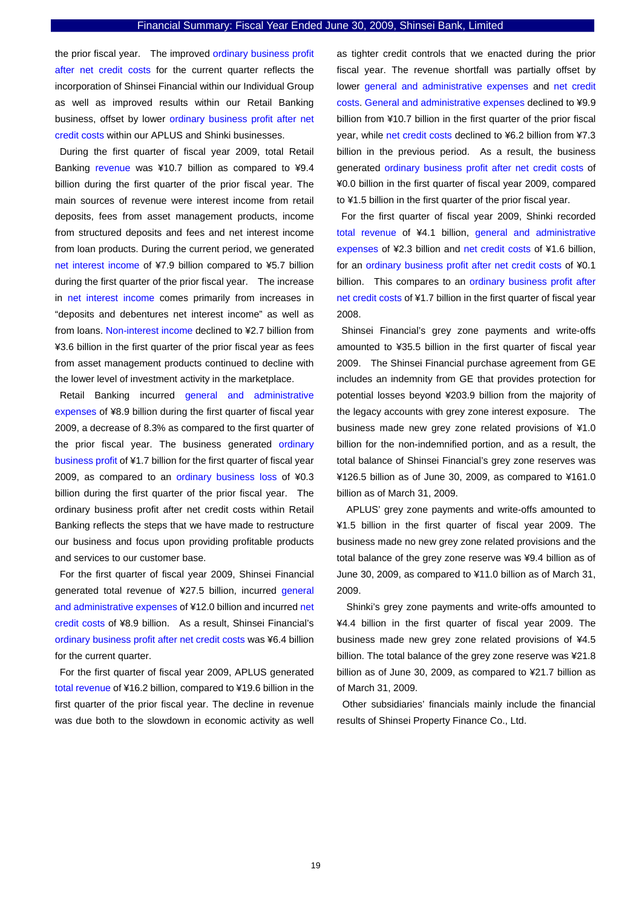the prior fiscal year. The improved ordinary business profit after net credit costs for the current quarter reflects the incorporation of Shinsei Financial within our Individual Group as well as improved results within our Retail Banking business, offset by lower ordinary business profit after net credit costs within our APLUS and Shinki businesses.

During the first quarter of fiscal year 2009, total Retail Banking revenue was ¥10.7 billion as compared to ¥9.4 billion during the first quarter of the prior fiscal year. The main sources of revenue were interest income from retail deposits, fees from asset management products, income from structured deposits and fees and net interest income from loan products. During the current period, we generated net interest income of ¥7.9 billion compared to ¥5.7 billion during the first quarter of the prior fiscal year. The increase in net interest income comes primarily from increases in "deposits and debentures net interest income" as well as from loans. Non-interest income declined to ¥2.7 billion from ¥3.6 billion in the first quarter of the prior fiscal year as fees from asset management products continued to decline with the lower level of investment activity in the marketplace.

Retail Banking incurred general and administrative expenses of ¥8.9 billion during the first quarter of fiscal year 2009, a decrease of 8.3% as compared to the first quarter of the prior fiscal year. The business generated ordinary business profit of ¥1.7 billion for the first quarter of fiscal year 2009, as compared to an ordinary business loss of ¥0.3 billion during the first quarter of the prior fiscal year. The ordinary business profit after net credit costs within Retail Banking reflects the steps that we have made to restructure our business and focus upon providing profitable products and services to our customer base.

For the first quarter of fiscal year 2009, Shinsei Financial generated total revenue of ¥27.5 billion, incurred general and administrative expenses of ¥12.0 billion and incurred net credit costs of ¥8.9 billion. As a result, Shinsei Financial's ordinary business profit after net credit costs was ¥6.4 billion for the current quarter.

For the first quarter of fiscal year 2009, APLUS generated total revenue of ¥16.2 billion, compared to ¥19.6 billion in the first quarter of the prior fiscal year. The decline in revenue was due both to the slowdown in economic activity as well

as tighter credit controls that we enacted during the prior fiscal year. The revenue shortfall was partially offset by lower general and administrative expenses and net credit costs. General and administrative expenses declined to ¥9.9 billion from ¥10.7 billion in the first quarter of the prior fiscal year, while net credit costs declined to ¥6.2 billion from ¥7.3 billion in the previous period. As a result, the business generated ordinary business profit after net credit costs of ¥0.0 billion in the first quarter of fiscal year 2009, compared to ¥1.5 billion in the first quarter of the prior fiscal year.

For the first quarter of fiscal year 2009, Shinki recorded total revenue of ¥4.1 billion, general and administrative expenses of ¥2.3 billion and net credit costs of ¥1.6 billion, for an ordinary business profit after net credit costs of ¥0.1 billion. This compares to an ordinary business profit after net credit costs of ¥1.7 billion in the first quarter of fiscal year 2008.

Shinsei Financial's grey zone payments and write-offs amounted to ¥35.5 billion in the first quarter of fiscal year 2009. The Shinsei Financial purchase agreement from GE includes an indemnity from GE that provides protection for potential losses beyond ¥203.9 billion from the majority of the legacy accounts with grey zone interest exposure. The business made new grey zone related provisions of ¥1.0 billion for the non-indemnified portion, and as a result, the total balance of Shinsei Financial's grey zone reserves was ¥126.5 billion as of June 30, 2009, as compared to ¥161.0 billion as of March 31, 2009.

APLUS' grey zone payments and write-offs amounted to ¥1.5 billion in the first quarter of fiscal year 2009. The business made no new grey zone related provisions and the total balance of the grey zone reserve was ¥9.4 billion as of June 30, 2009, as compared to ¥11.0 billion as of March 31, 2009.

Shinki's grey zone payments and write-offs amounted to ¥4.4 billion in the first quarter of fiscal year 2009. The business made new grey zone related provisions of ¥4.5 billion. The total balance of the grey zone reserve was ¥21.8 billion as of June 30, 2009, as compared to ¥21.7 billion as of March 31, 2009.

Other subsidiaries' financials mainly include the financial results of Shinsei Property Finance Co., Ltd.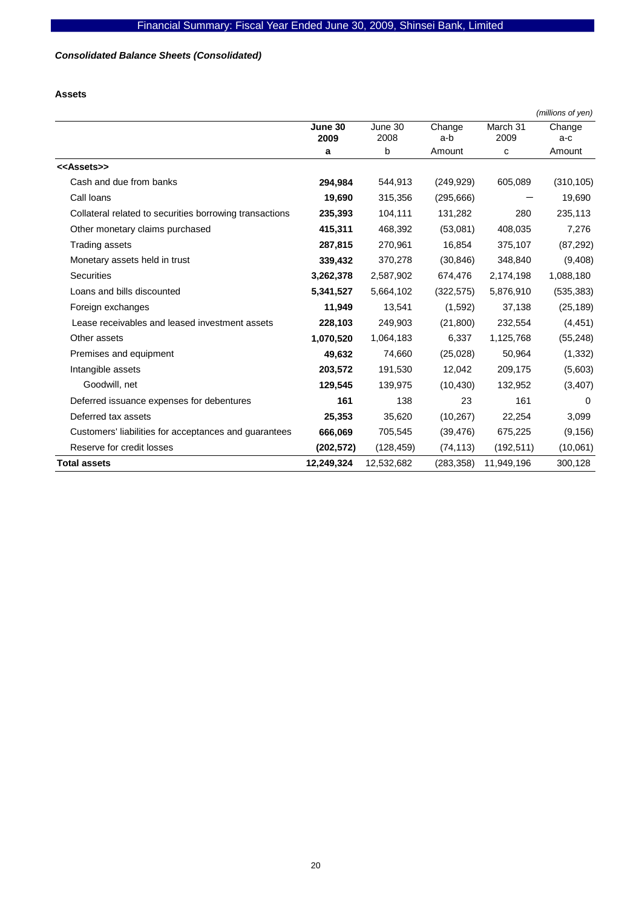# *Consolidated Balance Sheets (Consolidated)*

**Assets** 

|                                                         |                 |                 |               |                  | (millions of yen) |
|---------------------------------------------------------|-----------------|-----------------|---------------|------------------|-------------------|
|                                                         | June 30<br>2009 | June 30<br>2008 | Change<br>a-b | March 31<br>2009 | Change<br>a-c     |
|                                                         | a               | b               | Amount        | c                | Amount            |
| < <assets>&gt;</assets>                                 |                 |                 |               |                  |                   |
| Cash and due from banks                                 | 294,984         | 544,913         | (249, 929)    | 605,089          | (310, 105)        |
| Call loans                                              | 19,690          | 315,356         | (295, 666)    |                  | 19,690            |
| Collateral related to securities borrowing transactions | 235,393         | 104,111         | 131,282       | 280              | 235,113           |
| Other monetary claims purchased                         | 415,311         | 468,392         | (53,081)      | 408,035          | 7,276             |
| Trading assets                                          | 287,815         | 270,961         | 16,854        | 375,107          | (87, 292)         |
| Monetary assets held in trust                           | 339,432         | 370,278         | (30, 846)     | 348,840          | (9,408)           |
| <b>Securities</b>                                       | 3,262,378       | 2,587,902       | 674,476       | 2,174,198        | 1,088,180         |
| Loans and bills discounted                              | 5,341,527       | 5,664,102       | (322, 575)    | 5,876,910        | (535, 383)        |
| Foreign exchanges                                       | 11,949          | 13,541          | (1,592)       | 37,138           | (25, 189)         |
| Lease receivables and leased investment assets          | 228,103         | 249,903         | (21, 800)     | 232,554          | (4, 451)          |
| Other assets                                            | 1,070,520       | 1,064,183       | 6,337         | 1,125,768        | (55, 248)         |
| Premises and equipment                                  | 49,632          | 74,660          | (25,028)      | 50,964           | (1, 332)          |
| Intangible assets                                       | 203,572         | 191,530         | 12,042        | 209,175          | (5,603)           |
| Goodwill, net                                           | 129,545         | 139,975         | (10, 430)     | 132,952          | (3, 407)          |
| Deferred issuance expenses for debentures               | 161             | 138             | 23            | 161              | $\Omega$          |
| Deferred tax assets                                     | 25,353          | 35,620          | (10, 267)     | 22,254           | 3,099             |
| Customers' liabilities for acceptances and guarantees   | 666,069         | 705,545         | (39, 476)     | 675,225          | (9, 156)          |
| Reserve for credit losses                               | (202, 572)      | (128, 459)      | (74, 113)     | (192, 511)       | (10,061)          |
| <b>Total assets</b>                                     | 12,249,324      | 12,532,682      | (283, 358)    | 11,949,196       | 300,128           |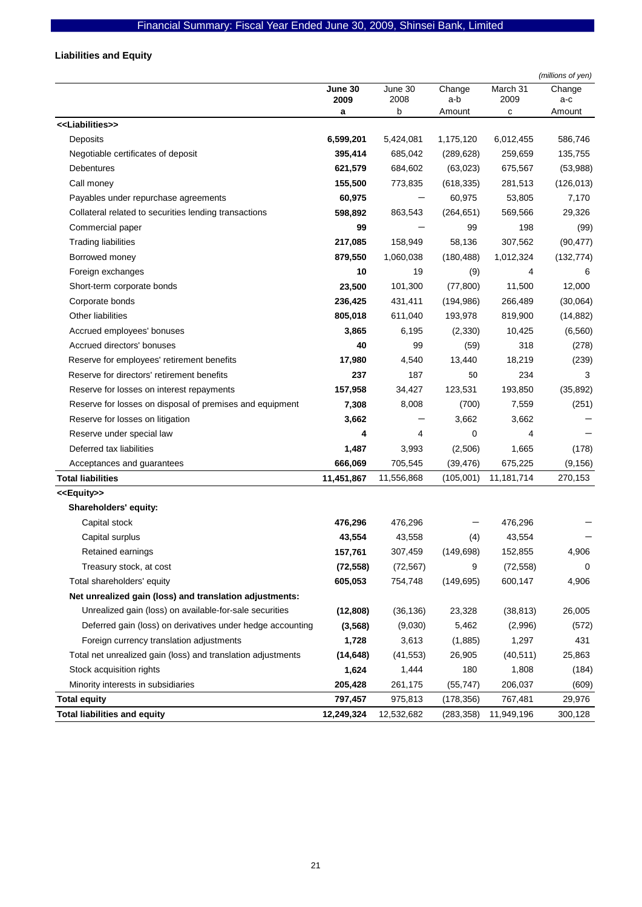# **Liabilities and Equity**

|                                                              |                 |                 |               |                  | (millions of yen) |
|--------------------------------------------------------------|-----------------|-----------------|---------------|------------------|-------------------|
|                                                              | June 30<br>2009 | June 30<br>2008 | Change<br>a-b | March 31<br>2009 | Change<br>a-c     |
|                                                              | а               | b               | Amount        | с                | Amount            |
| < <liabilities>&gt;</liabilities>                            |                 |                 |               |                  |                   |
| Deposits                                                     | 6,599,201       | 5,424,081       | 1,175,120     | 6,012,455        | 586,746           |
| Negotiable certificates of deposit                           | 395,414         | 685,042         | (289, 628)    | 259,659          | 135,755           |
| Debentures                                                   | 621,579         | 684,602         | (63,023)      | 675,567          | (53,988)          |
| Call money                                                   | 155,500         | 773,835         | (618, 335)    | 281,513          | (126, 013)        |
| Payables under repurchase agreements                         | 60,975          |                 | 60,975        | 53,805           | 7,170             |
| Collateral related to securities lending transactions        | 598,892         | 863,543         | (264, 651)    | 569,566          | 29,326            |
| Commercial paper                                             | 99              |                 | 99            | 198              | (99)              |
| <b>Trading liabilities</b>                                   | 217,085         | 158,949         | 58,136        | 307,562          | (90, 477)         |
| Borrowed money                                               | 879,550         | 1,060,038       | (180, 488)    | 1,012,324        | (132, 774)        |
| Foreign exchanges                                            | 10              | 19              | (9)           | 4                | 6                 |
| Short-term corporate bonds                                   | 23,500          | 101,300         | (77, 800)     | 11,500           | 12,000            |
| Corporate bonds                                              | 236,425         | 431,411         | (194, 986)    | 266,489          | (30,064)          |
| <b>Other liabilities</b>                                     | 805,018         | 611,040         | 193,978       | 819,900          | (14, 882)         |
| Accrued employees' bonuses                                   | 3,865           | 6,195           | (2,330)       | 10,425           | (6, 560)          |
| Accrued directors' bonuses                                   | 40              | 99              | (59)          | 318              | (278)             |
| Reserve for employees' retirement benefits                   | 17,980          | 4,540           | 13,440        | 18,219           | (239)             |
| Reserve for directors' retirement benefits                   | 237             | 187             | 50            | 234              | 3                 |
| Reserve for losses on interest repayments                    | 157,958         | 34,427          | 123,531       | 193,850          | (35, 892)         |
| Reserve for losses on disposal of premises and equipment     | 7,308           | 8,008           | (700)         | 7,559            | (251)             |
| Reserve for losses on litigation                             | 3,662           |                 | 3,662         | 3,662            |                   |
| Reserve under special law                                    | 4               | 4               | 0             | 4                |                   |
| Deferred tax liabilities                                     | 1,487           | 3,993           | (2,506)       | 1,665            | (178)             |
| Acceptances and guarantees                                   | 666,069         | 705,545         | (39, 476)     | 675,225          | (9, 156)          |
| <b>Total liabilities</b>                                     | 11,451,867      | 11,556,868      | (105,001)     | 11,181,714       | 270,153           |
| < <equity>&gt;</equity>                                      |                 |                 |               |                  |                   |
| Shareholders' equity:                                        |                 |                 |               |                  |                   |
| Capital stock                                                | 476,296         | 476,296         |               | 476,296          |                   |
| Capital surplus                                              | 43,554          | 43,558          | (4)           | 43,554           |                   |
| Retained earnings                                            | 157,761         | 307,459         | (149, 698)    | 152,855          | 4,906             |
| Treasury stock, at cost                                      | (72, 558)       | (72, 567)       | 9             | (72, 558)        | 0                 |
| Total shareholders' equity                                   | 605,053         | 754,748         | (149, 695)    | 600,147          | 4,906             |
| Net unrealized gain (loss) and translation adjustments:      |                 |                 |               |                  |                   |
| Unrealized gain (loss) on available-for-sale securities      | (12, 808)       | (36, 136)       | 23,328        | (38, 813)        | 26,005            |
| Deferred gain (loss) on derivatives under hedge accounting   | (3, 568)        | (9,030)         | 5,462         | (2,996)          | (572)             |
| Foreign currency translation adjustments                     | 1,728           | 3,613           | (1,885)       | 1,297            | 431               |
| Total net unrealized gain (loss) and translation adjustments | (14, 648)       | (41, 553)       | 26,905        | (40, 511)        | 25,863            |
| Stock acquisition rights                                     | 1,624           | 1,444           | 180           | 1,808            | (184)             |
| Minority interests in subsidiaries                           | 205,428         | 261,175         | (55, 747)     | 206,037          | (609)             |
| <b>Total equity</b>                                          | 797,457         | 975,813         | (178, 356)    | 767,481          | 29,976            |
| <b>Total liabilities and equity</b>                          | 12,249,324      | 12,532,682      | (283, 358)    | 11,949,196       | 300,128           |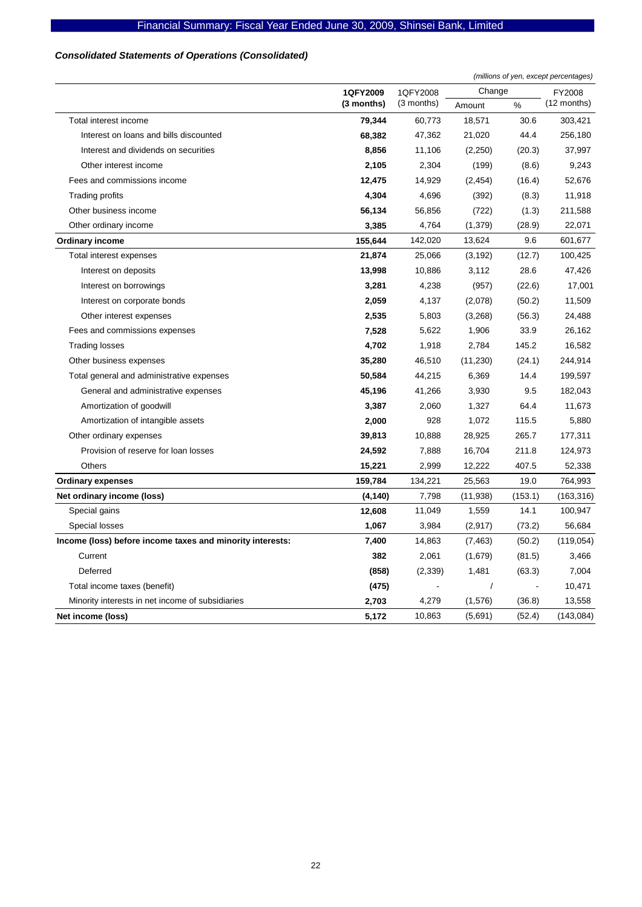# *Consolidated Statements of Operations (Consolidated)*

|                                                           |                      |            | (millions of yen, except percentages) |         |               |  |
|-----------------------------------------------------------|----------------------|------------|---------------------------------------|---------|---------------|--|
|                                                           | 1QFY2009<br>1QFY2008 |            | Change                                |         | FY2008        |  |
|                                                           | (3 months)           | (3 months) | Amount                                | $\%$    | $(12$ months) |  |
| Total interest income                                     | 79,344               | 60,773     | 18,571                                | 30.6    | 303,421       |  |
| Interest on loans and bills discounted                    | 68,382               | 47,362     | 21,020                                | 44.4    | 256,180       |  |
| Interest and dividends on securities                      | 8,856                | 11,106     | (2,250)                               | (20.3)  | 37,997        |  |
| Other interest income                                     | 2,105                | 2,304      | (199)                                 | (8.6)   | 9,243         |  |
| Fees and commissions income                               | 12,475               | 14,929     | (2, 454)                              | (16.4)  | 52,676        |  |
| <b>Trading profits</b>                                    | 4,304                | 4,696      | (392)                                 | (8.3)   | 11,918        |  |
| Other business income                                     | 56,134               | 56,856     | (722)                                 | (1.3)   | 211,588       |  |
| Other ordinary income                                     | 3,385                | 4,764      | (1, 379)                              | (28.9)  | 22,071        |  |
| <b>Ordinary income</b>                                    | 155,644              | 142,020    | 13,624                                | 9.6     | 601,677       |  |
| Total interest expenses                                   | 21,874               | 25,066     | (3, 192)                              | (12.7)  | 100,425       |  |
| Interest on deposits                                      | 13,998               | 10,886     | 3,112                                 | 28.6    | 47,426        |  |
| Interest on borrowings                                    | 3,281                | 4,238      | (957)                                 | (22.6)  | 17,001        |  |
| Interest on corporate bonds                               | 2,059                | 4,137      | (2,078)                               | (50.2)  | 11,509        |  |
| Other interest expenses                                   | 2,535                | 5,803      | (3,268)                               | (56.3)  | 24,488        |  |
| Fees and commissions expenses                             | 7,528                | 5,622      | 1,906                                 | 33.9    | 26,162        |  |
| <b>Trading losses</b>                                     | 4,702                | 1,918      | 2,784                                 | 145.2   | 16,582        |  |
| Other business expenses                                   | 35,280               | 46,510     | (11,230)                              | (24.1)  | 244,914       |  |
| Total general and administrative expenses                 | 50,584               | 44,215     | 6,369                                 | 14.4    | 199,597       |  |
| General and administrative expenses                       | 45,196               | 41,266     | 3,930                                 | 9.5     | 182,043       |  |
| Amortization of goodwill                                  | 3,387                | 2,060      | 1,327                                 | 64.4    | 11,673        |  |
| Amortization of intangible assets                         | 2,000                | 928        | 1,072                                 | 115.5   | 5,880         |  |
| Other ordinary expenses                                   | 39,813               | 10,888     | 28,925                                | 265.7   | 177,311       |  |
| Provision of reserve for loan losses                      | 24,592               | 7,888      | 16,704                                | 211.8   | 124,973       |  |
| Others                                                    | 15,221               | 2,999      | 12,222                                | 407.5   | 52,338        |  |
| <b>Ordinary expenses</b>                                  | 159,784              | 134,221    | 25,563                                | 19.0    | 764,993       |  |
| Net ordinary income (loss)                                | (4, 140)             | 7,798      | (11, 938)                             | (153.1) | (163, 316)    |  |
| Special gains                                             | 12,608               | 11,049     | 1,559                                 | 14.1    | 100,947       |  |
| Special losses                                            | 1,067                | 3,984      | (2,917)                               | (73.2)  | 56,684        |  |
| Income (loss) before income taxes and minority interests: | 7,400                | 14,863     | (7, 463)                              | (50.2)  | (119, 054)    |  |
| Current                                                   | 382                  | 2,061      | (1,679)                               | (81.5)  | 3,466         |  |
| Deferred                                                  | (858)                | (2, 339)   | 1,481                                 | (63.3)  | 7,004         |  |
| Total income taxes (benefit)                              | (475)                |            |                                       |         | 10,471        |  |
| Minority interests in net income of subsidiaries          | 2,703                | 4,279      | (1,576)                               | (36.8)  | 13,558        |  |
| Net income (loss)                                         | 5,172                | 10,863     | (5,691)                               | (52.4)  | (143,084)     |  |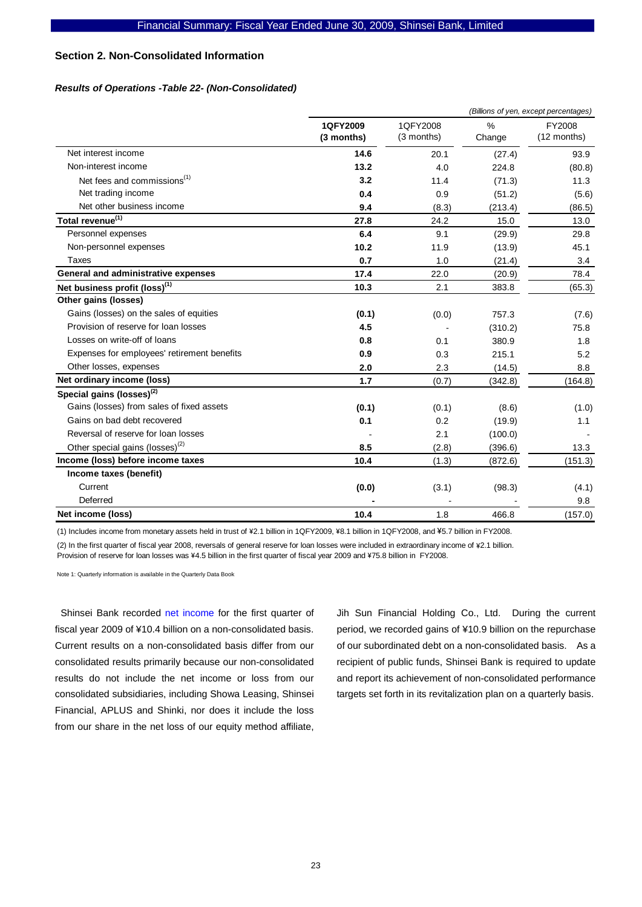## **Section 2. Non-Consolidated Information**

#### *Results of Operations -Table 22- (Non-Consolidated)*

|                                             |                        |                        |                         | (Billions of yen, except percentages) |
|---------------------------------------------|------------------------|------------------------|-------------------------|---------------------------------------|
|                                             | 1QFY2009<br>(3 months) | 1QFY2008<br>(3 months) | $\frac{0}{0}$<br>Change | FY2008<br>(12 months)                 |
| Net interest income                         | 14.6                   | 20.1                   | (27.4)                  | 93.9                                  |
| Non-interest income                         | 13.2                   | 4.0                    | 224.8                   | (80.8)                                |
| Net fees and commissions <sup>(1)</sup>     | 3.2                    | 11.4                   | (71.3)                  | 11.3                                  |
| Net trading income                          | 0.4                    | 0.9                    | (51.2)                  | (5.6)                                 |
| Net other business income                   | 9.4                    | (8.3)                  | (213.4)                 | (86.5)                                |
| Total revenue <sup>(1)</sup>                | 27.8                   | 24.2                   | 15.0                    | 13.0                                  |
| Personnel expenses                          | 6.4                    | 9.1                    | (29.9)                  | 29.8                                  |
| Non-personnel expenses                      | 10.2                   | 11.9                   | (13.9)                  | 45.1                                  |
| Taxes                                       | 0.7                    | 1.0                    | (21.4)                  | 3.4                                   |
| General and administrative expenses         | 17.4                   | 22.0                   | (20.9)                  | 78.4                                  |
| Net business profit (loss) <sup>(1)</sup>   | 10.3                   | 2.1                    | 383.8                   | (65.3)                                |
| Other gains (losses)                        |                        |                        |                         |                                       |
| Gains (losses) on the sales of equities     | (0.1)                  | (0.0)                  | 757.3                   | (7.6)                                 |
| Provision of reserve for loan losses        | 4.5                    |                        | (310.2)                 | 75.8                                  |
| Losses on write-off of loans                | 0.8                    | 0.1                    | 380.9                   | 1.8                                   |
| Expenses for employees' retirement benefits | 0.9                    | 0.3                    | 215.1                   | 5.2                                   |
| Other losses, expenses                      | 2.0                    | 2.3                    | (14.5)                  | 8.8                                   |
| Net ordinary income (loss)                  | 1.7                    | (0.7)                  | (342.8)                 | (164.8)                               |
| Special gains (losses) <sup>(2)</sup>       |                        |                        |                         |                                       |
| Gains (losses) from sales of fixed assets   | (0.1)                  | (0.1)                  | (8.6)                   | (1.0)                                 |
| Gains on bad debt recovered                 | 0.1                    | 0.2                    | (19.9)                  | 1.1                                   |
| Reversal of reserve for loan losses         |                        | 2.1                    | (100.0)                 |                                       |
| Other special gains (losses) <sup>(2)</sup> | 8.5                    | (2.8)                  | (396.6)                 | 13.3                                  |
| Income (loss) before income taxes           | 10.4                   | (1.3)                  | (872.6)                 | (151.3)                               |
| Income taxes (benefit)                      |                        |                        |                         |                                       |
| Current                                     | (0.0)                  | (3.1)                  | (98.3)                  | (4.1)                                 |
| Deferred                                    |                        |                        |                         | 9.8                                   |
| Net income (loss)                           | 10.4                   | 1.8                    | 466.8                   | (157.0)                               |

(1) Includes income from monetary assets held in trust of \2.1 billion in 1QFY2009, \8.1 billion in 1QFY2008, and \5.7 billion in FY2008.

(2) In the first quarter of fiscal year 2008, reversals of general reserve for loan losses were included in extraordinary income of \2.1 billion. Provision of reserve for loan losses was ¥4.5 billion in the first quarter of fiscal year 2009 and ¥75.8 billion in FY2008.

Note 1: Quarterly information is available in the Quarterly Data Book

Shinsei Bank recorded net income for the first quarter of fiscal year 2009 of ¥10.4 billion on a non-consolidated basis. Current results on a non-consolidated basis differ from our consolidated results primarily because our non-consolidated results do not include the net income or loss from our consolidated subsidiaries, including Showa Leasing, Shinsei Financial, APLUS and Shinki, nor does it include the loss from our share in the net loss of our equity method affiliate,

Jih Sun Financial Holding Co., Ltd. During the current period, we recorded gains of ¥10.9 billion on the repurchase of our subordinated debt on a non-consolidated basis. As a recipient of public funds, Shinsei Bank is required to update and report its achievement of non-consolidated performance targets set forth in its revitalization plan on a quarterly basis.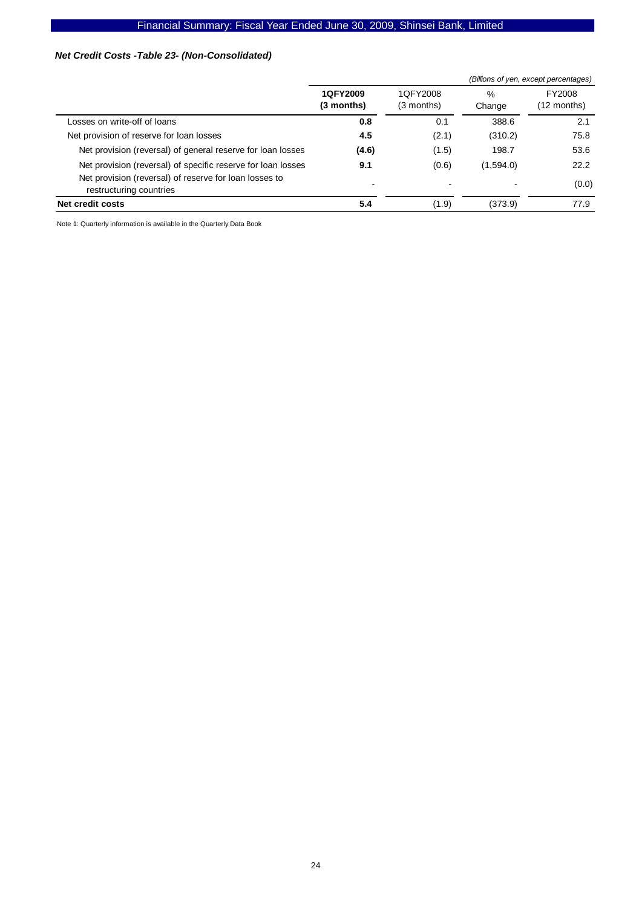# Financial Summary: Fiscal Year Ended June 30, 2009, Shinsei Bank, Limited

### *Net Credit Costs -Table 23- (Non-Consolidated)*

|                                                                                                                                                   |                        |                                   | (Billions of yen, except percentages) |                       |  |  |  |
|---------------------------------------------------------------------------------------------------------------------------------------------------|------------------------|-----------------------------------|---------------------------------------|-----------------------|--|--|--|
|                                                                                                                                                   | 1QFY2009<br>(3 months) | 1QFY2008<br>(3 months)            | $\frac{0}{0}$<br>Change               | FY2008<br>(12 months) |  |  |  |
| Losses on write-off of loans                                                                                                                      | 0.8                    | 0.1                               | 388.6                                 | 2.1                   |  |  |  |
| Net provision of reserve for loan losses                                                                                                          | 4.5                    | (2.1)                             | (310.2)                               | 75.8                  |  |  |  |
| Net provision (reversal) of general reserve for loan losses                                                                                       | (4.6)                  | (1.5)                             | 198.7                                 | 53.6                  |  |  |  |
| Net provision (reversal) of specific reserve for loan losses<br>Net provision (reversal) of reserve for loan losses to<br>restructuring countries | 9.1                    | (0.6)<br>$\overline{\phantom{0}}$ | (1,594.0)                             | 22.2<br>(0.0)         |  |  |  |
| Net credit costs                                                                                                                                  | 5.4                    | (1.9)                             | (373.9)                               | 77.9                  |  |  |  |

Note 1: Quarterly information is available in the Quarterly Data Book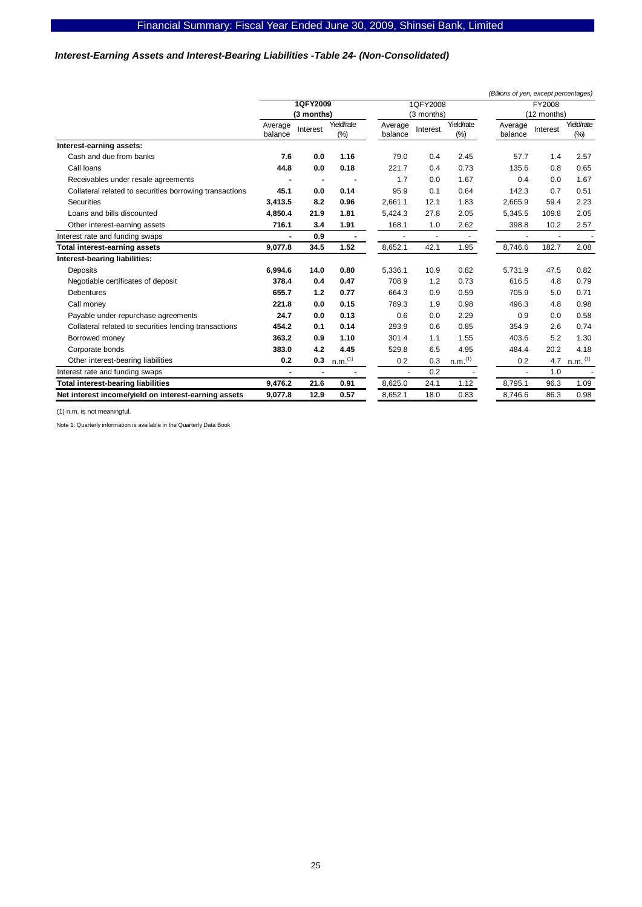### *Interest-Earning Assets and Interest-Bearing Liabilities -Table 24- (Non-Consolidated)*

|                                                         |                    |                |                     |                    |            |                       | (Billions of yen, except percentages) |             |                       |
|---------------------------------------------------------|--------------------|----------------|---------------------|--------------------|------------|-----------------------|---------------------------------------|-------------|-----------------------|
|                                                         |                    | 1QFY2009       |                     |                    | 1QFY2008   |                       | <b>FY2008</b>                         |             |                       |
|                                                         |                    | (3 months)     |                     |                    | (3 months) |                       |                                       | (12 months) |                       |
|                                                         | Average<br>balance | Interest       | Yield/rate<br>(% )  | Average<br>balance | Interest   | Yield/rate<br>$(\%)$  | Average<br>balance                    | Interest    | Yield/rate<br>$(\%)$  |
| Interest-earning assets:                                |                    |                |                     |                    |            |                       |                                       |             |                       |
| Cash and due from banks                                 | 7.6                | 0.0            | 1.16                | 79.0               | 0.4        | 2.45                  | 57.7                                  | 1.4         | 2.57                  |
| Call Ioans                                              | 44.8               | 0.0            | 0.18                | 221.7              | 0.4        | 0.73                  | 135.6                                 | 0.8         | 0.65                  |
| Receivables under resale agreements                     |                    |                |                     | 1.7                | 0.0        | 1.67                  | 0.4                                   | 0.0         | 1.67                  |
| Collateral related to securities borrowing transactions | 45.1               | 0.0            | 0.14                | 95.9               | 0.1        | 0.64                  | 142.3                                 | 0.7         | 0.51                  |
| <b>Securities</b>                                       | 3,413.5            | 8.2            | 0.96                | 2,661.1            | 12.1       | 1.83                  | 2,665.9                               | 59.4        | 2.23                  |
| Loans and bills discounted                              | 4,850.4            | 21.9           | 1.81                | 5,424.3            | 27.8       | 2.05                  | 5,345.5                               | 109.8       | 2.05                  |
| Other interest-earning assets                           | 716.1              | 3.4            | 1.91                | 168.1              | 1.0        | 2.62                  | 398.8                                 | 10.2        | 2.57                  |
| Interest rate and funding swaps                         |                    | 0.9            |                     |                    |            | ٠                     |                                       |             |                       |
| <b>Total interest-earning assets</b>                    | 9.077.8            | 34.5           | 1.52                | 8,652.1            | 42.1       | 1.95                  | 8,746.6                               | 182.7       | 2.08                  |
| Interest-bearing liabilities:                           |                    |                |                     |                    |            |                       |                                       |             |                       |
| <b>Deposits</b>                                         | 6,994.6            | 14.0           | 0.80                | 5,336.1            | 10.9       | 0.82                  | 5,731.9                               | 47.5        | 0.82                  |
| Negotiable certificates of deposit                      | 378.4              | 0.4            | 0.47                | 708.9              | 1.2        | 0.73                  | 616.5                                 | 4.8         | 0.79                  |
| <b>Debentures</b>                                       | 655.7              | 1.2            | 0.77                | 664.3              | 0.9        | 0.59                  | 705.9                                 | 5.0         | 0.71                  |
| Call money                                              | 221.8              | 0.0            | 0.15                | 789.3              | 1.9        | 0.98                  | 496.3                                 | 4.8         | 0.98                  |
| Payable under repurchase agreements                     | 24.7               | 0.0            | 0.13                | 0.6                | 0.0        | 2.29                  | 0.9                                   | 0.0         | 0.58                  |
| Collateral related to securities lending transactions   | 454.2              | 0.1            | 0.14                | 293.9              | 0.6        | 0.85                  | 354.9                                 | 2.6         | 0.74                  |
| Borrowed money                                          | 363.2              | 0.9            | 1.10                | 301.4              | 1.1        | 1.55                  | 403.6                                 | 5.2         | 1.30                  |
| Corporate bonds                                         | 383.0              | 4.2            | 4.45                | 529.8              | 6.5        | 4.95                  | 484.4                                 | 20.2        | 4.18                  |
| Other interest-bearing liabilities                      | 0.2                | 0.3            | n.m. <sup>(1)</sup> | 0.2                | 0.3        | $n.m.$ <sup>(1)</sup> | 0.2                                   | 4.7         | $n.m.$ <sup>(1)</sup> |
| Interest rate and funding swaps                         | $\blacksquare$     | $\blacksquare$ |                     |                    | 0.2        |                       |                                       | 1.0         |                       |
| <b>Total interest-bearing liabilities</b>               | 9,476.2            | 21.6           | 0.91                | 8,625.0            | 24.1       | 1.12                  | 8,795.1                               | 96.3        | 1.09                  |
| Net interest income/yield on interest-earning assets    | 9,077.8            | 12.9           | 0.57                | 8,652.1            | 18.0       | 0.83                  | 8,746.6                               | 86.3        | 0.98                  |

(1) n.m. is not meaningful.

Note 1: Quarterly information is available in the Quarterly Data Book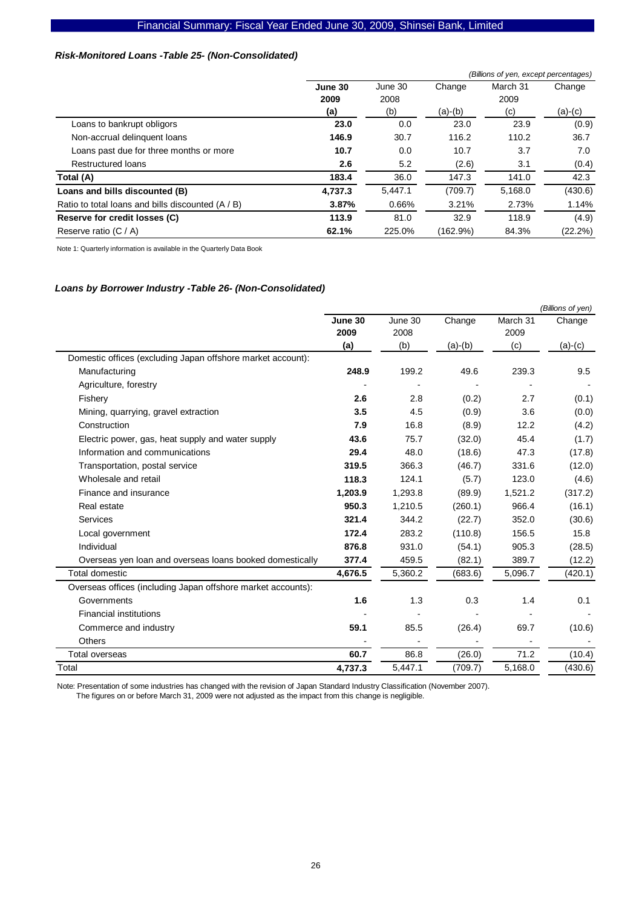### Financial Summary: Fiscal Year Ended June 30, 2009, Shinsei Bank, Limited

## *Risk-Monitored Loans -Table 25- (Non-Consolidated)*

|                                                   | (Billions of yen, except percentages) |         |           |          |            |  |  |  |
|---------------------------------------------------|---------------------------------------|---------|-----------|----------|------------|--|--|--|
|                                                   | June 30                               | June 30 | Change    | March 31 | Change     |  |  |  |
|                                                   | 2009                                  | 2008    |           | 2009     |            |  |  |  |
|                                                   | (a)                                   | (b)     | $(a)-(b)$ | (c)      | (a)-(c)    |  |  |  |
| Loans to bankrupt obligors                        | 23.0                                  | 0.0     | 23.0      | 23.9     | (0.9)      |  |  |  |
| Non-accrual delinquent loans                      | 146.9                                 | 30.7    | 116.2     | 110.2    | 36.7       |  |  |  |
| Loans past due for three months or more           | 10.7                                  | 0.0     | 10.7      | 3.7      | 7.0        |  |  |  |
| Restructured loans                                | 2.6                                   | 5.2     | (2.6)     | 3.1      | (0.4)      |  |  |  |
| Total (A)                                         | 183.4                                 | 36.0    | 147.3     | 141.0    | 42.3       |  |  |  |
| Loans and bills discounted (B)                    | 4,737.3                               | 5.447.1 | (709.7)   | 5,168.0  | (430.6)    |  |  |  |
| Ratio to total loans and bills discounted (A / B) | 3.87%                                 | 0.66%   | 3.21%     | 2.73%    | 1.14%      |  |  |  |
| Reserve for credit losses (C)                     | 113.9                                 | 81.0    | 32.9      | 118.9    | (4.9)      |  |  |  |
| Reserve ratio (C / A)                             | 62.1%                                 | 225.0%  | (162.9%)  | 84.3%    | $(22.2\%)$ |  |  |  |

Note 1: Quarterly information is available in the Quarterly Data Book

#### *Loans by Borrower Industry -Table 26- (Non-Consolidated)*

|                                                              |         |         |           |          | (Billions of yen) |
|--------------------------------------------------------------|---------|---------|-----------|----------|-------------------|
|                                                              | June 30 | June 30 | Change    | March 31 | Change            |
|                                                              | 2009    | 2008    |           | 2009     |                   |
|                                                              | (a)     | (b)     | $(a)-(b)$ | (c)      | $(a)-(c)$         |
| Domestic offices (excluding Japan offshore market account):  |         |         |           |          |                   |
| Manufacturing                                                | 248.9   | 199.2   | 49.6      | 239.3    | 9.5               |
| Agriculture, forestry                                        |         |         |           |          |                   |
| Fishery                                                      | 2.6     | 2.8     | (0.2)     | 2.7      | (0.1)             |
| Mining, quarrying, gravel extraction                         | 3.5     | 4.5     | (0.9)     | 3.6      | (0.0)             |
| Construction                                                 | 7.9     | 16.8    | (8.9)     | 12.2     | (4.2)             |
| Electric power, gas, heat supply and water supply            | 43.6    | 75.7    | (32.0)    | 45.4     | (1.7)             |
| Information and communications                               | 29.4    | 48.0    | (18.6)    | 47.3     | (17.8)            |
| Transportation, postal service                               | 319.5   | 366.3   | (46.7)    | 331.6    | (12.0)            |
| Wholesale and retail                                         | 118.3   | 124.1   | (5.7)     | 123.0    | (4.6)             |
| Finance and insurance                                        | 1,203.9 | 1.293.8 | (89.9)    | 1,521.2  | (317.2)           |
| Real estate                                                  | 950.3   | 1,210.5 | (260.1)   | 966.4    | (16.1)            |
| Services                                                     | 321.4   | 344.2   | (22.7)    | 352.0    | (30.6)            |
| Local government                                             | 172.4   | 283.2   | (110.8)   | 156.5    | 15.8              |
| Individual                                                   | 876.8   | 931.0   | (54.1)    | 905.3    | (28.5)            |
| Overseas yen loan and overseas loans booked domestically     | 377.4   | 459.5   | (82.1)    | 389.7    | (12.2)            |
| Total domestic                                               | 4,676.5 | 5,360.2 | (683.6)   | 5,096.7  | (420.1)           |
| Overseas offices (including Japan offshore market accounts): |         |         |           |          |                   |
| Governments                                                  | 1.6     | 1.3     | 0.3       | 1.4      | 0.1               |
| <b>Financial institutions</b>                                |         |         |           |          |                   |
| Commerce and industry                                        | 59.1    | 85.5    | (26.4)    | 69.7     | (10.6)            |
| <b>Others</b>                                                |         |         |           |          |                   |
| Total overseas                                               | 60.7    | 86.8    | (26.0)    | 71.2     | (10.4)            |
| Total                                                        | 4,737.3 | 5,447.1 | (709.7)   | 5,168.0  | (430.6)           |

Note: Presentation of some industries has changed with the revision of Japan Standard Industry Classification (November 2007).

The figures on or before March 31, 2009 were not adjusted as the impact from this change is negligible.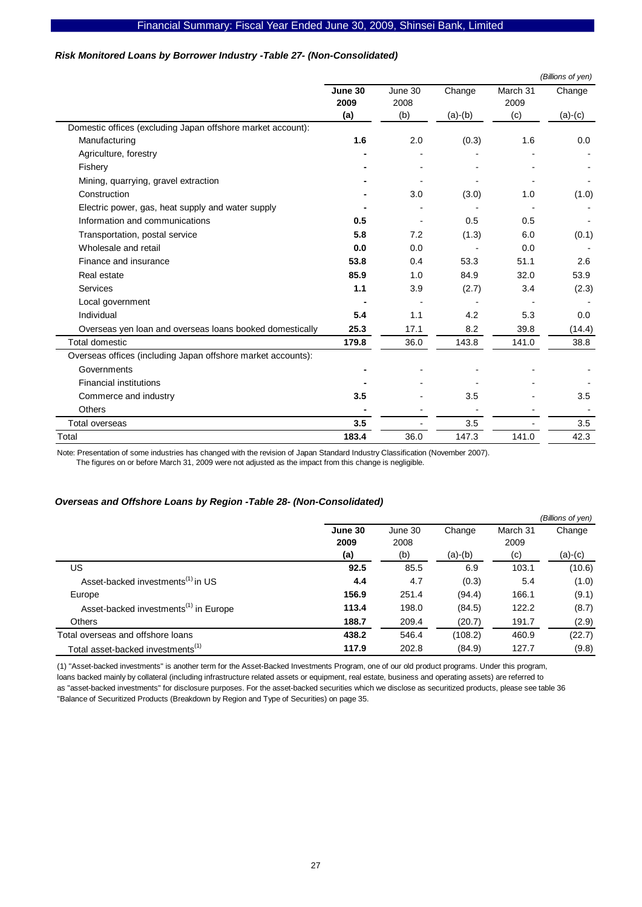## *Risk Monitored Loans by Borrower Industry -Table 27- (Non-Consolidated)*

|                                                              |                 |                 |           |                  | (Billions of yen) |
|--------------------------------------------------------------|-----------------|-----------------|-----------|------------------|-------------------|
|                                                              | June 30<br>2009 | June 30<br>2008 | Change    | March 31<br>2009 | Change            |
|                                                              | (a)             | (b)             | $(a)-(b)$ | (c)              | $(a)-(c)$         |
| Domestic offices (excluding Japan offshore market account):  |                 |                 |           |                  |                   |
| Manufacturing                                                | 1.6             | 2.0             | (0.3)     | 1.6              | 0.0               |
| Agriculture, forestry                                        |                 |                 |           |                  |                   |
| Fishery                                                      |                 |                 |           |                  |                   |
| Mining, quarrying, gravel extraction                         |                 |                 |           |                  |                   |
| Construction                                                 |                 | 3.0             | (3.0)     | 1.0              | (1.0)             |
| Electric power, gas, heat supply and water supply            |                 |                 |           |                  |                   |
| Information and communications                               | 0.5             |                 | 0.5       | 0.5              |                   |
| Transportation, postal service                               | 5.8             | 7.2             | (1.3)     | 6.0              | (0.1)             |
| Wholesale and retail                                         | 0.0             | 0.0             |           | 0.0              |                   |
| Finance and insurance                                        | 53.8            | 0.4             | 53.3      | 51.1             | 2.6               |
| Real estate                                                  | 85.9            | 1.0             | 84.9      | 32.0             | 53.9              |
| Services                                                     | 1.1             | 3.9             | (2.7)     | 3.4              | (2.3)             |
| Local government                                             |                 |                 |           |                  |                   |
| Individual                                                   | 5.4             | 1.1             | 4.2       | 5.3              | 0.0               |
| Overseas yen loan and overseas loans booked domestically     | 25.3            | 17.1            | 8.2       | 39.8             | (14.4)            |
| Total domestic                                               | 179.8           | 36.0            | 143.8     | 141.0            | 38.8              |
| Overseas offices (including Japan offshore market accounts): |                 |                 |           |                  |                   |
| Governments                                                  |                 |                 |           |                  |                   |
| <b>Financial institutions</b>                                |                 |                 |           |                  |                   |
| Commerce and industry                                        | 3.5             |                 | 3.5       |                  | 3.5               |
| <b>Others</b>                                                |                 |                 |           |                  |                   |
| Total overseas                                               | 3.5             |                 | 3.5       |                  | 3.5               |
| Total                                                        | 183.4           | 36.0            | 147.3     | 141.0            | 42.3              |

Note: Presentation of some industries has changed with the revision of Japan Standard Industry Classification (November 2007).

The figures on or before March 31, 2009 were not adjusted as the impact from this change is negligible.

#### *Overseas and Offshore Loans by Region -Table 28- (Non-Consolidated)*

|                                                   |         |         |           |          | (Billions of yen) |
|---------------------------------------------------|---------|---------|-----------|----------|-------------------|
|                                                   | June 30 | June 30 | Change    | March 31 | Change            |
|                                                   | 2009    | 2008    |           | 2009     |                   |
|                                                   | (a)     | (b)     | $(a)-(b)$ | (c)      | $(a)-(c)$         |
| US                                                | 92.5    | 85.5    | 6.9       | 103.1    | (10.6)            |
| Asset-backed investments <sup>(1)</sup> in US     | 4.4     | 4.7     | (0.3)     | 5.4      | (1.0)             |
| Europe                                            | 156.9   | 251.4   | (94.4)    | 166.1    | (9.1)             |
| Asset-backed investments <sup>(1)</sup> in Europe | 113.4   | 198.0   | (84.5)    | 122.2    | (8.7)             |
| <b>Others</b>                                     | 188.7   | 209.4   | (20.7)    | 191.7    | (2.9)             |
| Total overseas and offshore loans                 | 438.2   | 546.4   | (108.2)   | 460.9    | (22.7)            |
| Total asset-backed investments <sup>(1)</sup>     | 117.9   | 202.8   | (84.9)    | 127.7    | (9.8)             |

(1) "Asset-backed investments" is another term for the Asset-Backed Investments Program, one of our old product programs. Under this program, loans backed mainly by collateral (including infrastructure related assets or equipment, real estate, business and operating assets) are referred to as "asset-backed investments" for disclosure purposes. For the asset-backed securities which we disclose as securitized products, please see table 36 "Balance of Securitized Products (Breakdown by Region and Type of Securities) on page 35.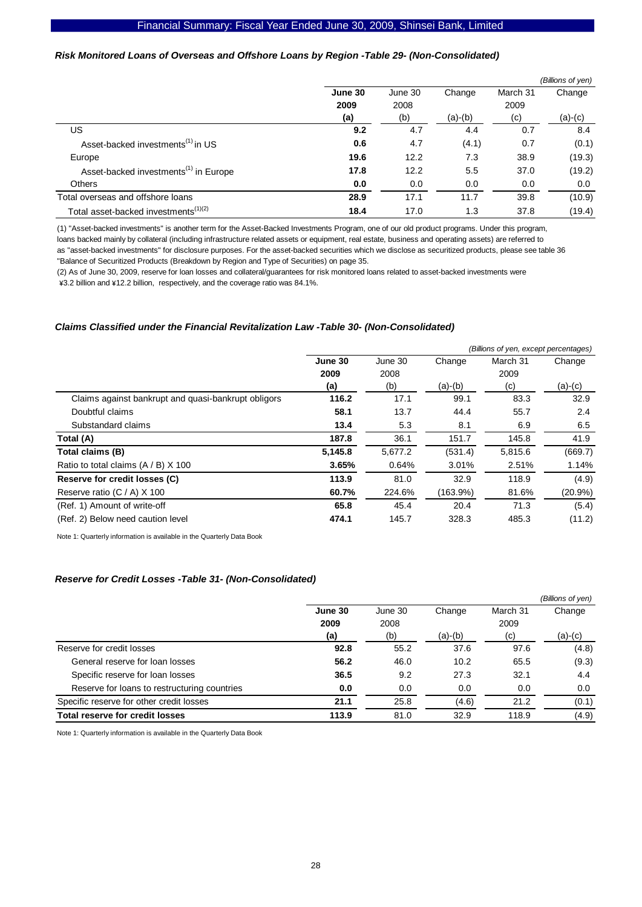## *Risk Monitored Loans of Overseas and Offshore Loans by Region -Table 29- (Non-Consolidated)*

|                                                   |         |         |           |          | (Billions of yen) |
|---------------------------------------------------|---------|---------|-----------|----------|-------------------|
|                                                   | June 30 | June 30 | Change    | March 31 | Change            |
|                                                   | 2009    | 2008    |           | 2009     |                   |
|                                                   | (a)     | (b)     | $(a)-(b)$ | (c)      | $(a)-(c)$         |
| US                                                | 9.2     | 4.7     | 4.4       | 0.7      | 8.4               |
| Asset-backed investments <sup>(1)</sup> in US     | 0.6     | 4.7     | (4.1)     | 0.7      | (0.1)             |
| Europe                                            | 19.6    | 12.2    | 7.3       | 38.9     | (19.3)            |
| Asset-backed investments <sup>(1)</sup> in Europe | 17.8    | 12.2    | 5.5       | 37.0     | (19.2)            |
| <b>Others</b>                                     | 0.0     | 0.0     | 0.0       | 0.0      | 0.0               |
| Total overseas and offshore loans                 | 28.9    | 17.1    | 11.7      | 39.8     | (10.9)            |
| Total asset-backed investments <sup>(1)(2)</sup>  | 18.4    | 17.0    | 1.3       | 37.8     | (19.4)            |

(1) "Asset-backed investments" is another term for the Asset-Backed Investments Program, one of our old product programs. Under this program, loans backed mainly by collateral (including infrastructure related assets or equipment, real estate, business and operating assets) are referred to as "asset-backed investments" for disclosure purposes. For the asset-backed securities which we disclose as securitized products, please see table 36

"Balance of Securitized Products (Breakdown by Region and Type of Securities) on page 35.

(2) As of June 30, 2009, reserve for loan losses and collateral/guarantees for risk monitored loans related to asset-backed investments were \3.2 billion and \12.2 billion, respectively, and the coverage ratio was 84.1%.

#### *Claims Classified under the Financial Revitalization Law -Table 30- (Non-Consolidated)*

|                                                     |         |         |           | (Billions of yen, except percentages) |            |
|-----------------------------------------------------|---------|---------|-----------|---------------------------------------|------------|
|                                                     | June 30 | June 30 | Change    | March 31                              | Change     |
|                                                     | 2009    | 2008    |           | 2009                                  |            |
|                                                     | (a)     | (b)     | $(a)-(b)$ | (c)                                   | (a)-(c)    |
| Claims against bankrupt and quasi-bankrupt obligors | 116.2   | 17.1    | 99.1      | 83.3                                  | 32.9       |
| Doubtful claims                                     | 58.1    | 13.7    | 44.4      | 55.7                                  | 2.4        |
| Substandard claims                                  | 13.4    | 5.3     | 8.1       | 6.9                                   | 6.5        |
| Total (A)                                           | 187.8   | 36.1    | 151.7     | 145.8                                 | 41.9       |
| Total claims (B)                                    | 5,145.8 | 5.677.2 | (531.4)   | 5,815.6                               | (669.7)    |
| Ratio to total claims $(A / B)$ X 100               | 3.65%   | 0.64%   | 3.01%     | 2.51%                                 | 1.14%      |
| Reserve for credit losses (C)                       | 113.9   | 81.0    | 32.9      | 118.9                                 | (4.9)      |
| Reserve ratio (C / A) X 100                         | 60.7%   | 224.6%  | (163.9%)  | 81.6%                                 | $(20.9\%)$ |
| (Ref. 1) Amount of write-off                        | 65.8    | 45.4    | 20.4      | 71.3                                  | (5.4)      |
| (Ref. 2) Below need caution level                   | 474.1   | 145.7   | 328.3     | 485.3                                 | (11.2)     |

Note 1: Quarterly information is available in the Quarterly Data Book

#### *Reserve for Credit Losses -Table 31- (Non-Consolidated)*

|                                              |         |         |           |          | (Billions of yen) |
|----------------------------------------------|---------|---------|-----------|----------|-------------------|
|                                              | June 30 | June 30 | Change    | March 31 | Change            |
|                                              | 2009    | 2008    |           | 2009     |                   |
|                                              | (a)     | (b)     | $(a)-(b)$ | (c)      | (a)-(c)           |
| Reserve for credit losses                    | 92.8    | 55.2    | 37.6      | 97.6     | (4.8)             |
| General reserve for loan losses              | 56.2    | 46.0    | 10.2      | 65.5     | (9.3)             |
| Specific reserve for loan losses             | 36.5    | 9.2     | 27.3      | 32.1     | 4.4               |
| Reserve for loans to restructuring countries | 0.0     | 0.0     | 0.0       | 0.0      | 0.0               |
| Specific reserve for other credit losses     | 21.1    | 25.8    | (4.6)     | 21.2     | (0.1)             |
| <b>Total reserve for credit losses</b>       | 113.9   | 81.0    | 32.9      | 118.9    | (4.9)             |

Note 1: Quarterly information is available in the Quarterly Data Book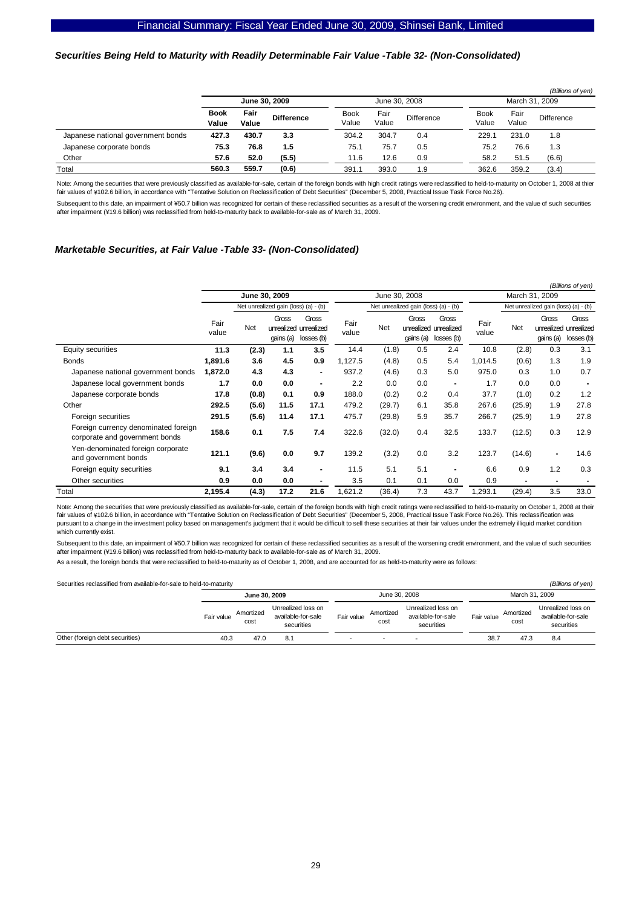#### *Securities Being Held to Maturity with Readily Determinable Fair Value -Table 32- (Non-Consolidated)*

|                                    |                      |               |                   |                      |               |            |                      |               | (Billions of yen) |  |
|------------------------------------|----------------------|---------------|-------------------|----------------------|---------------|------------|----------------------|---------------|-------------------|--|
|                                    | June 30, 2009        |               |                   | June 30, 2008        |               |            | March 31, 2009       |               |                   |  |
|                                    | <b>Book</b><br>Value | Fair<br>Value | <b>Difference</b> | <b>Book</b><br>Value | Fair<br>Value | Difference | <b>Book</b><br>Value | Fair<br>Value | <b>Difference</b> |  |
| Japanese national government bonds | 427.3                | 430.7         | 3.3               | 304.2                | 304.7         | 0.4        | 229.1                | 231.0         | 1.8               |  |
| Japanese corporate bonds           | 75.3                 | 76.8          | 1.5               | 75.1                 | 75.7          | 0.5        | 75.2                 | 76.6          | 1.3               |  |
| Other                              | 57.6                 | 52.0          | (5.5)             | 11.6                 | 12.6          | 0.9        | 58.2                 | 51.5          | (6.6)             |  |
| Total                              | 560.3                | 559.7         | (0.6)             | 391.7                | 393.0         | 1.9        | 362.6                | 359.2         | (3.4)             |  |

Note: Among the securities that were previously classified as available-for-sale, certain of the foreign bonds with high credit ratings were reclassified to held-to-maturity on October 1, 2008 at thier fair values of \102.6 billion, in accordance with "Tentative Solution on Reclassification of Debt Securities" (December 5, 2008, Practical Issue Task Force No.26).

Subsequent to this date, an impairment of ¥50.7 billion was recognized for certain of these reclassified securities as a result of the worsening credit environment, and the value of such securities after impairment (¥19.6 billion) was reclassified from held-to-maturity back to available-for-sale as of March 31, 2009.

#### *Marketable Securities, at Fair Value -Table 33- (Non-Consolidated)*

|                                                                        |               |               |                    |                                              |               |        |                                      |                                              |                |                                      |                                  | (Billions of yen)                        |
|------------------------------------------------------------------------|---------------|---------------|--------------------|----------------------------------------------|---------------|--------|--------------------------------------|----------------------------------------------|----------------|--------------------------------------|----------------------------------|------------------------------------------|
|                                                                        |               | June 30, 2009 |                    |                                              | June 30, 2008 |        |                                      |                                              | March 31, 2009 |                                      |                                  |                                          |
|                                                                        |               |               |                    | Net unrealized gain (loss) (a) - (b)         |               |        | Net unrealized gain (loss) (a) - (b) |                                              |                | Net unrealized gain (loss) (a) - (b) |                                  |                                          |
|                                                                        | Fair<br>value | Net           | Gross<br>qains (a) | Gross<br>unrealized unrealized<br>losses (b) | Fair<br>value | Net    | Gross<br>qains (a)                   | Gross<br>unrealized unrealized<br>losses (b) | Fair<br>value  | <b>Net</b>                           | Gross<br>unrealized<br>qains (a) | <b>Gross</b><br>unrealized<br>losses (b) |
| Equity securities                                                      | 11.3          | (2.3)         | 1.1                | 3.5                                          | 14.4          | (1.8)  | 0.5                                  | 2.4                                          | 10.8           | (2.8)                                | 0.3                              | 3.1                                      |
| <b>Bonds</b>                                                           | 1,891.6       | 3.6           | 4.5                | 0.9                                          | 1,127.5       | (4.8)  | 0.5                                  | 5.4                                          | 1,014.5        | (0.6)                                | 1.3                              | 1.9                                      |
| Japanese national government bonds                                     | 1,872.0       | 4.3           | 4.3                | $\blacksquare$                               | 937.2         | (4.6)  | 0.3                                  | 5.0                                          | 975.0          | 0.3                                  | 1.0                              | 0.7                                      |
| Japanese local government bonds                                        | 1.7           | 0.0           | 0.0                | $\blacksquare$                               | 2.2           | 0.0    | 0.0                                  | $\blacksquare$                               | 1.7            | 0.0                                  | 0.0                              |                                          |
| Japanese corporate bonds                                               | 17.8          | (0.8)         | 0.1                | 0.9                                          | 188.0         | (0.2)  | 0.2                                  | 0.4                                          | 37.7           | (1.0)                                | 0.2                              | 1.2                                      |
| Other                                                                  | 292.5         | (5.6)         | 11.5               | 17.1                                         | 479.2         | (29.7) | 6.1                                  | 35.8                                         | 267.6          | (25.9)                               | 1.9                              | 27.8                                     |
| Foreign securities                                                     | 291.5         | (5.6)         | 11.4               | 17.1                                         | 475.7         | (29.8) | 5.9                                  | 35.7                                         | 266.7          | (25.9)                               | 1.9                              | 27.8                                     |
| Foreign currency denominated foreign<br>corporate and government bonds | 158.6         | 0.1           | 7.5                | 7.4                                          | 322.6         | (32.0) | 0.4                                  | 32.5                                         | 133.7          | (12.5)                               | 0.3                              | 12.9                                     |
| Yen-denominated foreign corporate<br>and government bonds              | 121.1         | (9.6)         | 0.0                | 9.7                                          | 139.2         | (3.2)  | 0.0                                  | 3.2                                          | 123.7          | (14.6)                               | $\blacksquare$                   | 14.6                                     |
| Foreign equity securities                                              | 9.1           | 3.4           | 3.4                | $\blacksquare$                               | 11.5          | 5.1    | 5.1                                  |                                              | 6.6            | 0.9                                  | 1.2                              | 0.3                                      |
| Other securities                                                       | 0.9           | 0.0           | 0.0                |                                              | 3.5           | 0.1    | 0.1                                  | 0.0                                          | 0.9            |                                      |                                  |                                          |
| Total                                                                  | 2,195.4       | (4.3)         | 17.2               | 21.6                                         | 1,621.2       | (36.4) | 7.3                                  | 43.7                                         | 1,293.1        | (29.4)                               | 3.5                              | 33.0                                     |

Note: Among the securities that were previously classified as available-for-sale, certain of the foreign bonds with high credit ratings were reclassified to held-to-maturity on October 1, 2008 at their fair values of ¥102.6 billion, in accordance with "Tentative Solution on Reclassification of Debt Securities" (December 5, 2008, Practical Issue Task Force No.26). This reclassification was pursuant to a change in the investment policy based on management's judgment that it would be difficult to sell these securities at their fair values under the extremely illiquid market condition which currently exist.

Subsequent to this date, an impairment of ¥50.7 billion was recognized for certain of these reclassified securities as a result of the worsening credit environment, and the value of such securities after impairment (¥19.6 billion) was reclassified from held-to-maturity back to available-for-sale as of March 31, 2009.

As a result, the foreign bonds that were reclassified to held-to-maturity as of October 1, 2008, and are accounted for as held- to-maturity were as follows:

Securities reclassified from available-for-sale to held-to-maturity *(Billions of yen)*

| <u>Coodings</u> recidedlined from divalidate for edic to held to maturity |               |                   |                                                        | $1 - m \cdot m \cdot m$ |                   |                                                        |                |                   |                                                        |  |
|---------------------------------------------------------------------------|---------------|-------------------|--------------------------------------------------------|-------------------------|-------------------|--------------------------------------------------------|----------------|-------------------|--------------------------------------------------------|--|
|                                                                           | June 30, 2009 |                   |                                                        |                         | June 30, 2008     |                                                        | March 31, 2009 |                   |                                                        |  |
|                                                                           | Fair value    | Amortized<br>cost | Unrealized loss on<br>available-for-sale<br>securities | Fair value              | Amortized<br>cost | Unrealized loss on<br>available-for-sale<br>securities | Fair value     | Amortized<br>cost | Unrealized loss on<br>available-for-sale<br>securities |  |
| Other (foreign debt securities)                                           | 40.3          | 47.0              | 8.1                                                    | -                       |                   |                                                        | 38.7           | 47.3              | 8.4                                                    |  |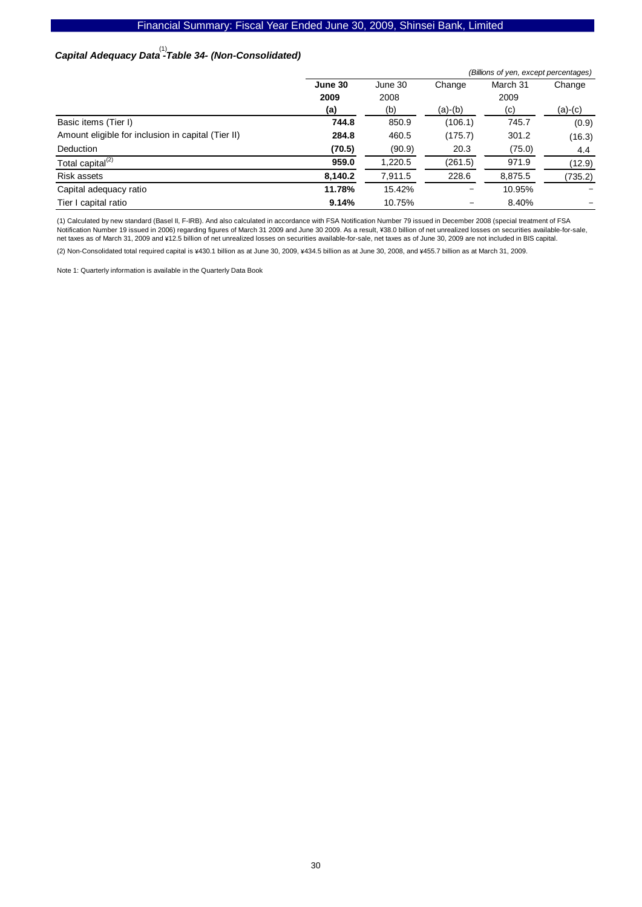## Financial Summary: Fiscal Year Ended June 30, 2009, Shinsei Bank, Limited

# *Capital Adequacy Data -Table 34- (Non-Consolidated)*  (1)

|                                                    | (Billions of yen, except percentages) |         |           |          |           |  |  |  |  |
|----------------------------------------------------|---------------------------------------|---------|-----------|----------|-----------|--|--|--|--|
|                                                    | June 30                               | June 30 | Change    | March 31 | Change    |  |  |  |  |
|                                                    | 2009                                  | 2008    |           | 2009     |           |  |  |  |  |
|                                                    | (a)                                   | (b)     | $(a)-(b)$ | (c)      | $(a)-(c)$ |  |  |  |  |
| Basic items (Tier I)                               | 744.8                                 | 850.9   | (106.1)   | 745.7    | (0.9)     |  |  |  |  |
| Amount eligible for inclusion in capital (Tier II) | 284.8                                 | 460.5   | (175.7)   | 301.2    | (16.3)    |  |  |  |  |
| <b>Deduction</b>                                   | (70.5)                                | (90.9)  | 20.3      | (75.0)   | 4.4       |  |  |  |  |
| Total capital <sup>(2)</sup>                       | 959.0                                 | 1,220.5 | (261.5)   | 971.9    | (12.9)    |  |  |  |  |
| Risk assets                                        | 8,140.2                               | 7,911.5 | 228.6     | 8,875.5  | (735.2)   |  |  |  |  |
| Capital adequacy ratio                             | 11.78%                                | 15.42%  | -         | 10.95%   |           |  |  |  |  |
| Tier I capital ratio                               | 9.14%                                 | 10.75%  | -         | 8.40%    |           |  |  |  |  |

(1) Calculated by new standard (Basel II, F-IRB). And also calculated in accordance with FSA Notification Number 79 issued in December 2008 (special treatment of FSA Notification Number 19 issued in 2006) regarding figures of March 31 2009 and June 30 2009. As a result, ¥38.0 billion of net unrealized losses on securities available-for-sale, net taxes as of March 31, 2009 and \12.5 billion of net unrealized losses on securities available-for-sale, net taxes as of June 30, 2009 are not included in BIS capital.  $(2)$  Non-Consolidated total required capital is ¥430.1 billion as at June 30, 2009, ¥434.5 billion as at June 30, 2008, and ¥455.7 billion as at March 31, 2009.

Note 1: Quarterly information is available in the Quarterly Data Book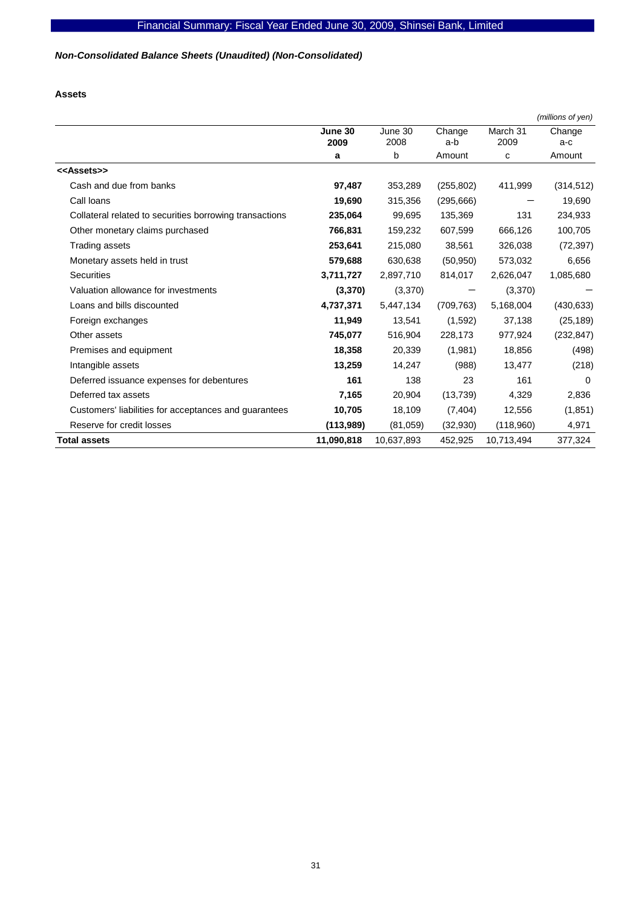# *Non-Consolidated Balance Sheets (Unaudited) (Non-Consolidated)*

**Assets** 

|                                                         |                 |                 |               |                  | (millions of yen) |
|---------------------------------------------------------|-----------------|-----------------|---------------|------------------|-------------------|
|                                                         | June 30<br>2009 | June 30<br>2008 | Change<br>a-b | March 31<br>2009 | Change<br>a-c     |
|                                                         | a               | b               | Amount        | C                | Amount            |
| < <assets>&gt;</assets>                                 |                 |                 |               |                  |                   |
| Cash and due from banks                                 | 97,487          | 353,289         | (255, 802)    | 411,999          | (314, 512)        |
| Call loans                                              | 19,690          | 315,356         | (295, 666)    |                  | 19,690            |
| Collateral related to securities borrowing transactions | 235,064         | 99,695          | 135,369       | 131              | 234,933           |
| Other monetary claims purchased                         | 766,831         | 159,232         | 607,599       | 666,126          | 100,705           |
| Trading assets                                          | 253,641         | 215,080         | 38,561        | 326,038          | (72, 397)         |
| Monetary assets held in trust                           | 579,688         | 630,638         | (50, 950)     | 573,032          | 6,656             |
| <b>Securities</b>                                       | 3,711,727       | 2,897,710       | 814,017       | 2,626,047        | 1,085,680         |
| Valuation allowance for investments                     | (3,370)         | (3,370)         |               | (3,370)          |                   |
| Loans and bills discounted                              | 4,737,371       | 5,447,134       | (709, 763)    | 5,168,004        | (430, 633)        |
| Foreign exchanges                                       | 11,949          | 13,541          | (1,592)       | 37,138           | (25, 189)         |
| Other assets                                            | 745,077         | 516,904         | 228,173       | 977,924          | (232, 847)        |
| Premises and equipment                                  | 18,358          | 20,339          | (1,981)       | 18,856           | (498)             |
| Intangible assets                                       | 13,259          | 14,247          | (988)         | 13,477           | (218)             |
| Deferred issuance expenses for debentures               | 161             | 138             | 23            | 161              | $\Omega$          |
| Deferred tax assets                                     | 7,165           | 20,904          | (13, 739)     | 4,329            | 2,836             |
| Customers' liabilities for acceptances and guarantees   | 10,705          | 18,109          | (7, 404)      | 12,556           | (1, 851)          |
| Reserve for credit losses                               | (113,989)       | (81,059)        | (32, 930)     | (118,960)        | 4,971             |
| Total assets                                            | 11,090,818      | 10,637,893      | 452,925       | 10,713,494       | 377,324           |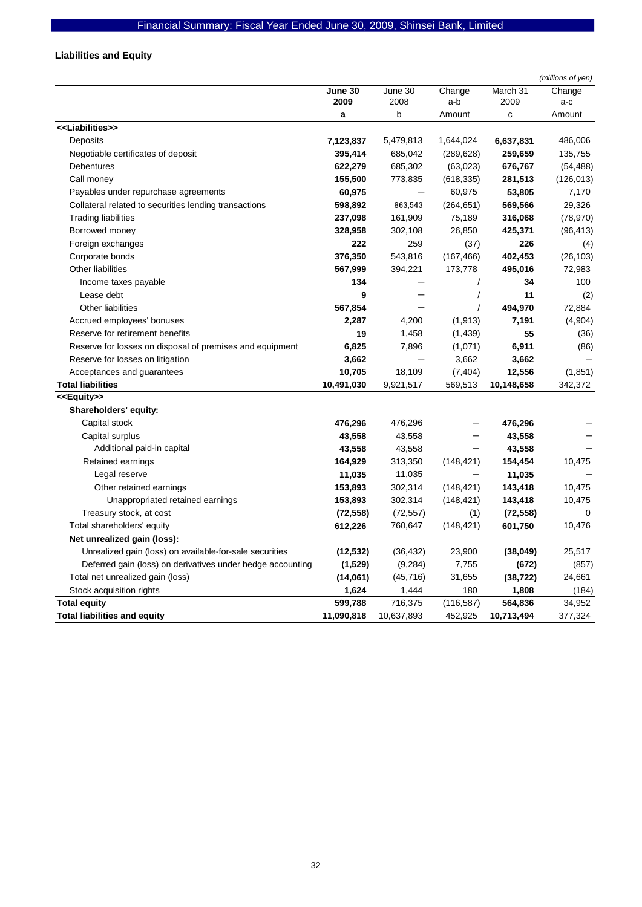# **Liabilities and Equity**

|                                                            |                 |                 |               |                  | (millions of yen) |
|------------------------------------------------------------|-----------------|-----------------|---------------|------------------|-------------------|
|                                                            | June 30<br>2009 | June 30<br>2008 | Change<br>a-b | March 31<br>2009 | Change<br>a-c     |
|                                                            | a               | b               | Amount        | $\mathbf c$      | Amount            |
| < <liabilities>&gt;</liabilities>                          |                 |                 |               |                  |                   |
| Deposits                                                   | 7,123,837       | 5,479,813       | 1,644,024     | 6,637,831        | 486,006           |
| Negotiable certificates of deposit                         | 395,414         | 685,042         | (289, 628)    | 259,659          | 135,755           |
| Debentures                                                 | 622,279         | 685,302         | (63,023)      | 676,767          | (54, 488)         |
| Call money                                                 | 155,500         | 773,835         | (618, 335)    | 281,513          | (126, 013)        |
| Payables under repurchase agreements                       | 60,975          |                 | 60,975        | 53,805           | 7,170             |
| Collateral related to securities lending transactions      | 598,892         | 863,543         | (264, 651)    | 569,566          | 29,326            |
| <b>Trading liabilities</b>                                 | 237,098         | 161,909         | 75,189        | 316,068          | (78, 970)         |
| Borrowed money                                             | 328,958         | 302,108         | 26,850        | 425,371          | (96, 413)         |
| Foreign exchanges                                          | 222             | 259             | (37)          | 226              | (4)               |
| Corporate bonds                                            | 376,350         | 543,816         | (167, 466)    | 402,453          | (26, 103)         |
| Other liabilities                                          | 567,999         | 394,221         | 173,778       | 495,016          | 72,983            |
| Income taxes payable                                       | 134             |                 | $\prime$      | 34               | 100               |
| Lease debt                                                 | 9               |                 | $\prime$      | 11               | (2)               |
| <b>Other liabilities</b>                                   | 567,854         |                 | $\prime$      | 494,970          | 72,884            |
| Accrued employees' bonuses                                 | 2,287           | 4,200           | (1, 913)      | 7,191            | (4,904)           |
| Reserve for retirement benefits                            | 19              | 1,458           | (1,439)       | 55               | (36)              |
| Reserve for losses on disposal of premises and equipment   | 6,825           | 7,896           | (1,071)       | 6,911            | (86)              |
| Reserve for losses on litigation                           | 3,662           |                 | 3,662         | 3,662            |                   |
| Acceptances and guarantees                                 | 10,705          | 18,109          | (7, 404)      | 12,556           | (1, 851)          |
| <b>Total liabilities</b>                                   | 10,491,030      | 9,921,517       | 569,513       | 10,148,658       | 342,372           |
| < <equity>&gt;</equity>                                    |                 |                 |               |                  |                   |
| Shareholders' equity:                                      |                 |                 |               |                  |                   |
| Capital stock                                              | 476,296         | 476,296         |               | 476,296          |                   |
| Capital surplus                                            | 43,558          | 43,558          |               | 43,558           |                   |
| Additional paid-in capital                                 | 43,558          | 43,558          |               | 43,558           |                   |
| Retained earnings                                          | 164,929         | 313,350         | (148, 421)    | 154,454          | 10,475            |
| Legal reserve                                              | 11,035          | 11,035          |               | 11,035           |                   |
| Other retained earnings                                    | 153,893         | 302,314         | (148, 421)    | 143,418          | 10,475            |
| Unappropriated retained earnings                           | 153,893         | 302,314         | (148, 421)    | 143,418          | 10,475            |
| Treasury stock, at cost                                    | (72, 558)       | (72, 557)       | (1)           | (72, 558)        | 0                 |
| Total shareholders' equity                                 | 612,226         | 760,647         | (148, 421)    | 601,750          | 10,476            |
| Net unrealized gain (loss):                                |                 |                 |               |                  |                   |
| Unrealized gain (loss) on available-for-sale securities    | (12, 532)       | (36, 432)       | 23,900        | (38, 049)        | 25,517            |
| Deferred gain (loss) on derivatives under hedge accounting | (1,529)         | (9, 284)        | 7,755         | (672)            | (857)             |
| Total net unrealized gain (loss)                           | (14,061)        | (45, 716)       | 31,655        | (38, 722)        | 24,661            |
| Stock acquisition rights                                   | 1,624           | 1,444           | 180           | 1,808            | (184)             |
| <b>Total equity</b>                                        | 599,788         | 716,375         | (116, 587)    | 564,836          | 34,952            |
| <b>Total liabilities and equity</b>                        | 11,090,818      | 10,637,893      | 452,925       | 10,713,494       | 377,324           |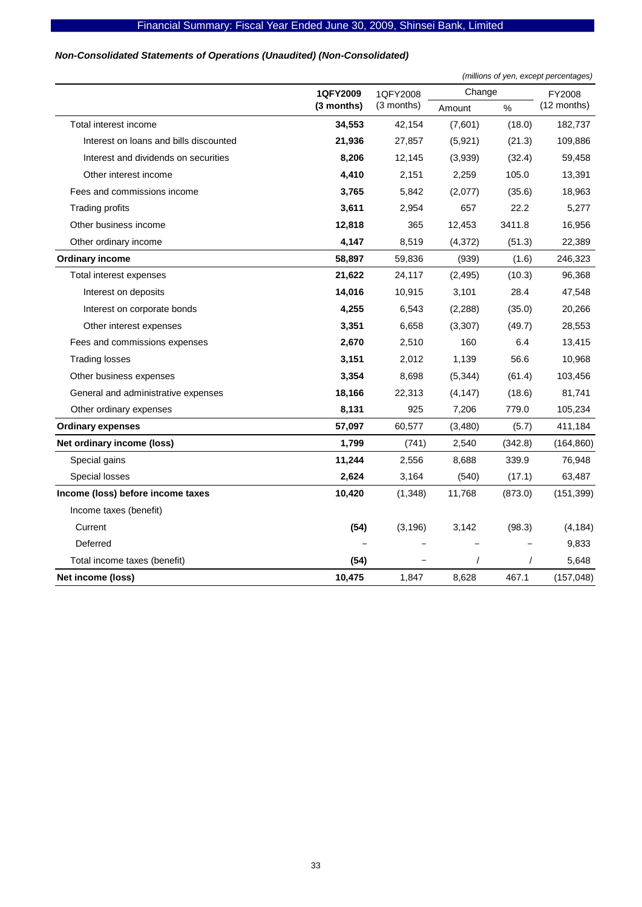## *Non-Consolidated Statements of Operations (Unaudited) (Non-Consolidated)*

|                                        |              |              | (millions of yen, except percentages) |         |             |  |
|----------------------------------------|--------------|--------------|---------------------------------------|---------|-------------|--|
|                                        | 1QFY2009     | 1QFY2008     | Change                                | FY2008  |             |  |
|                                        | $(3$ months) | $(3$ months) | Amount                                | $\%$    | (12 months) |  |
| Total interest income                  | 34,553       | 42,154       | (7,601)                               | (18.0)  | 182,737     |  |
| Interest on loans and bills discounted | 21,936       | 27,857       | (5,921)                               | (21.3)  | 109,886     |  |
| Interest and dividends on securities   | 8,206        | 12,145       | (3,939)                               | (32.4)  | 59,458      |  |
| Other interest income                  | 4,410        | 2,151        | 2,259                                 | 105.0   | 13,391      |  |
| Fees and commissions income            | 3,765        | 5,842        | (2,077)                               | (35.6)  | 18,963      |  |
| Trading profits                        | 3,611        | 2,954        | 657                                   | 22.2    | 5,277       |  |
| Other business income                  | 12,818       | 365          | 12,453                                | 3411.8  | 16,956      |  |
| Other ordinary income                  | 4,147        | 8,519        | (4, 372)                              | (51.3)  | 22,389      |  |
| <b>Ordinary income</b>                 | 58,897       | 59,836       | (939)                                 | (1.6)   | 246,323     |  |
| Total interest expenses                | 21,622       | 24,117       | (2, 495)                              | (10.3)  | 96,368      |  |
| Interest on deposits                   | 14,016       | 10,915       | 3,101                                 | 28.4    | 47,548      |  |
| Interest on corporate bonds            | 4,255        | 6,543        | (2,288)                               | (35.0)  | 20,266      |  |
| Other interest expenses                | 3,351        | 6,658        | (3,307)                               | (49.7)  | 28,553      |  |
| Fees and commissions expenses          | 2,670        | 2,510        | 160                                   | 6.4     | 13,415      |  |
| <b>Trading losses</b>                  | 3,151        | 2,012        | 1,139                                 | 56.6    | 10,968      |  |
| Other business expenses                | 3,354        | 8,698        | (5, 344)                              | (61.4)  | 103,456     |  |
| General and administrative expenses    | 18,166       | 22,313       | (4, 147)                              | (18.6)  | 81,741      |  |
| Other ordinary expenses                | 8,131        | 925          | 7,206                                 | 779.0   | 105,234     |  |
| <b>Ordinary expenses</b>               | 57,097       | 60,577       | (3,480)                               | (5.7)   | 411,184     |  |
| Net ordinary income (loss)             | 1,799        | (741)        | 2,540                                 | (342.8) | (164, 860)  |  |
| Special gains                          | 11,244       | 2,556        | 8,688                                 | 339.9   | 76,948      |  |
| Special losses                         | 2,624        | 3,164        | (540)                                 | (17.1)  | 63,487      |  |
| Income (loss) before income taxes      | 10,420       | (1,348)      | 11,768                                | (873.0) | (151, 399)  |  |
| Income taxes (benefit)                 |              |              |                                       |         |             |  |
| Current                                | (54)         | (3, 196)     | 3,142                                 | (98.3)  | (4, 184)    |  |
| Deferred                               |              |              |                                       |         | 9,833       |  |
| Total income taxes (benefit)           | (54)         |              | $\prime$                              |         | 5,648       |  |
| Net income (loss)                      | 10,475       | 1,847        | 8,628                                 | 467.1   | (157, 048)  |  |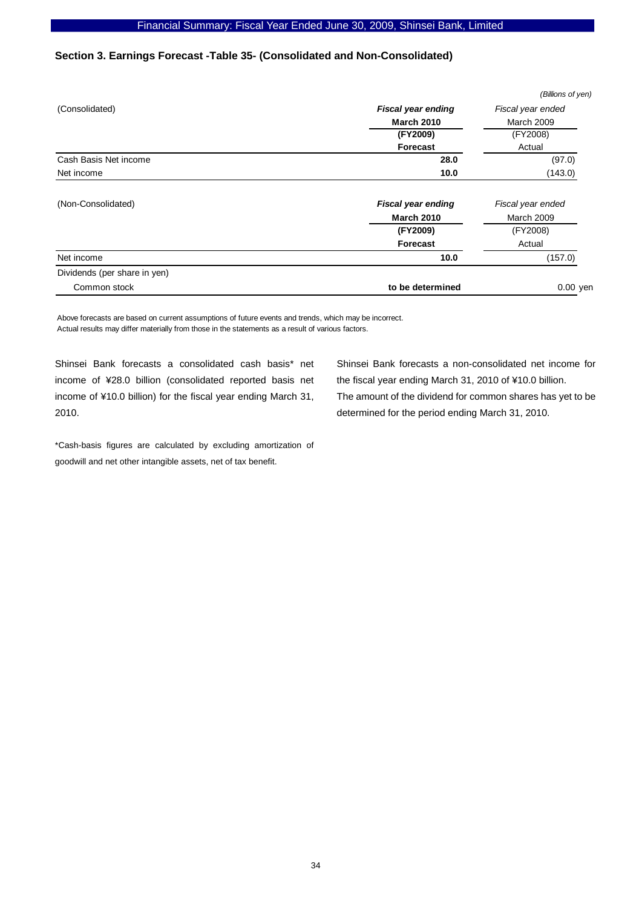# **Section 3. Earnings Forecast -Table 35- (Consolidated and Non-Consolidated)**

|                              |                           | (Billions of yen) |
|------------------------------|---------------------------|-------------------|
| (Consolidated)               | <b>Fiscal year ending</b> | Fiscal year ended |
|                              | <b>March 2010</b>         | <b>March 2009</b> |
|                              | (FY2009)                  | (FY2008)          |
|                              | Forecast                  | Actual            |
| Cash Basis Net income        | 28.0                      | (97.0)            |
| Net income                   | 10.0                      | (143.0)           |
| (Non-Consolidated)           | <b>Fiscal year ending</b> | Fiscal year ended |
|                              | <b>March 2010</b>         | March 2009        |
|                              | (FY2009)                  | (FY2008)          |
|                              | <b>Forecast</b>           | Actual            |
| Net income                   | 10.0                      | (157.0)           |
| Dividends (per share in yen) |                           |                   |
| Common stock                 | to be determined          | $0.00$ yen        |
|                              |                           |                   |

Above forecasts are based on current assumptions of future events and trends, which may be incorrect. Actual results may differ materially from those in the statements as a result of various factors.

Shinsei Bank forecasts a consolidated cash basis\* net income of ¥28.0 billion (consolidated reported basis net income of ¥10.0 billion) for the fiscal year ending March 31, 2010.

\*Cash-basis figures are calculated by excluding amortization of goodwill and net other intangible assets, net of tax benefit.

Shinsei Bank forecasts a non-consolidated net income for the fiscal year ending March 31, 2010 of ¥10.0 billion. The amount of the dividend for common shares has yet to be determined for the period ending March 31, 2010.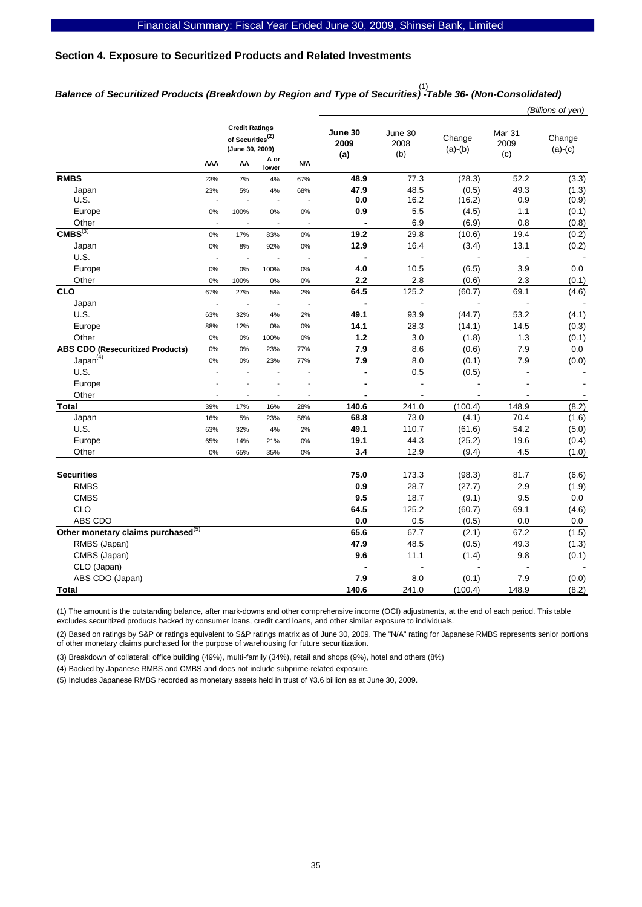## **Section 4. Exposure to Securitized Products and Related Investments**

# *Balance of Securitized Products (Breakdown by Region and Type of Securities) -Table 36- (Non-Consolidated)*  (1)

| <b>Credit Ratings</b><br>June 30<br>June 30<br>Mar <sub>31</sub><br>of Securities <sup>(2)</sup><br>Change<br>Change<br>2009<br>2009<br>2008<br>(June 30, 2009)<br>$(a)-(b)$<br>$(a)-(c)$<br>(b)<br>(c)<br>(a)<br>A or<br>AA<br>AAA<br>N/A<br>lower<br><b>RMBS</b><br>77.3<br>52.2<br>48.9<br>(28.3)<br>67%<br>23%<br>7%<br>4%<br>47.9<br>48.5<br>(0.5)<br>49.3<br>(1.3)<br>Japan<br>23%<br>5%<br>4%<br>68%<br>U.S.<br>16.2<br>0.9<br>0.0<br>(16.2)<br>÷,<br>Ĭ.<br>5.5<br>$1.1$<br>0.9<br>(4.5)<br>Europe<br>0%<br>100%<br>0%<br>0%<br>6.9<br>(6.9)<br>0.8<br>Other<br>$\overline{a}$<br>CMBS <sup>(3)</sup><br>19.4<br>19.2<br>29.8<br>(0.2)<br>(10.6)<br>0%<br>17%<br>0%<br>83%<br>Japan<br>12.9<br>16.4<br>(3.4)<br>13.1<br>(0.2)<br>$0\%$<br>8%<br>92%<br>$0\%$<br>U.S.<br>$\overline{a}$<br>$\overline{\phantom{a}}$<br>$\sim$<br>4.0<br>3.9<br>10.5<br>(6.5)<br>0.0<br>Europe<br>0%<br>0%<br>100%<br>0%<br>2.2<br>2.8<br>2.3<br>(0.6)<br>Other<br>0%<br>$0\%$<br>100%<br>0%<br><b>CLO</b><br>64.5<br>125.2<br>69.1<br>67%<br>(60.7)<br>27%<br>5%<br>2%<br>Japan<br>$\blacksquare$<br>$\overline{a}$<br>$\overline{a}$<br>L,<br>$\overline{\phantom{a}}$<br>$\overline{\phantom{a}}$<br>$\overline{\phantom{a}}$<br>U.S.<br>49.1<br>93.9<br>(44.7)<br>53.2<br>(4.1)<br>63%<br>32%<br>4%<br>2%<br>28.3<br>14.1<br>(14.1)<br>14.5<br>Europe<br>88%<br>12%<br>0%<br>0%<br>3.0<br>Other<br>1.2<br>(1.8)<br>1.3<br>(0.1)<br>0%<br>0%<br>0%<br>100%<br><b>ABS CDO (Resecuritized Products)</b><br>7.9<br>8.6<br>7.9<br>0.0<br>0%<br>(0.6)<br>0%<br>23%<br>77%<br>Japan <sup>(4)</sup><br>7.9<br>8.0<br>7.9<br>(0.1)<br>0%<br>77%<br>0%<br>23%<br>U.S.<br>0.5<br>(0.5)<br>Europe<br>÷,<br>Other<br>140.6<br>241.0<br>(100.4)<br>148.9<br>(8.2)<br><b>Total</b><br>39%<br>17%<br>28%<br>16%<br>73.0<br>70.4<br>68.8<br>(4.1)<br>Japan<br>16%<br>56%<br>$5\%$<br>23%<br>U.S.<br>49.1<br>110.7<br>54.2<br>(61.6)<br>63%<br>32%<br>4%<br>2%<br>19.1<br>44.3<br>19.6<br>(0.4)<br>Europe<br>65%<br>14%<br>$0\%$<br>(25.2)<br>21%<br>3.4<br>12.9<br>(9.4)<br>4.5<br>Other<br>0%<br>65%<br>35%<br>0%<br><b>Securities</b><br>75.0<br>173.3<br>81.7<br>(98.3)<br><b>RMBS</b><br>0.9<br>28.7<br>2.9<br>(27.7)<br><b>CMBS</b><br>18.7<br>9.5<br>9.5<br>(9.1)<br>0.0<br>CLO<br>125.2<br>64.5<br>69.1<br>(60.7)<br>ABS CDO<br>0.0<br>0.5<br>(0.5)<br>0.0<br>0.0<br>Other monetary claims purchased <sup>(5)</sup><br>65.6<br>67.7<br>(2.1)<br>67.2<br>47.9<br>48.5<br>49.3<br>RMBS (Japan)<br>(0.5)<br>CMBS (Japan)<br>9.6<br>11.1<br>9.8<br>(0.1)<br>(1.4)<br>CLO (Japan)<br>ABS CDO (Japan)<br>7.9<br>8.0<br>7.9<br>(0.1)<br>(0.0)<br>140.6<br>241.0<br>(100.4)<br>148.9<br><b>Total</b> |  |  |  |  |  |  | (Billions of yen) |  |  |
|-----------------------------------------------------------------------------------------------------------------------------------------------------------------------------------------------------------------------------------------------------------------------------------------------------------------------------------------------------------------------------------------------------------------------------------------------------------------------------------------------------------------------------------------------------------------------------------------------------------------------------------------------------------------------------------------------------------------------------------------------------------------------------------------------------------------------------------------------------------------------------------------------------------------------------------------------------------------------------------------------------------------------------------------------------------------------------------------------------------------------------------------------------------------------------------------------------------------------------------------------------------------------------------------------------------------------------------------------------------------------------------------------------------------------------------------------------------------------------------------------------------------------------------------------------------------------------------------------------------------------------------------------------------------------------------------------------------------------------------------------------------------------------------------------------------------------------------------------------------------------------------------------------------------------------------------------------------------------------------------------------------------------------------------------------------------------------------------------------------------------------------------------------------------------------------------------------------------------------------------------------------------------------------------------------------------------------------------------------------------------------------------------------------------------------------------------------------------------------------------------------------------------------------------------------------------------------------------------------------------------------------------------------------------------------|--|--|--|--|--|--|-------------------|--|--|
|                                                                                                                                                                                                                                                                                                                                                                                                                                                                                                                                                                                                                                                                                                                                                                                                                                                                                                                                                                                                                                                                                                                                                                                                                                                                                                                                                                                                                                                                                                                                                                                                                                                                                                                                                                                                                                                                                                                                                                                                                                                                                                                                                                                                                                                                                                                                                                                                                                                                                                                                                                                                                                                                             |  |  |  |  |  |  |                   |  |  |
| (3.3)<br>(0.9)<br>(0.1)<br>(0.8)<br>(0.1)<br>(4.6)<br>(0.3)<br>(0.0)<br>(1.6)<br>(5.0)<br>(1.0)<br>(6.6)<br>(1.9)<br>(4.6)<br>(1.5)<br>(1.3)<br>(8.2)                                                                                                                                                                                                                                                                                                                                                                                                                                                                                                                                                                                                                                                                                                                                                                                                                                                                                                                                                                                                                                                                                                                                                                                                                                                                                                                                                                                                                                                                                                                                                                                                                                                                                                                                                                                                                                                                                                                                                                                                                                                                                                                                                                                                                                                                                                                                                                                                                                                                                                                       |  |  |  |  |  |  |                   |  |  |
|                                                                                                                                                                                                                                                                                                                                                                                                                                                                                                                                                                                                                                                                                                                                                                                                                                                                                                                                                                                                                                                                                                                                                                                                                                                                                                                                                                                                                                                                                                                                                                                                                                                                                                                                                                                                                                                                                                                                                                                                                                                                                                                                                                                                                                                                                                                                                                                                                                                                                                                                                                                                                                                                             |  |  |  |  |  |  |                   |  |  |
|                                                                                                                                                                                                                                                                                                                                                                                                                                                                                                                                                                                                                                                                                                                                                                                                                                                                                                                                                                                                                                                                                                                                                                                                                                                                                                                                                                                                                                                                                                                                                                                                                                                                                                                                                                                                                                                                                                                                                                                                                                                                                                                                                                                                                                                                                                                                                                                                                                                                                                                                                                                                                                                                             |  |  |  |  |  |  |                   |  |  |
|                                                                                                                                                                                                                                                                                                                                                                                                                                                                                                                                                                                                                                                                                                                                                                                                                                                                                                                                                                                                                                                                                                                                                                                                                                                                                                                                                                                                                                                                                                                                                                                                                                                                                                                                                                                                                                                                                                                                                                                                                                                                                                                                                                                                                                                                                                                                                                                                                                                                                                                                                                                                                                                                             |  |  |  |  |  |  |                   |  |  |
|                                                                                                                                                                                                                                                                                                                                                                                                                                                                                                                                                                                                                                                                                                                                                                                                                                                                                                                                                                                                                                                                                                                                                                                                                                                                                                                                                                                                                                                                                                                                                                                                                                                                                                                                                                                                                                                                                                                                                                                                                                                                                                                                                                                                                                                                                                                                                                                                                                                                                                                                                                                                                                                                             |  |  |  |  |  |  |                   |  |  |
|                                                                                                                                                                                                                                                                                                                                                                                                                                                                                                                                                                                                                                                                                                                                                                                                                                                                                                                                                                                                                                                                                                                                                                                                                                                                                                                                                                                                                                                                                                                                                                                                                                                                                                                                                                                                                                                                                                                                                                                                                                                                                                                                                                                                                                                                                                                                                                                                                                                                                                                                                                                                                                                                             |  |  |  |  |  |  |                   |  |  |
|                                                                                                                                                                                                                                                                                                                                                                                                                                                                                                                                                                                                                                                                                                                                                                                                                                                                                                                                                                                                                                                                                                                                                                                                                                                                                                                                                                                                                                                                                                                                                                                                                                                                                                                                                                                                                                                                                                                                                                                                                                                                                                                                                                                                                                                                                                                                                                                                                                                                                                                                                                                                                                                                             |  |  |  |  |  |  |                   |  |  |
|                                                                                                                                                                                                                                                                                                                                                                                                                                                                                                                                                                                                                                                                                                                                                                                                                                                                                                                                                                                                                                                                                                                                                                                                                                                                                                                                                                                                                                                                                                                                                                                                                                                                                                                                                                                                                                                                                                                                                                                                                                                                                                                                                                                                                                                                                                                                                                                                                                                                                                                                                                                                                                                                             |  |  |  |  |  |  |                   |  |  |
|                                                                                                                                                                                                                                                                                                                                                                                                                                                                                                                                                                                                                                                                                                                                                                                                                                                                                                                                                                                                                                                                                                                                                                                                                                                                                                                                                                                                                                                                                                                                                                                                                                                                                                                                                                                                                                                                                                                                                                                                                                                                                                                                                                                                                                                                                                                                                                                                                                                                                                                                                                                                                                                                             |  |  |  |  |  |  |                   |  |  |
|                                                                                                                                                                                                                                                                                                                                                                                                                                                                                                                                                                                                                                                                                                                                                                                                                                                                                                                                                                                                                                                                                                                                                                                                                                                                                                                                                                                                                                                                                                                                                                                                                                                                                                                                                                                                                                                                                                                                                                                                                                                                                                                                                                                                                                                                                                                                                                                                                                                                                                                                                                                                                                                                             |  |  |  |  |  |  |                   |  |  |
|                                                                                                                                                                                                                                                                                                                                                                                                                                                                                                                                                                                                                                                                                                                                                                                                                                                                                                                                                                                                                                                                                                                                                                                                                                                                                                                                                                                                                                                                                                                                                                                                                                                                                                                                                                                                                                                                                                                                                                                                                                                                                                                                                                                                                                                                                                                                                                                                                                                                                                                                                                                                                                                                             |  |  |  |  |  |  |                   |  |  |
|                                                                                                                                                                                                                                                                                                                                                                                                                                                                                                                                                                                                                                                                                                                                                                                                                                                                                                                                                                                                                                                                                                                                                                                                                                                                                                                                                                                                                                                                                                                                                                                                                                                                                                                                                                                                                                                                                                                                                                                                                                                                                                                                                                                                                                                                                                                                                                                                                                                                                                                                                                                                                                                                             |  |  |  |  |  |  |                   |  |  |
|                                                                                                                                                                                                                                                                                                                                                                                                                                                                                                                                                                                                                                                                                                                                                                                                                                                                                                                                                                                                                                                                                                                                                                                                                                                                                                                                                                                                                                                                                                                                                                                                                                                                                                                                                                                                                                                                                                                                                                                                                                                                                                                                                                                                                                                                                                                                                                                                                                                                                                                                                                                                                                                                             |  |  |  |  |  |  |                   |  |  |
|                                                                                                                                                                                                                                                                                                                                                                                                                                                                                                                                                                                                                                                                                                                                                                                                                                                                                                                                                                                                                                                                                                                                                                                                                                                                                                                                                                                                                                                                                                                                                                                                                                                                                                                                                                                                                                                                                                                                                                                                                                                                                                                                                                                                                                                                                                                                                                                                                                                                                                                                                                                                                                                                             |  |  |  |  |  |  |                   |  |  |
|                                                                                                                                                                                                                                                                                                                                                                                                                                                                                                                                                                                                                                                                                                                                                                                                                                                                                                                                                                                                                                                                                                                                                                                                                                                                                                                                                                                                                                                                                                                                                                                                                                                                                                                                                                                                                                                                                                                                                                                                                                                                                                                                                                                                                                                                                                                                                                                                                                                                                                                                                                                                                                                                             |  |  |  |  |  |  |                   |  |  |
|                                                                                                                                                                                                                                                                                                                                                                                                                                                                                                                                                                                                                                                                                                                                                                                                                                                                                                                                                                                                                                                                                                                                                                                                                                                                                                                                                                                                                                                                                                                                                                                                                                                                                                                                                                                                                                                                                                                                                                                                                                                                                                                                                                                                                                                                                                                                                                                                                                                                                                                                                                                                                                                                             |  |  |  |  |  |  |                   |  |  |
|                                                                                                                                                                                                                                                                                                                                                                                                                                                                                                                                                                                                                                                                                                                                                                                                                                                                                                                                                                                                                                                                                                                                                                                                                                                                                                                                                                                                                                                                                                                                                                                                                                                                                                                                                                                                                                                                                                                                                                                                                                                                                                                                                                                                                                                                                                                                                                                                                                                                                                                                                                                                                                                                             |  |  |  |  |  |  |                   |  |  |
|                                                                                                                                                                                                                                                                                                                                                                                                                                                                                                                                                                                                                                                                                                                                                                                                                                                                                                                                                                                                                                                                                                                                                                                                                                                                                                                                                                                                                                                                                                                                                                                                                                                                                                                                                                                                                                                                                                                                                                                                                                                                                                                                                                                                                                                                                                                                                                                                                                                                                                                                                                                                                                                                             |  |  |  |  |  |  |                   |  |  |
|                                                                                                                                                                                                                                                                                                                                                                                                                                                                                                                                                                                                                                                                                                                                                                                                                                                                                                                                                                                                                                                                                                                                                                                                                                                                                                                                                                                                                                                                                                                                                                                                                                                                                                                                                                                                                                                                                                                                                                                                                                                                                                                                                                                                                                                                                                                                                                                                                                                                                                                                                                                                                                                                             |  |  |  |  |  |  |                   |  |  |
|                                                                                                                                                                                                                                                                                                                                                                                                                                                                                                                                                                                                                                                                                                                                                                                                                                                                                                                                                                                                                                                                                                                                                                                                                                                                                                                                                                                                                                                                                                                                                                                                                                                                                                                                                                                                                                                                                                                                                                                                                                                                                                                                                                                                                                                                                                                                                                                                                                                                                                                                                                                                                                                                             |  |  |  |  |  |  |                   |  |  |
|                                                                                                                                                                                                                                                                                                                                                                                                                                                                                                                                                                                                                                                                                                                                                                                                                                                                                                                                                                                                                                                                                                                                                                                                                                                                                                                                                                                                                                                                                                                                                                                                                                                                                                                                                                                                                                                                                                                                                                                                                                                                                                                                                                                                                                                                                                                                                                                                                                                                                                                                                                                                                                                                             |  |  |  |  |  |  |                   |  |  |
|                                                                                                                                                                                                                                                                                                                                                                                                                                                                                                                                                                                                                                                                                                                                                                                                                                                                                                                                                                                                                                                                                                                                                                                                                                                                                                                                                                                                                                                                                                                                                                                                                                                                                                                                                                                                                                                                                                                                                                                                                                                                                                                                                                                                                                                                                                                                                                                                                                                                                                                                                                                                                                                                             |  |  |  |  |  |  |                   |  |  |
|                                                                                                                                                                                                                                                                                                                                                                                                                                                                                                                                                                                                                                                                                                                                                                                                                                                                                                                                                                                                                                                                                                                                                                                                                                                                                                                                                                                                                                                                                                                                                                                                                                                                                                                                                                                                                                                                                                                                                                                                                                                                                                                                                                                                                                                                                                                                                                                                                                                                                                                                                                                                                                                                             |  |  |  |  |  |  |                   |  |  |
|                                                                                                                                                                                                                                                                                                                                                                                                                                                                                                                                                                                                                                                                                                                                                                                                                                                                                                                                                                                                                                                                                                                                                                                                                                                                                                                                                                                                                                                                                                                                                                                                                                                                                                                                                                                                                                                                                                                                                                                                                                                                                                                                                                                                                                                                                                                                                                                                                                                                                                                                                                                                                                                                             |  |  |  |  |  |  |                   |  |  |
|                                                                                                                                                                                                                                                                                                                                                                                                                                                                                                                                                                                                                                                                                                                                                                                                                                                                                                                                                                                                                                                                                                                                                                                                                                                                                                                                                                                                                                                                                                                                                                                                                                                                                                                                                                                                                                                                                                                                                                                                                                                                                                                                                                                                                                                                                                                                                                                                                                                                                                                                                                                                                                                                             |  |  |  |  |  |  |                   |  |  |
|                                                                                                                                                                                                                                                                                                                                                                                                                                                                                                                                                                                                                                                                                                                                                                                                                                                                                                                                                                                                                                                                                                                                                                                                                                                                                                                                                                                                                                                                                                                                                                                                                                                                                                                                                                                                                                                                                                                                                                                                                                                                                                                                                                                                                                                                                                                                                                                                                                                                                                                                                                                                                                                                             |  |  |  |  |  |  |                   |  |  |
|                                                                                                                                                                                                                                                                                                                                                                                                                                                                                                                                                                                                                                                                                                                                                                                                                                                                                                                                                                                                                                                                                                                                                                                                                                                                                                                                                                                                                                                                                                                                                                                                                                                                                                                                                                                                                                                                                                                                                                                                                                                                                                                                                                                                                                                                                                                                                                                                                                                                                                                                                                                                                                                                             |  |  |  |  |  |  |                   |  |  |
|                                                                                                                                                                                                                                                                                                                                                                                                                                                                                                                                                                                                                                                                                                                                                                                                                                                                                                                                                                                                                                                                                                                                                                                                                                                                                                                                                                                                                                                                                                                                                                                                                                                                                                                                                                                                                                                                                                                                                                                                                                                                                                                                                                                                                                                                                                                                                                                                                                                                                                                                                                                                                                                                             |  |  |  |  |  |  |                   |  |  |
|                                                                                                                                                                                                                                                                                                                                                                                                                                                                                                                                                                                                                                                                                                                                                                                                                                                                                                                                                                                                                                                                                                                                                                                                                                                                                                                                                                                                                                                                                                                                                                                                                                                                                                                                                                                                                                                                                                                                                                                                                                                                                                                                                                                                                                                                                                                                                                                                                                                                                                                                                                                                                                                                             |  |  |  |  |  |  |                   |  |  |
|                                                                                                                                                                                                                                                                                                                                                                                                                                                                                                                                                                                                                                                                                                                                                                                                                                                                                                                                                                                                                                                                                                                                                                                                                                                                                                                                                                                                                                                                                                                                                                                                                                                                                                                                                                                                                                                                                                                                                                                                                                                                                                                                                                                                                                                                                                                                                                                                                                                                                                                                                                                                                                                                             |  |  |  |  |  |  |                   |  |  |
|                                                                                                                                                                                                                                                                                                                                                                                                                                                                                                                                                                                                                                                                                                                                                                                                                                                                                                                                                                                                                                                                                                                                                                                                                                                                                                                                                                                                                                                                                                                                                                                                                                                                                                                                                                                                                                                                                                                                                                                                                                                                                                                                                                                                                                                                                                                                                                                                                                                                                                                                                                                                                                                                             |  |  |  |  |  |  |                   |  |  |
|                                                                                                                                                                                                                                                                                                                                                                                                                                                                                                                                                                                                                                                                                                                                                                                                                                                                                                                                                                                                                                                                                                                                                                                                                                                                                                                                                                                                                                                                                                                                                                                                                                                                                                                                                                                                                                                                                                                                                                                                                                                                                                                                                                                                                                                                                                                                                                                                                                                                                                                                                                                                                                                                             |  |  |  |  |  |  |                   |  |  |
|                                                                                                                                                                                                                                                                                                                                                                                                                                                                                                                                                                                                                                                                                                                                                                                                                                                                                                                                                                                                                                                                                                                                                                                                                                                                                                                                                                                                                                                                                                                                                                                                                                                                                                                                                                                                                                                                                                                                                                                                                                                                                                                                                                                                                                                                                                                                                                                                                                                                                                                                                                                                                                                                             |  |  |  |  |  |  |                   |  |  |
|                                                                                                                                                                                                                                                                                                                                                                                                                                                                                                                                                                                                                                                                                                                                                                                                                                                                                                                                                                                                                                                                                                                                                                                                                                                                                                                                                                                                                                                                                                                                                                                                                                                                                                                                                                                                                                                                                                                                                                                                                                                                                                                                                                                                                                                                                                                                                                                                                                                                                                                                                                                                                                                                             |  |  |  |  |  |  |                   |  |  |
|                                                                                                                                                                                                                                                                                                                                                                                                                                                                                                                                                                                                                                                                                                                                                                                                                                                                                                                                                                                                                                                                                                                                                                                                                                                                                                                                                                                                                                                                                                                                                                                                                                                                                                                                                                                                                                                                                                                                                                                                                                                                                                                                                                                                                                                                                                                                                                                                                                                                                                                                                                                                                                                                             |  |  |  |  |  |  |                   |  |  |
|                                                                                                                                                                                                                                                                                                                                                                                                                                                                                                                                                                                                                                                                                                                                                                                                                                                                                                                                                                                                                                                                                                                                                                                                                                                                                                                                                                                                                                                                                                                                                                                                                                                                                                                                                                                                                                                                                                                                                                                                                                                                                                                                                                                                                                                                                                                                                                                                                                                                                                                                                                                                                                                                             |  |  |  |  |  |  |                   |  |  |
|                                                                                                                                                                                                                                                                                                                                                                                                                                                                                                                                                                                                                                                                                                                                                                                                                                                                                                                                                                                                                                                                                                                                                                                                                                                                                                                                                                                                                                                                                                                                                                                                                                                                                                                                                                                                                                                                                                                                                                                                                                                                                                                                                                                                                                                                                                                                                                                                                                                                                                                                                                                                                                                                             |  |  |  |  |  |  |                   |  |  |
|                                                                                                                                                                                                                                                                                                                                                                                                                                                                                                                                                                                                                                                                                                                                                                                                                                                                                                                                                                                                                                                                                                                                                                                                                                                                                                                                                                                                                                                                                                                                                                                                                                                                                                                                                                                                                                                                                                                                                                                                                                                                                                                                                                                                                                                                                                                                                                                                                                                                                                                                                                                                                                                                             |  |  |  |  |  |  |                   |  |  |

(1) The amount is the outstanding balance, after mark-downs and other comprehensive income (OCI) adjustments, at the end of each period. This table excludes securitized products backed by consumer loans, credit card loans, and other similar exposure to individuals.

(2) Based on ratings by S&P or ratings equivalent to S&P ratings matrix as of June 30, 2009. The "N/A" rating for Japanese RMBS represents senior portions of other monetary claims purchased for the purpose of warehousing for future securitization.

(3) Breakdown of collateral: office building (49%), multi-family (34%), retail and shops (9%), hotel and others (8%)

(4) Backed by Japanese RMBS and CMBS and does not include subprime-related exposure.

(5) Includes Japanese RMBS recorded as monetary assets held in trust of \3.6 billion as at June 30, 2009.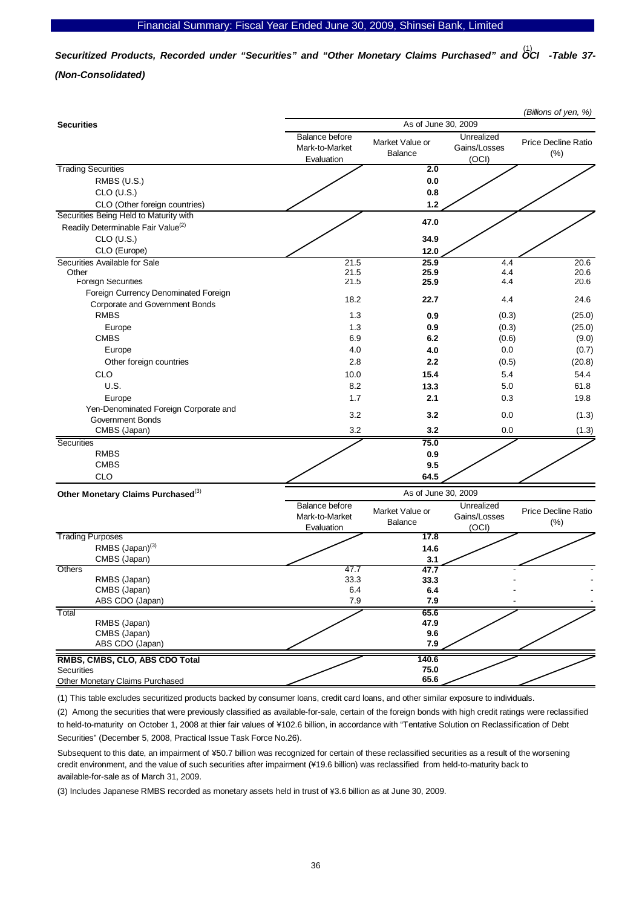*Securitized Products, Recorded under "Securities" and "Other Monetary Claims Purchased" and OCI -Table 37-*  (1) *(Non-Consolidated)* 

| As of June 30, 2009<br><b>Securities</b><br><b>Balance before</b><br>Unrealized<br>Market Value or<br>Price Decline Ratio<br>Gains/Losses<br>Mark-to-Market<br><b>Balance</b><br>(% )<br>(OCI)<br>Evaluation<br><b>Trading Securities</b><br>2.0<br>RMBS (U.S.)<br>0.0<br>$CLO$ (U.S.)<br>0.8<br>CLO (Other foreign countries)<br>1.2<br>Securities Being Held to Maturity with<br>47.0<br>Readily Determinable Fair Value <sup>(2)</sup><br>$CLO$ (U.S.)<br>34.9<br>12.0<br>CLO (Europe)<br>Securities Available for Sale<br>21.5<br>25.9<br>20.6<br>4.4<br>25.9<br>4.4<br>Other<br>21.5<br>20.6<br><b>Foreign Securities</b><br>21.5<br>25.9<br>4.4<br>20.6<br>Foreign Currency Denominated Foreign<br>18.2<br>22.7<br>4.4<br>24.6<br>Corporate and Government Bonds<br><b>RMBS</b><br>1.3<br>0.9<br>(0.3)<br>(25.0)<br>1.3<br>0.9<br>(0.3)<br>(25.0)<br>Europe<br><b>CMBS</b><br>6.9<br>(9.0)<br>6.2<br>(0.6)<br>4.0<br>0.0<br>(0.7)<br>Europe<br>4.0<br>2.2<br>2.8<br>(20.8)<br>Other foreign countries<br>(0.5)<br><b>CLO</b><br>15.4<br>54.4<br>10.0<br>5.4<br><b>U.S.</b><br>8.2<br>13.3<br>5.0<br>61.8<br>1.7<br>Europe<br>2.1<br>0.3<br>19.8<br>Yen-Denominated Foreign Corporate and<br>3.2<br>3.2<br>(1.3)<br>0.0<br><b>Government Bonds</b><br>3.2<br>3.2<br>0.0<br>CMBS (Japan)<br>(1.3)<br>Securities<br>75.0<br><b>RMBS</b><br>0.9<br><b>CMBS</b><br>9.5<br><b>CLO</b><br>64.5<br>As of June 30, 2009<br>Other Monetary Claims Purchased <sup>(3)</sup><br><b>Balance before</b><br>Unrealized<br>Market Value or<br>Price Decline Ratio<br>Gains/Losses<br>Mark-to-Market<br>(% )<br><b>Balance</b><br>(OCI)<br>Evaluation<br><b>Trading Purposes</b><br>17.8<br>RMBS (Japan) <sup>(3)</sup><br>14.6<br>CMBS (Japan)<br>3.1<br>Others<br>47.7<br>47.7<br>33.3<br>RMBS (Japan)<br>33.3<br>6.4<br>CMBS (Japan)<br>6.4 |
|-------------------------------------------------------------------------------------------------------------------------------------------------------------------------------------------------------------------------------------------------------------------------------------------------------------------------------------------------------------------------------------------------------------------------------------------------------------------------------------------------------------------------------------------------------------------------------------------------------------------------------------------------------------------------------------------------------------------------------------------------------------------------------------------------------------------------------------------------------------------------------------------------------------------------------------------------------------------------------------------------------------------------------------------------------------------------------------------------------------------------------------------------------------------------------------------------------------------------------------------------------------------------------------------------------------------------------------------------------------------------------------------------------------------------------------------------------------------------------------------------------------------------------------------------------------------------------------------------------------------------------------------------------------------------------------------------------------------------------------------------------------------------------------------------------------------------------------|
|                                                                                                                                                                                                                                                                                                                                                                                                                                                                                                                                                                                                                                                                                                                                                                                                                                                                                                                                                                                                                                                                                                                                                                                                                                                                                                                                                                                                                                                                                                                                                                                                                                                                                                                                                                                                                                     |
|                                                                                                                                                                                                                                                                                                                                                                                                                                                                                                                                                                                                                                                                                                                                                                                                                                                                                                                                                                                                                                                                                                                                                                                                                                                                                                                                                                                                                                                                                                                                                                                                                                                                                                                                                                                                                                     |
|                                                                                                                                                                                                                                                                                                                                                                                                                                                                                                                                                                                                                                                                                                                                                                                                                                                                                                                                                                                                                                                                                                                                                                                                                                                                                                                                                                                                                                                                                                                                                                                                                                                                                                                                                                                                                                     |
|                                                                                                                                                                                                                                                                                                                                                                                                                                                                                                                                                                                                                                                                                                                                                                                                                                                                                                                                                                                                                                                                                                                                                                                                                                                                                                                                                                                                                                                                                                                                                                                                                                                                                                                                                                                                                                     |
|                                                                                                                                                                                                                                                                                                                                                                                                                                                                                                                                                                                                                                                                                                                                                                                                                                                                                                                                                                                                                                                                                                                                                                                                                                                                                                                                                                                                                                                                                                                                                                                                                                                                                                                                                                                                                                     |
|                                                                                                                                                                                                                                                                                                                                                                                                                                                                                                                                                                                                                                                                                                                                                                                                                                                                                                                                                                                                                                                                                                                                                                                                                                                                                                                                                                                                                                                                                                                                                                                                                                                                                                                                                                                                                                     |
|                                                                                                                                                                                                                                                                                                                                                                                                                                                                                                                                                                                                                                                                                                                                                                                                                                                                                                                                                                                                                                                                                                                                                                                                                                                                                                                                                                                                                                                                                                                                                                                                                                                                                                                                                                                                                                     |
|                                                                                                                                                                                                                                                                                                                                                                                                                                                                                                                                                                                                                                                                                                                                                                                                                                                                                                                                                                                                                                                                                                                                                                                                                                                                                                                                                                                                                                                                                                                                                                                                                                                                                                                                                                                                                                     |
|                                                                                                                                                                                                                                                                                                                                                                                                                                                                                                                                                                                                                                                                                                                                                                                                                                                                                                                                                                                                                                                                                                                                                                                                                                                                                                                                                                                                                                                                                                                                                                                                                                                                                                                                                                                                                                     |
|                                                                                                                                                                                                                                                                                                                                                                                                                                                                                                                                                                                                                                                                                                                                                                                                                                                                                                                                                                                                                                                                                                                                                                                                                                                                                                                                                                                                                                                                                                                                                                                                                                                                                                                                                                                                                                     |
|                                                                                                                                                                                                                                                                                                                                                                                                                                                                                                                                                                                                                                                                                                                                                                                                                                                                                                                                                                                                                                                                                                                                                                                                                                                                                                                                                                                                                                                                                                                                                                                                                                                                                                                                                                                                                                     |
|                                                                                                                                                                                                                                                                                                                                                                                                                                                                                                                                                                                                                                                                                                                                                                                                                                                                                                                                                                                                                                                                                                                                                                                                                                                                                                                                                                                                                                                                                                                                                                                                                                                                                                                                                                                                                                     |
|                                                                                                                                                                                                                                                                                                                                                                                                                                                                                                                                                                                                                                                                                                                                                                                                                                                                                                                                                                                                                                                                                                                                                                                                                                                                                                                                                                                                                                                                                                                                                                                                                                                                                                                                                                                                                                     |
|                                                                                                                                                                                                                                                                                                                                                                                                                                                                                                                                                                                                                                                                                                                                                                                                                                                                                                                                                                                                                                                                                                                                                                                                                                                                                                                                                                                                                                                                                                                                                                                                                                                                                                                                                                                                                                     |
|                                                                                                                                                                                                                                                                                                                                                                                                                                                                                                                                                                                                                                                                                                                                                                                                                                                                                                                                                                                                                                                                                                                                                                                                                                                                                                                                                                                                                                                                                                                                                                                                                                                                                                                                                                                                                                     |
|                                                                                                                                                                                                                                                                                                                                                                                                                                                                                                                                                                                                                                                                                                                                                                                                                                                                                                                                                                                                                                                                                                                                                                                                                                                                                                                                                                                                                                                                                                                                                                                                                                                                                                                                                                                                                                     |
|                                                                                                                                                                                                                                                                                                                                                                                                                                                                                                                                                                                                                                                                                                                                                                                                                                                                                                                                                                                                                                                                                                                                                                                                                                                                                                                                                                                                                                                                                                                                                                                                                                                                                                                                                                                                                                     |
|                                                                                                                                                                                                                                                                                                                                                                                                                                                                                                                                                                                                                                                                                                                                                                                                                                                                                                                                                                                                                                                                                                                                                                                                                                                                                                                                                                                                                                                                                                                                                                                                                                                                                                                                                                                                                                     |
|                                                                                                                                                                                                                                                                                                                                                                                                                                                                                                                                                                                                                                                                                                                                                                                                                                                                                                                                                                                                                                                                                                                                                                                                                                                                                                                                                                                                                                                                                                                                                                                                                                                                                                                                                                                                                                     |
|                                                                                                                                                                                                                                                                                                                                                                                                                                                                                                                                                                                                                                                                                                                                                                                                                                                                                                                                                                                                                                                                                                                                                                                                                                                                                                                                                                                                                                                                                                                                                                                                                                                                                                                                                                                                                                     |
|                                                                                                                                                                                                                                                                                                                                                                                                                                                                                                                                                                                                                                                                                                                                                                                                                                                                                                                                                                                                                                                                                                                                                                                                                                                                                                                                                                                                                                                                                                                                                                                                                                                                                                                                                                                                                                     |
|                                                                                                                                                                                                                                                                                                                                                                                                                                                                                                                                                                                                                                                                                                                                                                                                                                                                                                                                                                                                                                                                                                                                                                                                                                                                                                                                                                                                                                                                                                                                                                                                                                                                                                                                                                                                                                     |
|                                                                                                                                                                                                                                                                                                                                                                                                                                                                                                                                                                                                                                                                                                                                                                                                                                                                                                                                                                                                                                                                                                                                                                                                                                                                                                                                                                                                                                                                                                                                                                                                                                                                                                                                                                                                                                     |
|                                                                                                                                                                                                                                                                                                                                                                                                                                                                                                                                                                                                                                                                                                                                                                                                                                                                                                                                                                                                                                                                                                                                                                                                                                                                                                                                                                                                                                                                                                                                                                                                                                                                                                                                                                                                                                     |
|                                                                                                                                                                                                                                                                                                                                                                                                                                                                                                                                                                                                                                                                                                                                                                                                                                                                                                                                                                                                                                                                                                                                                                                                                                                                                                                                                                                                                                                                                                                                                                                                                                                                                                                                                                                                                                     |
|                                                                                                                                                                                                                                                                                                                                                                                                                                                                                                                                                                                                                                                                                                                                                                                                                                                                                                                                                                                                                                                                                                                                                                                                                                                                                                                                                                                                                                                                                                                                                                                                                                                                                                                                                                                                                                     |
|                                                                                                                                                                                                                                                                                                                                                                                                                                                                                                                                                                                                                                                                                                                                                                                                                                                                                                                                                                                                                                                                                                                                                                                                                                                                                                                                                                                                                                                                                                                                                                                                                                                                                                                                                                                                                                     |
|                                                                                                                                                                                                                                                                                                                                                                                                                                                                                                                                                                                                                                                                                                                                                                                                                                                                                                                                                                                                                                                                                                                                                                                                                                                                                                                                                                                                                                                                                                                                                                                                                                                                                                                                                                                                                                     |
|                                                                                                                                                                                                                                                                                                                                                                                                                                                                                                                                                                                                                                                                                                                                                                                                                                                                                                                                                                                                                                                                                                                                                                                                                                                                                                                                                                                                                                                                                                                                                                                                                                                                                                                                                                                                                                     |
|                                                                                                                                                                                                                                                                                                                                                                                                                                                                                                                                                                                                                                                                                                                                                                                                                                                                                                                                                                                                                                                                                                                                                                                                                                                                                                                                                                                                                                                                                                                                                                                                                                                                                                                                                                                                                                     |
|                                                                                                                                                                                                                                                                                                                                                                                                                                                                                                                                                                                                                                                                                                                                                                                                                                                                                                                                                                                                                                                                                                                                                                                                                                                                                                                                                                                                                                                                                                                                                                                                                                                                                                                                                                                                                                     |
|                                                                                                                                                                                                                                                                                                                                                                                                                                                                                                                                                                                                                                                                                                                                                                                                                                                                                                                                                                                                                                                                                                                                                                                                                                                                                                                                                                                                                                                                                                                                                                                                                                                                                                                                                                                                                                     |
|                                                                                                                                                                                                                                                                                                                                                                                                                                                                                                                                                                                                                                                                                                                                                                                                                                                                                                                                                                                                                                                                                                                                                                                                                                                                                                                                                                                                                                                                                                                                                                                                                                                                                                                                                                                                                                     |
|                                                                                                                                                                                                                                                                                                                                                                                                                                                                                                                                                                                                                                                                                                                                                                                                                                                                                                                                                                                                                                                                                                                                                                                                                                                                                                                                                                                                                                                                                                                                                                                                                                                                                                                                                                                                                                     |
|                                                                                                                                                                                                                                                                                                                                                                                                                                                                                                                                                                                                                                                                                                                                                                                                                                                                                                                                                                                                                                                                                                                                                                                                                                                                                                                                                                                                                                                                                                                                                                                                                                                                                                                                                                                                                                     |
|                                                                                                                                                                                                                                                                                                                                                                                                                                                                                                                                                                                                                                                                                                                                                                                                                                                                                                                                                                                                                                                                                                                                                                                                                                                                                                                                                                                                                                                                                                                                                                                                                                                                                                                                                                                                                                     |
|                                                                                                                                                                                                                                                                                                                                                                                                                                                                                                                                                                                                                                                                                                                                                                                                                                                                                                                                                                                                                                                                                                                                                                                                                                                                                                                                                                                                                                                                                                                                                                                                                                                                                                                                                                                                                                     |
|                                                                                                                                                                                                                                                                                                                                                                                                                                                                                                                                                                                                                                                                                                                                                                                                                                                                                                                                                                                                                                                                                                                                                                                                                                                                                                                                                                                                                                                                                                                                                                                                                                                                                                                                                                                                                                     |
|                                                                                                                                                                                                                                                                                                                                                                                                                                                                                                                                                                                                                                                                                                                                                                                                                                                                                                                                                                                                                                                                                                                                                                                                                                                                                                                                                                                                                                                                                                                                                                                                                                                                                                                                                                                                                                     |
|                                                                                                                                                                                                                                                                                                                                                                                                                                                                                                                                                                                                                                                                                                                                                                                                                                                                                                                                                                                                                                                                                                                                                                                                                                                                                                                                                                                                                                                                                                                                                                                                                                                                                                                                                                                                                                     |
| ABS CDO (Japan)<br>7.9<br>7.9<br>Total<br>65.6                                                                                                                                                                                                                                                                                                                                                                                                                                                                                                                                                                                                                                                                                                                                                                                                                                                                                                                                                                                                                                                                                                                                                                                                                                                                                                                                                                                                                                                                                                                                                                                                                                                                                                                                                                                      |
| RMBS (Japan)<br>47.9                                                                                                                                                                                                                                                                                                                                                                                                                                                                                                                                                                                                                                                                                                                                                                                                                                                                                                                                                                                                                                                                                                                                                                                                                                                                                                                                                                                                                                                                                                                                                                                                                                                                                                                                                                                                                |
| CMBS (Japan)<br>9.6                                                                                                                                                                                                                                                                                                                                                                                                                                                                                                                                                                                                                                                                                                                                                                                                                                                                                                                                                                                                                                                                                                                                                                                                                                                                                                                                                                                                                                                                                                                                                                                                                                                                                                                                                                                                                 |
| ABS CDO (Japan)<br>7.9                                                                                                                                                                                                                                                                                                                                                                                                                                                                                                                                                                                                                                                                                                                                                                                                                                                                                                                                                                                                                                                                                                                                                                                                                                                                                                                                                                                                                                                                                                                                                                                                                                                                                                                                                                                                              |
| 140.6<br>RMBS, CMBS, CLO, ABS CDO Total                                                                                                                                                                                                                                                                                                                                                                                                                                                                                                                                                                                                                                                                                                                                                                                                                                                                                                                                                                                                                                                                                                                                                                                                                                                                                                                                                                                                                                                                                                                                                                                                                                                                                                                                                                                             |
| 75.0<br>Securities                                                                                                                                                                                                                                                                                                                                                                                                                                                                                                                                                                                                                                                                                                                                                                                                                                                                                                                                                                                                                                                                                                                                                                                                                                                                                                                                                                                                                                                                                                                                                                                                                                                                                                                                                                                                                  |
| 65.6<br><b>Other Monetary Claims Purchased</b>                                                                                                                                                                                                                                                                                                                                                                                                                                                                                                                                                                                                                                                                                                                                                                                                                                                                                                                                                                                                                                                                                                                                                                                                                                                                                                                                                                                                                                                                                                                                                                                                                                                                                                                                                                                      |

(1) This table excludes securitized products backed by consumer loans, credit card loans, and other similar exposure to individuals.

(2) Among the securities that were previously classified as available-for-sale, certain of the foreign bonds with high credit ratings were reclassified to held-to-maturity on October 1, 2008 at thier fair values of ¥102.6 billion, in accordance with "Tentative Solution on Reclassification of Debt Securities" (December 5, 2008, Practical Issue Task Force No.26).

Subsequent to this date, an impairment of ¥50.7 billion was recognized for certain of these reclassified securities as a result of the worsening credit environment, and the value of such securities after impairment (¥19.6 billion) was reclassified from held-to-maturity back to available-for-sale as of March 31, 2009.

(3) Includes Japanese RMBS recorded as monetary assets held in trust of \3.6 billion as at June 30, 2009.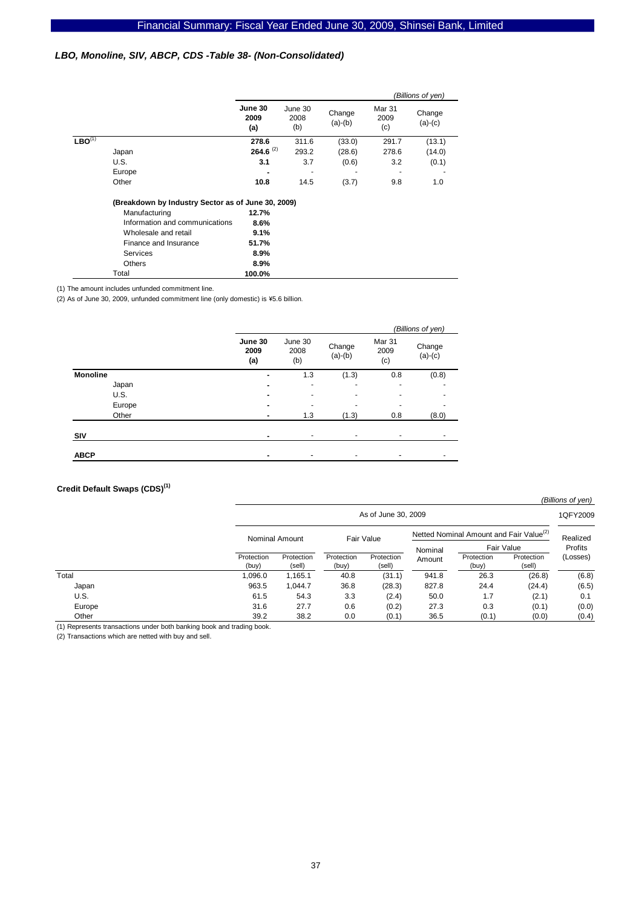#### *LBO, Monoline, SIV, ABCP, CDS -Table 38- (Non-Consolidated)*

|                                                    |                                |                        |                        | (Billions of yen)   |                       |                     |
|----------------------------------------------------|--------------------------------|------------------------|------------------------|---------------------|-----------------------|---------------------|
|                                                    |                                | June 30<br>2009<br>(a) | June 30<br>2008<br>(b) | Change<br>$(a)-(b)$ | Mar 31<br>2009<br>(c) | Change<br>$(a)-(c)$ |
| $LBO^{(1)}$                                        |                                | 278.6                  | 311.6                  | (33.0)              | 291.7                 | (13.1)              |
|                                                    | Japan                          | $264.6^{(2)}$          | 293.2                  | (28.6)              | 278.6                 | (14.0)              |
|                                                    | U.S.                           | 3.1                    | 3.7                    | (0.6)               | 3.2                   | (0.1)               |
|                                                    | Europe                         | -                      |                        | ۰                   |                       |                     |
|                                                    | Other                          | 10.8                   | 14.5                   | (3.7)               | 9.8                   | 1.0                 |
| (Breakdown by Industry Sector as of June 30, 2009) |                                |                        |                        |                     |                       |                     |
|                                                    | Manufacturing                  | 12.7%                  |                        |                     |                       |                     |
|                                                    | Information and communications | 8.6%                   |                        |                     |                       |                     |
|                                                    | Wholesale and retail           | 9.1%                   |                        |                     |                       |                     |
|                                                    | Finance and Insurance          | 51.7%                  |                        |                     |                       |                     |
|                                                    | Services                       | $8.9\%$                |                        |                     |                       |                     |
|                                                    | <b>Others</b>                  | $8.9\%$                |                        |                     |                       |                     |
|                                                    | Total                          | 100.0%                 |                        |                     |                       |                     |

(1) The amount includes unfunded commitment line.

(2) As of June 30, 2009, unfunded commitment line (only domestic) is \5.6 billion.

|                 |                        |                        |                          |                          | (Billions of yen)   |
|-----------------|------------------------|------------------------|--------------------------|--------------------------|---------------------|
|                 | June 30<br>2009<br>(a) | June 30<br>2008<br>(b) | Change<br>$(a)-(b)$      | Mar 31<br>2009<br>(c)    | Change<br>$(a)-(c)$ |
| <b>Monoline</b> |                        | 1.3                    | (1.3)                    | 0.8                      | (0.8)               |
| Japan           |                        | ٠                      | $\overline{\phantom{0}}$ | ۰                        |                     |
| U.S.            |                        | ٠                      | $\overline{\phantom{0}}$ | $\blacksquare$           |                     |
| Europe          |                        | ۰                      |                          | $\overline{\phantom{0}}$ |                     |
| Other           |                        | 1.3                    | (1.3)                    | 0.8                      | (8.0)               |
| SIV             |                        | ٠                      |                          | ٠                        |                     |
| <b>ABCP</b>     |                        | ٠                      | $\overline{\phantom{a}}$ | -                        |                     |

# **Credit Default Swaps (CDS)(1)**

*(Billions of yen)* 1QFY2009 Protection (buy) Protection (sell) **Protection** (buy) Protection (sell) **Protection** (buy) Protection (sell) Total 1,096.0 1,165.1 40.8 (31.1) 941.8 26.3 (26.8) (6.8) Japan 963.5 1,044.7 36.8 (28.3) 827.8 24.4 (24.4) (6.5) U.S. 61.5 54.3 3.3 (2.4) 50.0 1.7 (2.1) 0.1 Europe 31.6 27.7 0.6 (0.2) 27.3 0.3 (0.1) (0.0) Other 39.2 38.2 0.0 (0.1) 36.5 (0.1) (0.0) (0.4) Realized Profits (Losses) Fair Value As of June 30, 2009 Nominal Amount Fair Value Netted Nominal Amount and Fair Value<sup>(2)</sup><br>Netted Nominal Amount Nominal Amount

(1) Represents transactions under both banking book and trading book.

(2) Transactions which are netted with buy and sell.